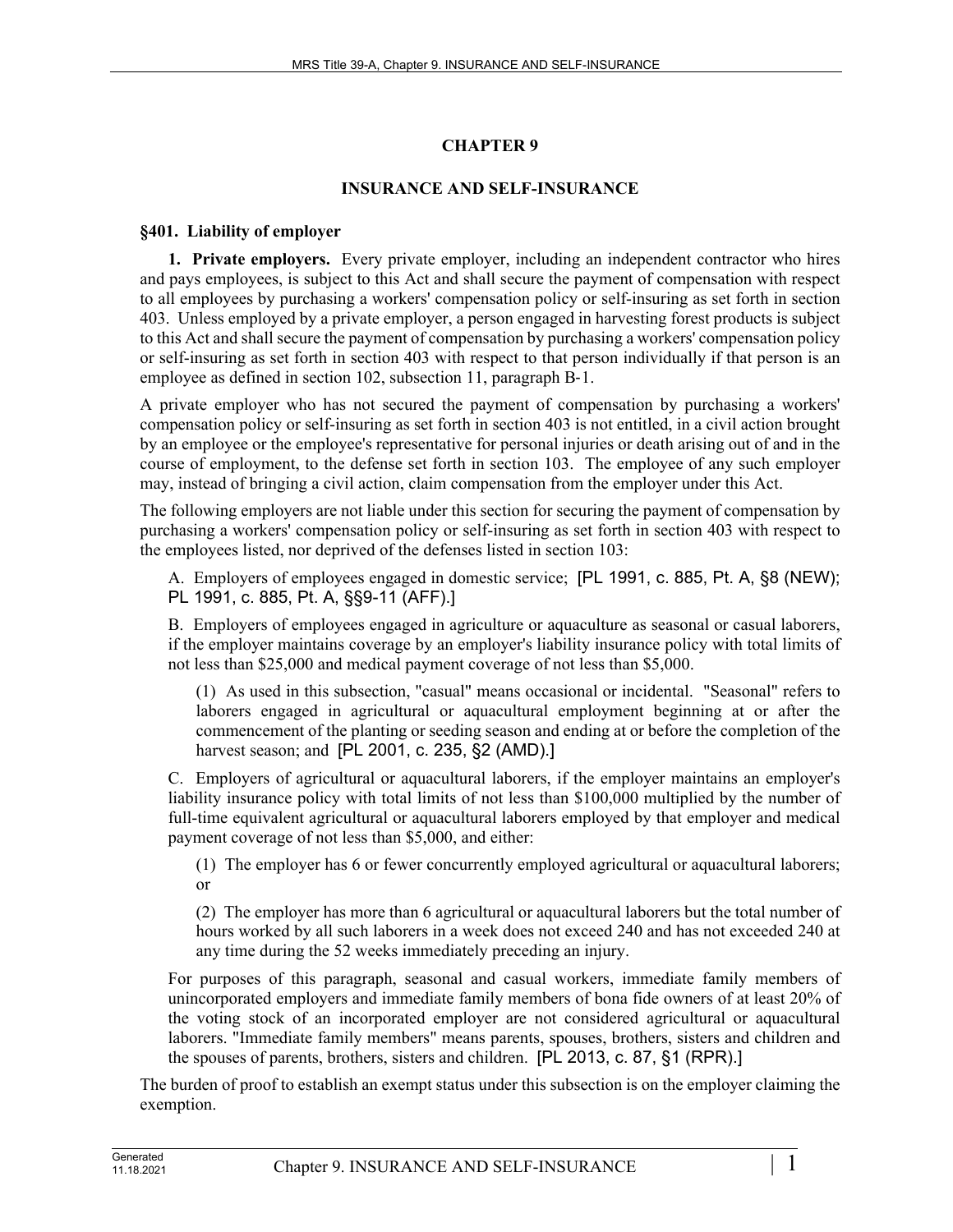# **CHAPTER 9**

# **INSURANCE AND SELF-INSURANCE**

## **§401. Liability of employer**

**1. Private employers.** Every private employer, including an independent contractor who hires and pays employees, is subject to this Act and shall secure the payment of compensation with respect to all employees by purchasing a workers' compensation policy or self-insuring as set forth in section 403. Unless employed by a private employer, a person engaged in harvesting forest products is subject to this Act and shall secure the payment of compensation by purchasing a workers' compensation policy or self-insuring as set forth in section 403 with respect to that person individually if that person is an employee as defined in section 102, subsection 11, paragraph B-1.

A private employer who has not secured the payment of compensation by purchasing a workers' compensation policy or self-insuring as set forth in section 403 is not entitled, in a civil action brought by an employee or the employee's representative for personal injuries or death arising out of and in the course of employment, to the defense set forth in section 103. The employee of any such employer may, instead of bringing a civil action, claim compensation from the employer under this Act.

The following employers are not liable under this section for securing the payment of compensation by purchasing a workers' compensation policy or self-insuring as set forth in section 403 with respect to the employees listed, nor deprived of the defenses listed in section 103:

A. Employers of employees engaged in domestic service; [PL 1991, c. 885, Pt. A, §8 (NEW); PL 1991, c. 885, Pt. A, §§9-11 (AFF).]

B. Employers of employees engaged in agriculture or aquaculture as seasonal or casual laborers, if the employer maintains coverage by an employer's liability insurance policy with total limits of not less than \$25,000 and medical payment coverage of not less than \$5,000.

(1) As used in this subsection, "casual" means occasional or incidental. "Seasonal" refers to laborers engaged in agricultural or aquacultural employment beginning at or after the commencement of the planting or seeding season and ending at or before the completion of the harvest season; and [PL 2001, c. 235, §2 (AMD).]

C. Employers of agricultural or aquacultural laborers, if the employer maintains an employer's liability insurance policy with total limits of not less than \$100,000 multiplied by the number of full-time equivalent agricultural or aquacultural laborers employed by that employer and medical payment coverage of not less than \$5,000, and either:

(1) The employer has 6 or fewer concurrently employed agricultural or aquacultural laborers; or

(2) The employer has more than 6 agricultural or aquacultural laborers but the total number of hours worked by all such laborers in a week does not exceed 240 and has not exceeded 240 at any time during the 52 weeks immediately preceding an injury.

For purposes of this paragraph, seasonal and casual workers, immediate family members of unincorporated employers and immediate family members of bona fide owners of at least 20% of the voting stock of an incorporated employer are not considered agricultural or aquacultural laborers. "Immediate family members" means parents, spouses, brothers, sisters and children and the spouses of parents, brothers, sisters and children. [PL 2013, c. 87, §1 (RPR).]

The burden of proof to establish an exempt status under this subsection is on the employer claiming the exemption.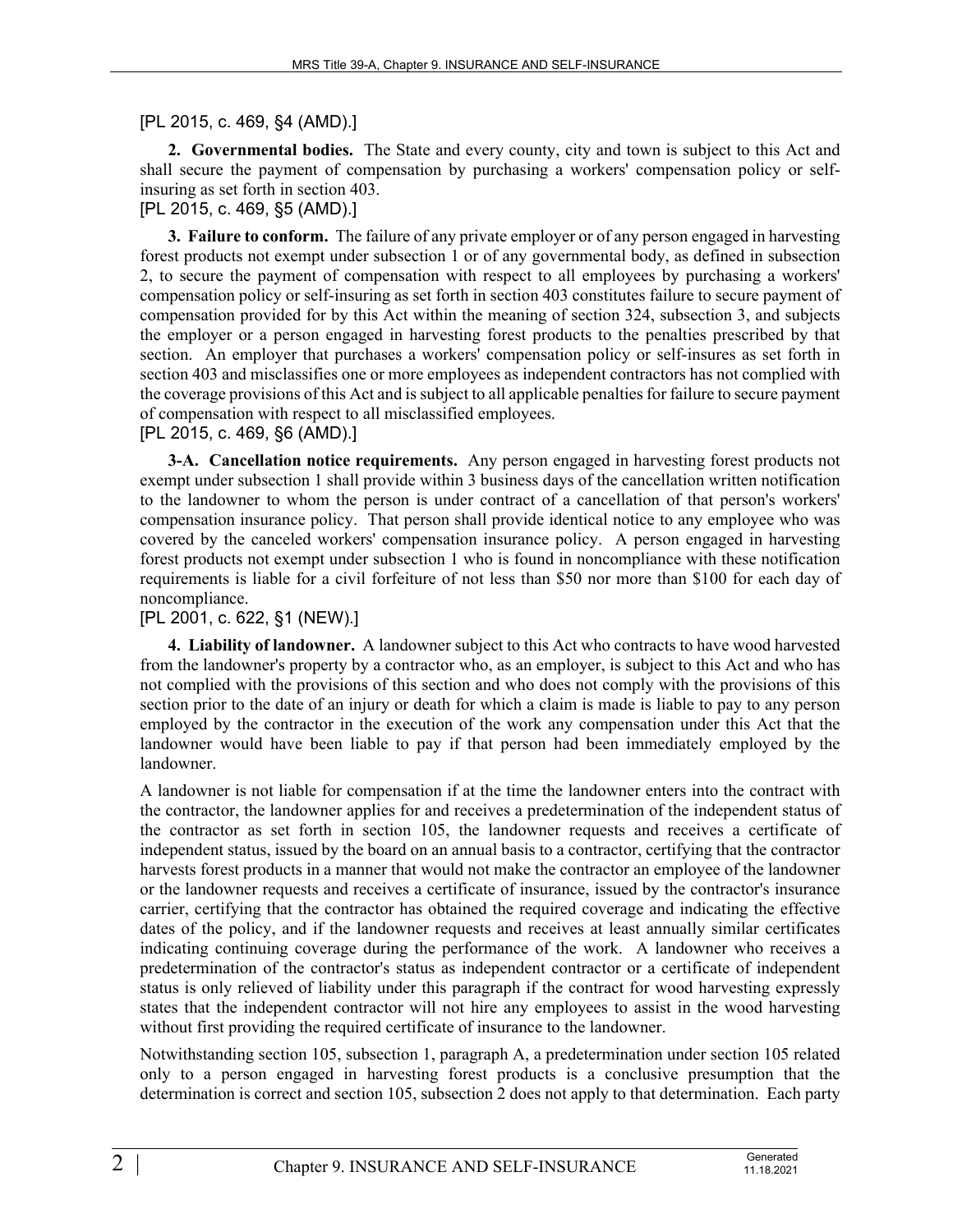# [PL 2015, c. 469, §4 (AMD).]

**2. Governmental bodies.** The State and every county, city and town is subject to this Act and shall secure the payment of compensation by purchasing a workers' compensation policy or selfinsuring as set forth in section 403.

#### [PL 2015, c. 469, §5 (AMD).]

**3. Failure to conform.** The failure of any private employer or of any person engaged in harvesting forest products not exempt under subsection 1 or of any governmental body, as defined in subsection 2, to secure the payment of compensation with respect to all employees by purchasing a workers' compensation policy or self-insuring as set forth in section 403 constitutes failure to secure payment of compensation provided for by this Act within the meaning of section 324, subsection 3, and subjects the employer or a person engaged in harvesting forest products to the penalties prescribed by that section. An employer that purchases a workers' compensation policy or self-insures as set forth in section 403 and misclassifies one or more employees as independent contractors has not complied with the coverage provisions of this Act and is subject to all applicable penalties for failure to secure payment of compensation with respect to all misclassified employees.

### [PL 2015, c. 469, §6 (AMD).]

**3-A. Cancellation notice requirements.** Any person engaged in harvesting forest products not exempt under subsection 1 shall provide within 3 business days of the cancellation written notification to the landowner to whom the person is under contract of a cancellation of that person's workers' compensation insurance policy. That person shall provide identical notice to any employee who was covered by the canceled workers' compensation insurance policy. A person engaged in harvesting forest products not exempt under subsection 1 who is found in noncompliance with these notification requirements is liable for a civil forfeiture of not less than \$50 nor more than \$100 for each day of noncompliance.

### [PL 2001, c. 622, §1 (NEW).]

**4. Liability of landowner.** A landowner subject to this Act who contracts to have wood harvested from the landowner's property by a contractor who, as an employer, is subject to this Act and who has not complied with the provisions of this section and who does not comply with the provisions of this section prior to the date of an injury or death for which a claim is made is liable to pay to any person employed by the contractor in the execution of the work any compensation under this Act that the landowner would have been liable to pay if that person had been immediately employed by the landowner.

A landowner is not liable for compensation if at the time the landowner enters into the contract with the contractor, the landowner applies for and receives a predetermination of the independent status of the contractor as set forth in section 105, the landowner requests and receives a certificate of independent status, issued by the board on an annual basis to a contractor, certifying that the contractor harvests forest products in a manner that would not make the contractor an employee of the landowner or the landowner requests and receives a certificate of insurance, issued by the contractor's insurance carrier, certifying that the contractor has obtained the required coverage and indicating the effective dates of the policy, and if the landowner requests and receives at least annually similar certificates indicating continuing coverage during the performance of the work. A landowner who receives a predetermination of the contractor's status as independent contractor or a certificate of independent status is only relieved of liability under this paragraph if the contract for wood harvesting expressly states that the independent contractor will not hire any employees to assist in the wood harvesting without first providing the required certificate of insurance to the landowner.

Notwithstanding section 105, subsection 1, paragraph A, a predetermination under section 105 related only to a person engaged in harvesting forest products is a conclusive presumption that the determination is correct and section 105, subsection 2 does not apply to that determination. Each party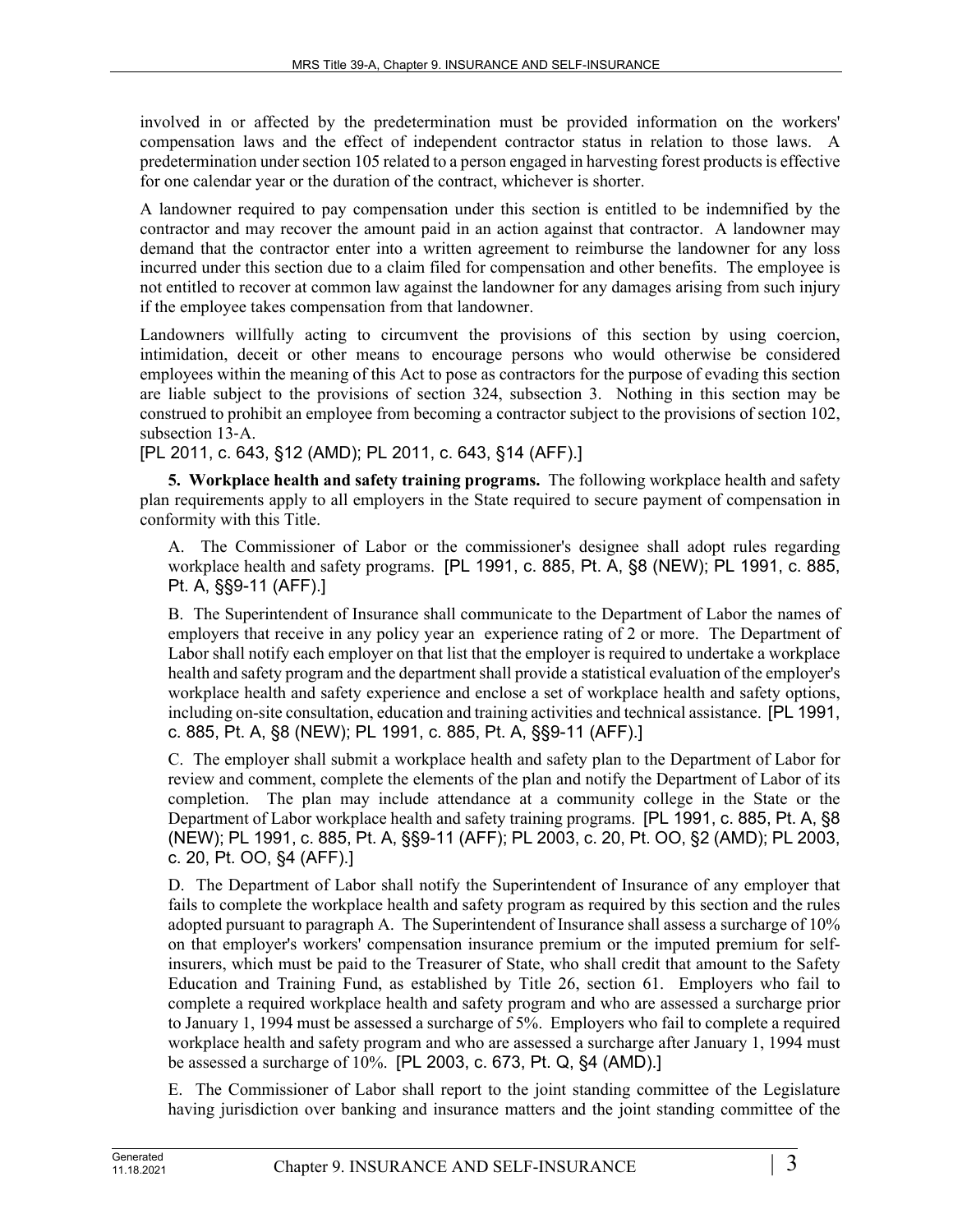involved in or affected by the predetermination must be provided information on the workers' compensation laws and the effect of independent contractor status in relation to those laws. A predetermination under section 105 related to a person engaged in harvesting forest products is effective for one calendar year or the duration of the contract, whichever is shorter.

A landowner required to pay compensation under this section is entitled to be indemnified by the contractor and may recover the amount paid in an action against that contractor. A landowner may demand that the contractor enter into a written agreement to reimburse the landowner for any loss incurred under this section due to a claim filed for compensation and other benefits. The employee is not entitled to recover at common law against the landowner for any damages arising from such injury if the employee takes compensation from that landowner.

Landowners willfully acting to circumvent the provisions of this section by using coercion, intimidation, deceit or other means to encourage persons who would otherwise be considered employees within the meaning of this Act to pose as contractors for the purpose of evading this section are liable subject to the provisions of section 324, subsection 3. Nothing in this section may be construed to prohibit an employee from becoming a contractor subject to the provisions of section 102, subsection 13‑A.

[PL 2011, c. 643, §12 (AMD); PL 2011, c. 643, §14 (AFF).]

**5. Workplace health and safety training programs.** The following workplace health and safety plan requirements apply to all employers in the State required to secure payment of compensation in conformity with this Title.

A. The Commissioner of Labor or the commissioner's designee shall adopt rules regarding workplace health and safety programs. [PL 1991, c. 885, Pt. A, §8 (NEW); PL 1991, c. 885, Pt. A, §§9-11 (AFF).]

B. The Superintendent of Insurance shall communicate to the Department of Labor the names of employers that receive in any policy year an experience rating of 2 or more. The Department of Labor shall notify each employer on that list that the employer is required to undertake a workplace health and safety program and the department shall provide a statistical evaluation of the employer's workplace health and safety experience and enclose a set of workplace health and safety options, including on-site consultation, education and training activities and technical assistance. [PL 1991, c. 885, Pt. A, §8 (NEW); PL 1991, c. 885, Pt. A, §§9-11 (AFF).]

C. The employer shall submit a workplace health and safety plan to the Department of Labor for review and comment, complete the elements of the plan and notify the Department of Labor of its completion. The plan may include attendance at a community college in the State or the Department of Labor workplace health and safety training programs. [PL 1991, c. 885, Pt. A, §8 (NEW); PL 1991, c. 885, Pt. A, §§9-11 (AFF); PL 2003, c. 20, Pt. OO, §2 (AMD); PL 2003, c. 20, Pt. OO, §4 (AFF).]

D. The Department of Labor shall notify the Superintendent of Insurance of any employer that fails to complete the workplace health and safety program as required by this section and the rules adopted pursuant to paragraph A. The Superintendent of Insurance shall assess a surcharge of 10% on that employer's workers' compensation insurance premium or the imputed premium for selfinsurers, which must be paid to the Treasurer of State, who shall credit that amount to the Safety Education and Training Fund, as established by Title 26, section 61. Employers who fail to complete a required workplace health and safety program and who are assessed a surcharge prior to January 1, 1994 must be assessed a surcharge of 5%. Employers who fail to complete a required workplace health and safety program and who are assessed a surcharge after January 1, 1994 must be assessed a surcharge of 10%. [PL 2003, c. 673, Pt. Q, §4 (AMD).]

E. The Commissioner of Labor shall report to the joint standing committee of the Legislature having jurisdiction over banking and insurance matters and the joint standing committee of the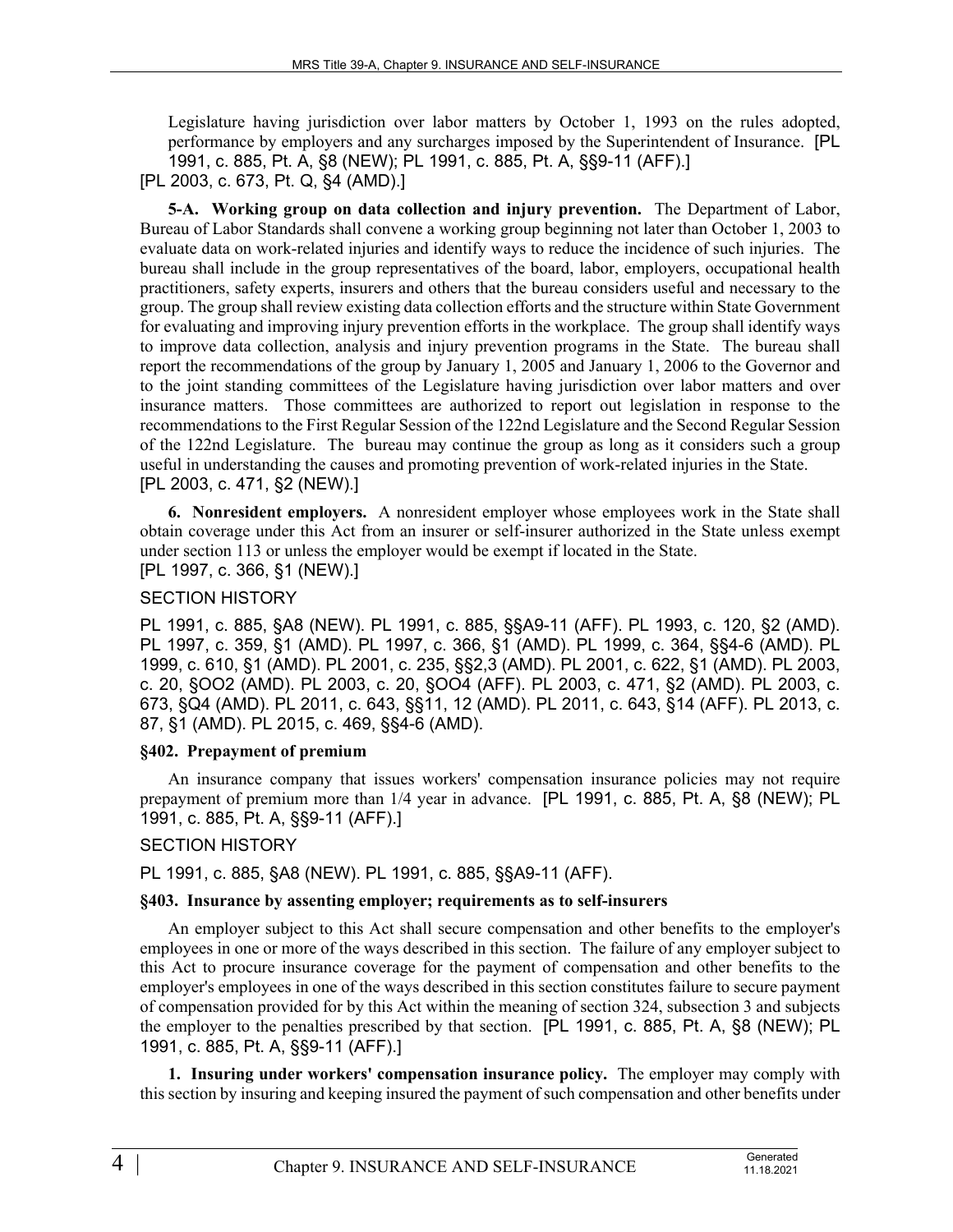Legislature having jurisdiction over labor matters by October 1, 1993 on the rules adopted, performance by employers and any surcharges imposed by the Superintendent of Insurance. [PL 1991, c. 885, Pt. A, §8 (NEW); PL 1991, c. 885, Pt. A, §§9-11 (AFF).]

[PL 2003, c. 673, Pt. Q, §4 (AMD).]

**5-A. Working group on data collection and injury prevention.** The Department of Labor, Bureau of Labor Standards shall convene a working group beginning not later than October 1, 2003 to evaluate data on work-related injuries and identify ways to reduce the incidence of such injuries. The bureau shall include in the group representatives of the board, labor, employers, occupational health practitioners, safety experts, insurers and others that the bureau considers useful and necessary to the group. The group shall review existing data collection efforts and the structure within State Government for evaluating and improving injury prevention efforts in the workplace. The group shall identify ways to improve data collection, analysis and injury prevention programs in the State. The bureau shall report the recommendations of the group by January 1, 2005 and January 1, 2006 to the Governor and to the joint standing committees of the Legislature having jurisdiction over labor matters and over insurance matters. Those committees are authorized to report out legislation in response to the recommendations to the First Regular Session of the 122nd Legislature and the Second Regular Session of the 122nd Legislature. The bureau may continue the group as long as it considers such a group useful in understanding the causes and promoting prevention of work-related injuries in the State. [PL 2003, c. 471, §2 (NEW).]

**6. Nonresident employers.** A nonresident employer whose employees work in the State shall obtain coverage under this Act from an insurer or self-insurer authorized in the State unless exempt under section 113 or unless the employer would be exempt if located in the State. [PL 1997, c. 366, §1 (NEW).]

# SECTION HISTORY

PL 1991, c. 885, §A8 (NEW). PL 1991, c. 885, §§A9-11 (AFF). PL 1993, c. 120, §2 (AMD). PL 1997, c. 359, §1 (AMD). PL 1997, c. 366, §1 (AMD). PL 1999, c. 364, §§4-6 (AMD). PL 1999, c. 610, §1 (AMD). PL 2001, c. 235, §§2,3 (AMD). PL 2001, c. 622, §1 (AMD). PL 2003, c. 20, §OO2 (AMD). PL 2003, c. 20, §OO4 (AFF). PL 2003, c. 471, §2 (AMD). PL 2003, c. 673, §Q4 (AMD). PL 2011, c. 643, §§11, 12 (AMD). PL 2011, c. 643, §14 (AFF). PL 2013, c. 87, §1 (AMD). PL 2015, c. 469, §§4-6 (AMD).

### **§402. Prepayment of premium**

An insurance company that issues workers' compensation insurance policies may not require prepayment of premium more than 1/4 year in advance. [PL 1991, c. 885, Pt. A, §8 (NEW); PL 1991, c. 885, Pt. A, §§9-11 (AFF).]

# SECTION HISTORY

PL 1991, c. 885, §A8 (NEW). PL 1991, c. 885, §§A9-11 (AFF).

### **§403. Insurance by assenting employer; requirements as to self-insurers**

An employer subject to this Act shall secure compensation and other benefits to the employer's employees in one or more of the ways described in this section. The failure of any employer subject to this Act to procure insurance coverage for the payment of compensation and other benefits to the employer's employees in one of the ways described in this section constitutes failure to secure payment of compensation provided for by this Act within the meaning of section 324, subsection 3 and subjects the employer to the penalties prescribed by that section. [PL 1991, c. 885, Pt. A, §8 (NEW); PL 1991, c. 885, Pt. A, §§9-11 (AFF).]

**1. Insuring under workers' compensation insurance policy.** The employer may comply with this section by insuring and keeping insured the payment of such compensation and other benefits under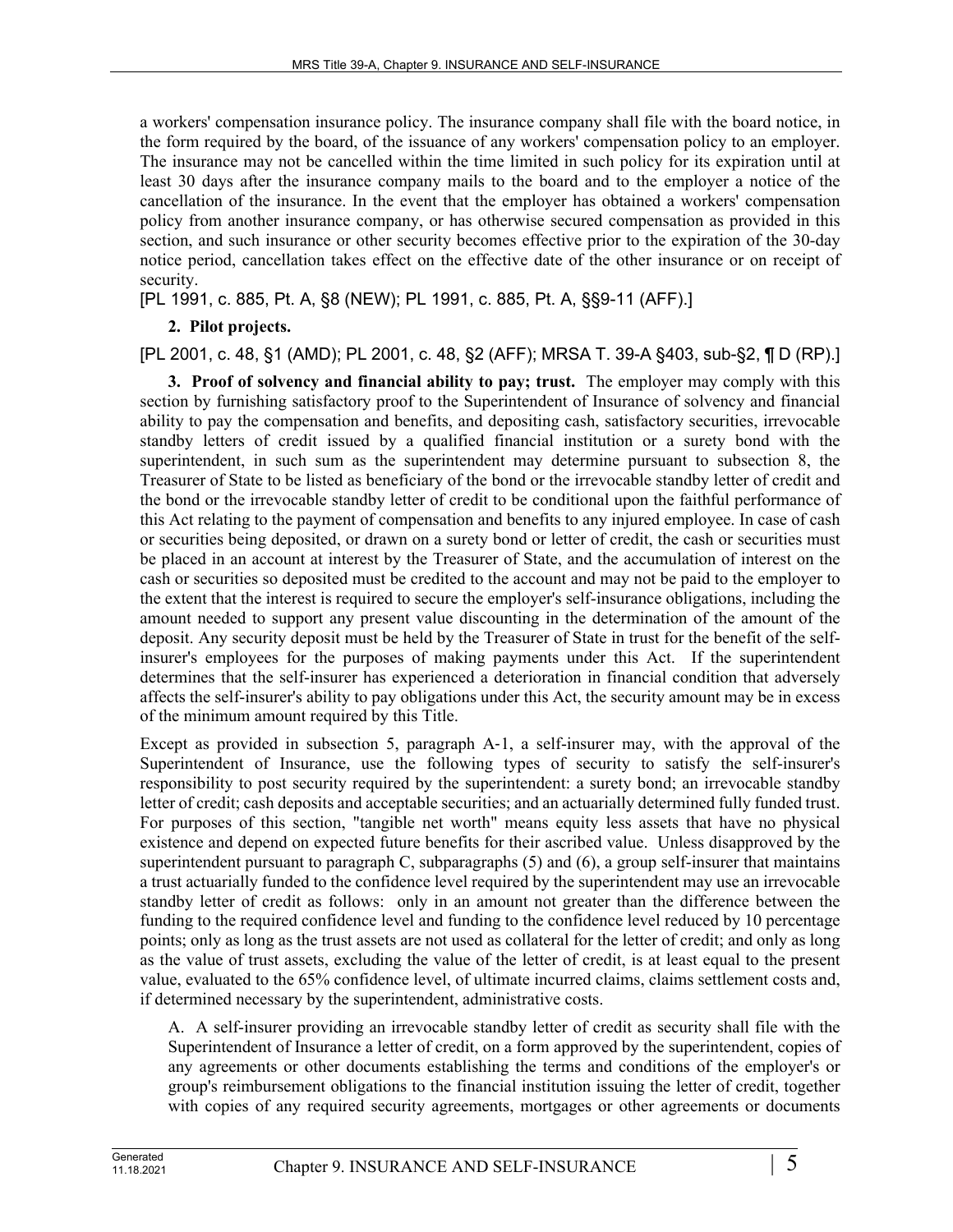a workers' compensation insurance policy. The insurance company shall file with the board notice, in the form required by the board, of the issuance of any workers' compensation policy to an employer. The insurance may not be cancelled within the time limited in such policy for its expiration until at least 30 days after the insurance company mails to the board and to the employer a notice of the cancellation of the insurance. In the event that the employer has obtained a workers' compensation policy from another insurance company, or has otherwise secured compensation as provided in this section, and such insurance or other security becomes effective prior to the expiration of the 30-day notice period, cancellation takes effect on the effective date of the other insurance or on receipt of security.

[PL 1991, c. 885, Pt. A, §8 (NEW); PL 1991, c. 885, Pt. A, §§9-11 (AFF).]

#### **2. Pilot projects.**

#### [PL 2001, c. 48, §1 (AMD); PL 2001, c. 48, §2 (AFF); MRSA T. 39-A §403, sub-§2, ¶ D (RP).]

**3. Proof of solvency and financial ability to pay; trust.** The employer may comply with this section by furnishing satisfactory proof to the Superintendent of Insurance of solvency and financial ability to pay the compensation and benefits, and depositing cash, satisfactory securities, irrevocable standby letters of credit issued by a qualified financial institution or a surety bond with the superintendent, in such sum as the superintendent may determine pursuant to subsection 8, the Treasurer of State to be listed as beneficiary of the bond or the irrevocable standby letter of credit and the bond or the irrevocable standby letter of credit to be conditional upon the faithful performance of this Act relating to the payment of compensation and benefits to any injured employee. In case of cash or securities being deposited, or drawn on a surety bond or letter of credit, the cash or securities must be placed in an account at interest by the Treasurer of State, and the accumulation of interest on the cash or securities so deposited must be credited to the account and may not be paid to the employer to the extent that the interest is required to secure the employer's self-insurance obligations, including the amount needed to support any present value discounting in the determination of the amount of the deposit. Any security deposit must be held by the Treasurer of State in trust for the benefit of the selfinsurer's employees for the purposes of making payments under this Act. If the superintendent determines that the self-insurer has experienced a deterioration in financial condition that adversely affects the self-insurer's ability to pay obligations under this Act, the security amount may be in excess of the minimum amount required by this Title.

Except as provided in subsection 5, paragraph A-1, a self-insurer may, with the approval of the Superintendent of Insurance, use the following types of security to satisfy the self-insurer's responsibility to post security required by the superintendent: a surety bond; an irrevocable standby letter of credit; cash deposits and acceptable securities; and an actuarially determined fully funded trust. For purposes of this section, "tangible net worth" means equity less assets that have no physical existence and depend on expected future benefits for their ascribed value. Unless disapproved by the superintendent pursuant to paragraph  $C$ , subparagraphs  $(5)$  and  $(6)$ , a group self-insurer that maintains a trust actuarially funded to the confidence level required by the superintendent may use an irrevocable standby letter of credit as follows: only in an amount not greater than the difference between the funding to the required confidence level and funding to the confidence level reduced by 10 percentage points; only as long as the trust assets are not used as collateral for the letter of credit; and only as long as the value of trust assets, excluding the value of the letter of credit, is at least equal to the present value, evaluated to the 65% confidence level, of ultimate incurred claims, claims settlement costs and, if determined necessary by the superintendent, administrative costs.

A. A self-insurer providing an irrevocable standby letter of credit as security shall file with the Superintendent of Insurance a letter of credit, on a form approved by the superintendent, copies of any agreements or other documents establishing the terms and conditions of the employer's or group's reimbursement obligations to the financial institution issuing the letter of credit, together with copies of any required security agreements, mortgages or other agreements or documents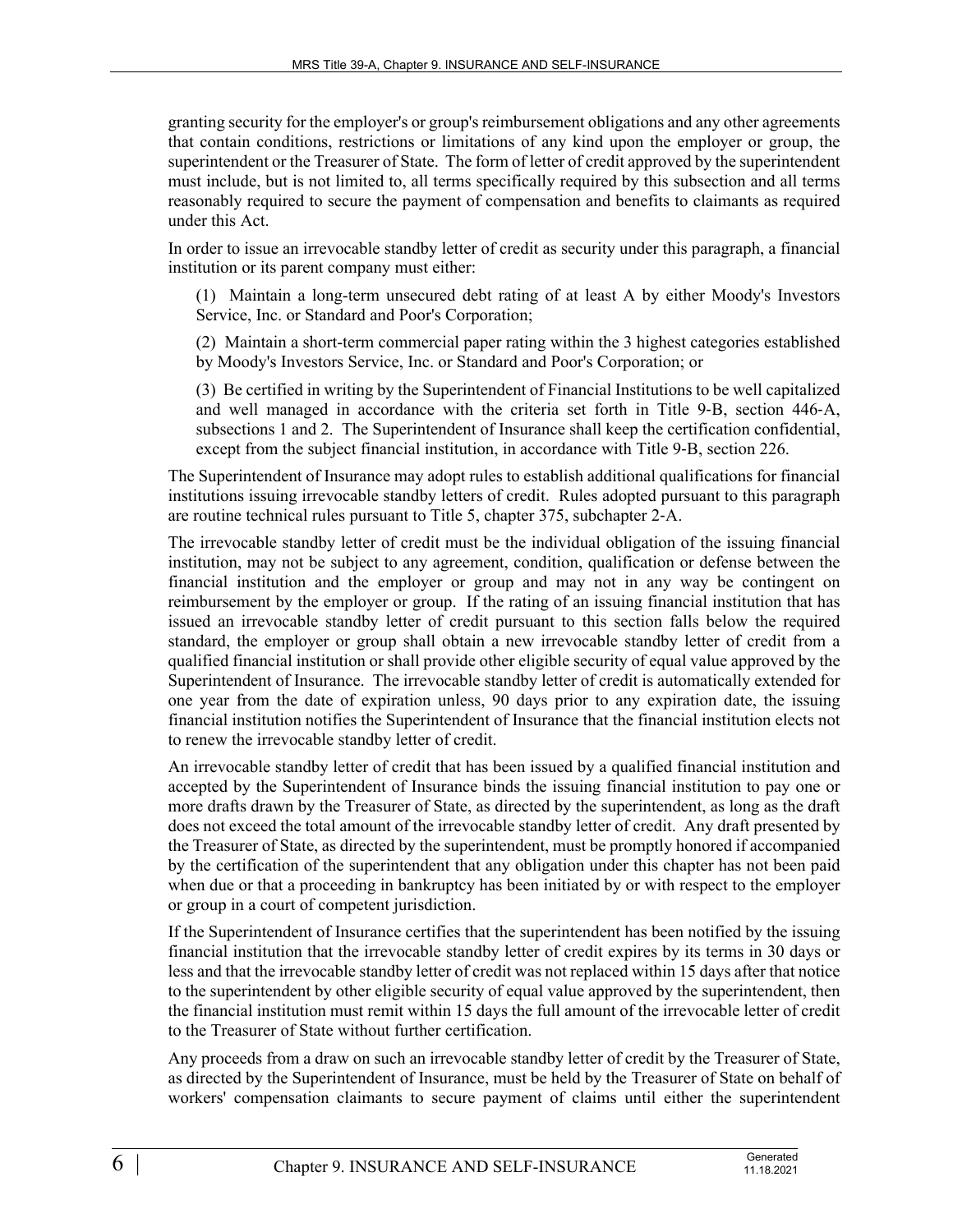granting security for the employer's or group's reimbursement obligations and any other agreements that contain conditions, restrictions or limitations of any kind upon the employer or group, the superintendent or the Treasurer of State. The form of letter of credit approved by the superintendent must include, but is not limited to, all terms specifically required by this subsection and all terms reasonably required to secure the payment of compensation and benefits to claimants as required under this Act.

In order to issue an irrevocable standby letter of credit as security under this paragraph, a financial institution or its parent company must either:

(1) Maintain a long-term unsecured debt rating of at least A by either Moody's Investors Service, Inc. or Standard and Poor's Corporation;

(2) Maintain a short-term commercial paper rating within the 3 highest categories established by Moody's Investors Service, Inc. or Standard and Poor's Corporation; or

(3) Be certified in writing by the Superintendent of Financial Institutions to be well capitalized and well managed in accordance with the criteria set forth in Title 9-B, section 446-A, subsections 1 and 2. The Superintendent of Insurance shall keep the certification confidential, except from the subject financial institution, in accordance with Title 9-B, section 226.

The Superintendent of Insurance may adopt rules to establish additional qualifications for financial institutions issuing irrevocable standby letters of credit. Rules adopted pursuant to this paragraph are routine technical rules pursuant to Title 5, chapter 375, subchapter 2‑A.

The irrevocable standby letter of credit must be the individual obligation of the issuing financial institution, may not be subject to any agreement, condition, qualification or defense between the financial institution and the employer or group and may not in any way be contingent on reimbursement by the employer or group. If the rating of an issuing financial institution that has issued an irrevocable standby letter of credit pursuant to this section falls below the required standard, the employer or group shall obtain a new irrevocable standby letter of credit from a qualified financial institution or shall provide other eligible security of equal value approved by the Superintendent of Insurance. The irrevocable standby letter of credit is automatically extended for one year from the date of expiration unless, 90 days prior to any expiration date, the issuing financial institution notifies the Superintendent of Insurance that the financial institution elects not to renew the irrevocable standby letter of credit.

An irrevocable standby letter of credit that has been issued by a qualified financial institution and accepted by the Superintendent of Insurance binds the issuing financial institution to pay one or more drafts drawn by the Treasurer of State, as directed by the superintendent, as long as the draft does not exceed the total amount of the irrevocable standby letter of credit. Any draft presented by the Treasurer of State, as directed by the superintendent, must be promptly honored if accompanied by the certification of the superintendent that any obligation under this chapter has not been paid when due or that a proceeding in bankruptcy has been initiated by or with respect to the employer or group in a court of competent jurisdiction.

If the Superintendent of Insurance certifies that the superintendent has been notified by the issuing financial institution that the irrevocable standby letter of credit expires by its terms in 30 days or less and that the irrevocable standby letter of credit was not replaced within 15 days after that notice to the superintendent by other eligible security of equal value approved by the superintendent, then the financial institution must remit within 15 days the full amount of the irrevocable letter of credit to the Treasurer of State without further certification.

Any proceeds from a draw on such an irrevocable standby letter of credit by the Treasurer of State, as directed by the Superintendent of Insurance, must be held by the Treasurer of State on behalf of workers' compensation claimants to secure payment of claims until either the superintendent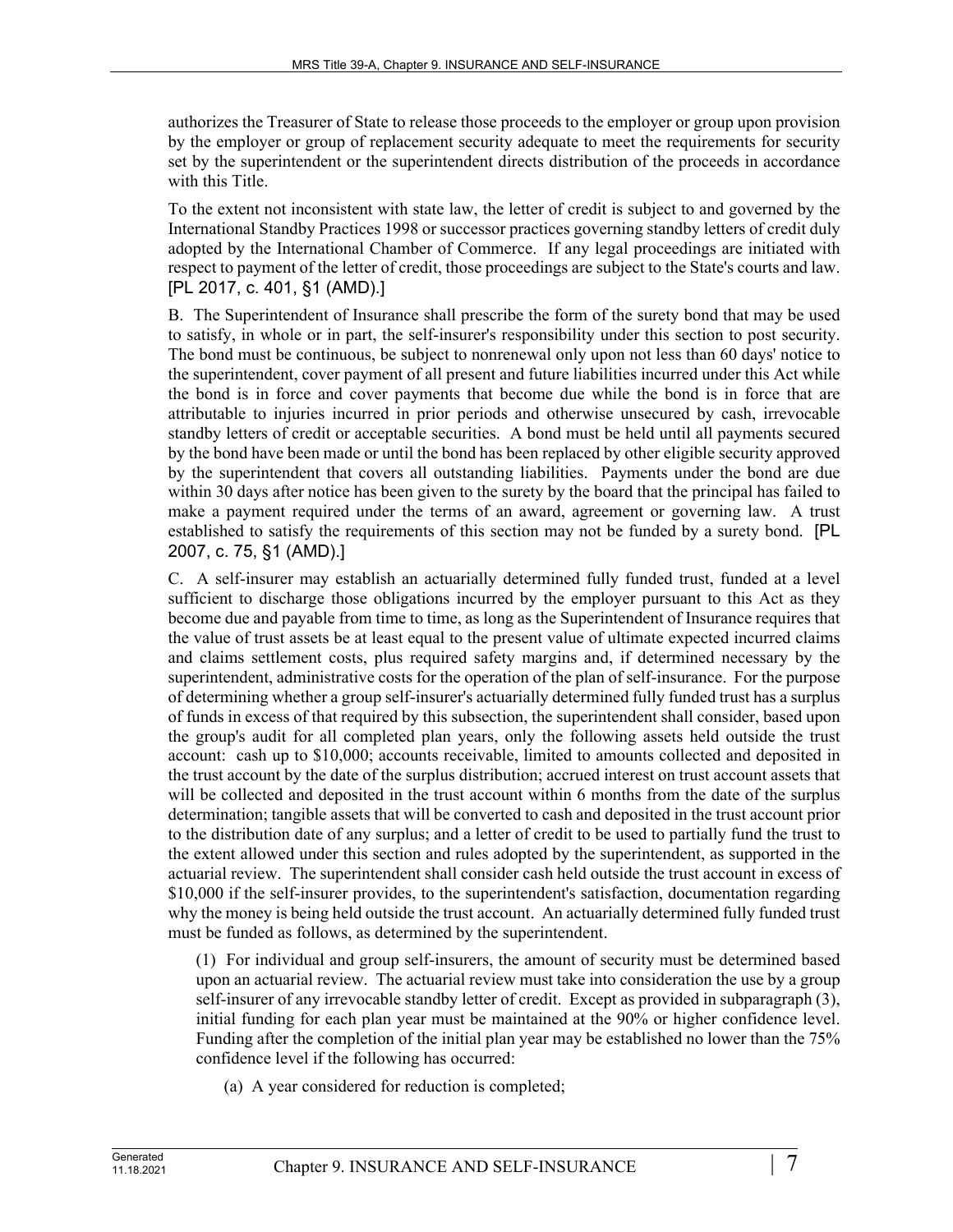authorizes the Treasurer of State to release those proceeds to the employer or group upon provision by the employer or group of replacement security adequate to meet the requirements for security set by the superintendent or the superintendent directs distribution of the proceeds in accordance with this Title.

To the extent not inconsistent with state law, the letter of credit is subject to and governed by the International Standby Practices 1998 or successor practices governing standby letters of credit duly adopted by the International Chamber of Commerce. If any legal proceedings are initiated with respect to payment of the letter of credit, those proceedings are subject to the State's courts and law. [PL 2017, c. 401, §1 (AMD).]

B. The Superintendent of Insurance shall prescribe the form of the surety bond that may be used to satisfy, in whole or in part, the self-insurer's responsibility under this section to post security. The bond must be continuous, be subject to nonrenewal only upon not less than 60 days' notice to the superintendent, cover payment of all present and future liabilities incurred under this Act while the bond is in force and cover payments that become due while the bond is in force that are attributable to injuries incurred in prior periods and otherwise unsecured by cash, irrevocable standby letters of credit or acceptable securities. A bond must be held until all payments secured by the bond have been made or until the bond has been replaced by other eligible security approved by the superintendent that covers all outstanding liabilities. Payments under the bond are due within 30 days after notice has been given to the surety by the board that the principal has failed to make a payment required under the terms of an award, agreement or governing law. A trust established to satisfy the requirements of this section may not be funded by a surety bond. [PL 2007, c. 75, §1 (AMD).]

C. A self-insurer may establish an actuarially determined fully funded trust, funded at a level sufficient to discharge those obligations incurred by the employer pursuant to this Act as they become due and payable from time to time, as long as the Superintendent of Insurance requires that the value of trust assets be at least equal to the present value of ultimate expected incurred claims and claims settlement costs, plus required safety margins and, if determined necessary by the superintendent, administrative costs for the operation of the plan of self-insurance. For the purpose of determining whether a group self-insurer's actuarially determined fully funded trust has a surplus of funds in excess of that required by this subsection, the superintendent shall consider, based upon the group's audit for all completed plan years, only the following assets held outside the trust account: cash up to \$10,000; accounts receivable, limited to amounts collected and deposited in the trust account by the date of the surplus distribution; accrued interest on trust account assets that will be collected and deposited in the trust account within 6 months from the date of the surplus determination; tangible assets that will be converted to cash and deposited in the trust account prior to the distribution date of any surplus; and a letter of credit to be used to partially fund the trust to the extent allowed under this section and rules adopted by the superintendent, as supported in the actuarial review. The superintendent shall consider cash held outside the trust account in excess of \$10,000 if the self-insurer provides, to the superintendent's satisfaction, documentation regarding why the money is being held outside the trust account. An actuarially determined fully funded trust must be funded as follows, as determined by the superintendent.

(1) For individual and group self-insurers, the amount of security must be determined based upon an actuarial review. The actuarial review must take into consideration the use by a group self-insurer of any irrevocable standby letter of credit. Except as provided in subparagraph (3), initial funding for each plan year must be maintained at the 90% or higher confidence level. Funding after the completion of the initial plan year may be established no lower than the 75% confidence level if the following has occurred:

(a) A year considered for reduction is completed;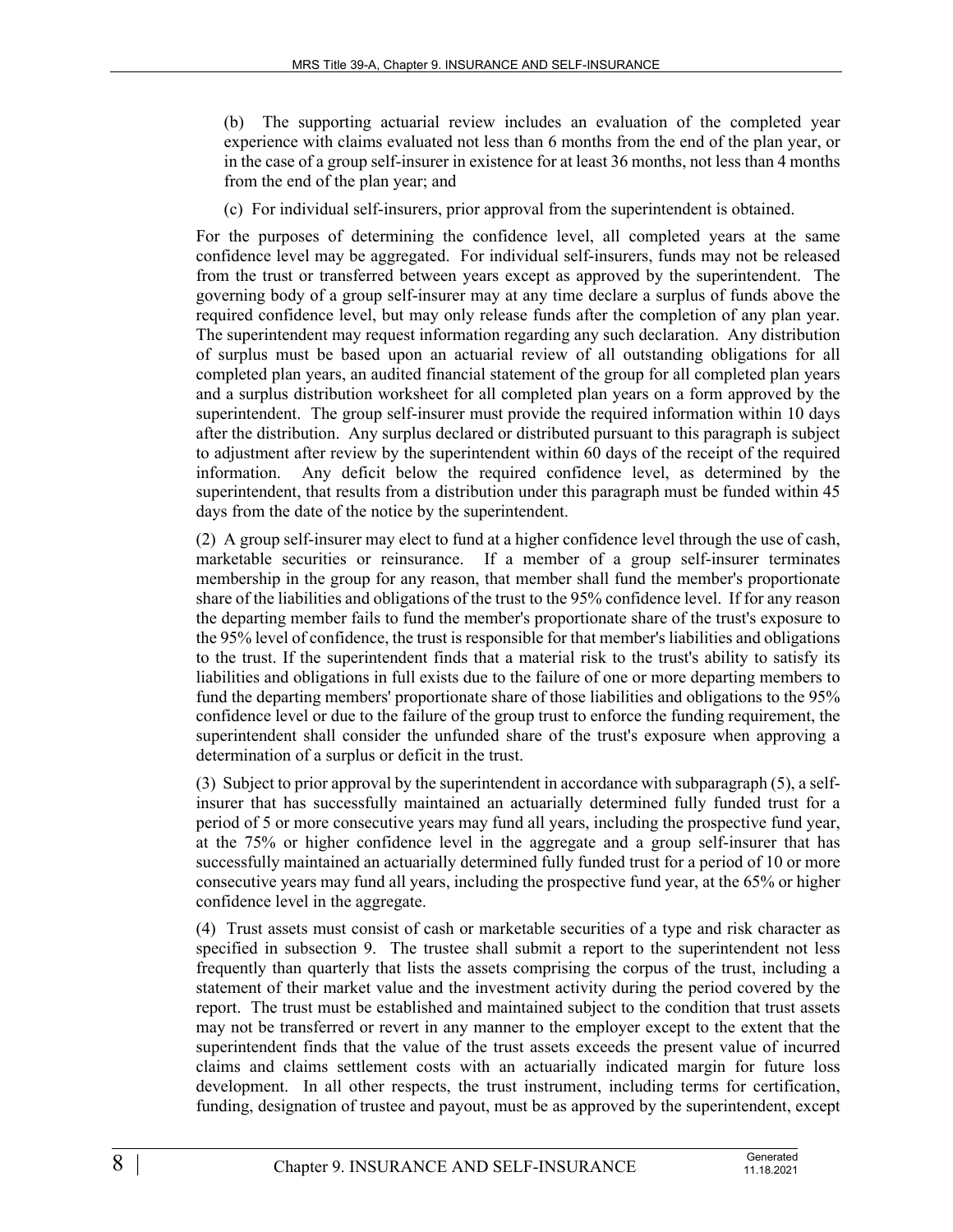(b) The supporting actuarial review includes an evaluation of the completed year experience with claims evaluated not less than 6 months from the end of the plan year, or in the case of a group self-insurer in existence for at least 36 months, not less than 4 months from the end of the plan year; and

(c) For individual self-insurers, prior approval from the superintendent is obtained.

For the purposes of determining the confidence level, all completed years at the same confidence level may be aggregated. For individual self-insurers, funds may not be released from the trust or transferred between years except as approved by the superintendent. The governing body of a group self-insurer may at any time declare a surplus of funds above the required confidence level, but may only release funds after the completion of any plan year. The superintendent may request information regarding any such declaration. Any distribution of surplus must be based upon an actuarial review of all outstanding obligations for all completed plan years, an audited financial statement of the group for all completed plan years and a surplus distribution worksheet for all completed plan years on a form approved by the superintendent. The group self-insurer must provide the required information within 10 days after the distribution. Any surplus declared or distributed pursuant to this paragraph is subject to adjustment after review by the superintendent within 60 days of the receipt of the required information. Any deficit below the required confidence level, as determined by the superintendent, that results from a distribution under this paragraph must be funded within 45 days from the date of the notice by the superintendent.

(2) A group self-insurer may elect to fund at a higher confidence level through the use of cash, marketable securities or reinsurance. If a member of a group self-insurer terminates membership in the group for any reason, that member shall fund the member's proportionate share of the liabilities and obligations of the trust to the 95% confidence level. If for any reason the departing member fails to fund the member's proportionate share of the trust's exposure to the 95% level of confidence, the trust is responsible for that member's liabilities and obligations to the trust. If the superintendent finds that a material risk to the trust's ability to satisfy its liabilities and obligations in full exists due to the failure of one or more departing members to fund the departing members' proportionate share of those liabilities and obligations to the 95% confidence level or due to the failure of the group trust to enforce the funding requirement, the superintendent shall consider the unfunded share of the trust's exposure when approving a determination of a surplus or deficit in the trust.

(3) Subject to prior approval by the superintendent in accordance with subparagraph (5), a selfinsurer that has successfully maintained an actuarially determined fully funded trust for a period of 5 or more consecutive years may fund all years, including the prospective fund year, at the 75% or higher confidence level in the aggregate and a group self-insurer that has successfully maintained an actuarially determined fully funded trust for a period of 10 or more consecutive years may fund all years, including the prospective fund year, at the 65% or higher confidence level in the aggregate.

(4) Trust assets must consist of cash or marketable securities of a type and risk character as specified in subsection 9. The trustee shall submit a report to the superintendent not less frequently than quarterly that lists the assets comprising the corpus of the trust, including a statement of their market value and the investment activity during the period covered by the report. The trust must be established and maintained subject to the condition that trust assets may not be transferred or revert in any manner to the employer except to the extent that the superintendent finds that the value of the trust assets exceeds the present value of incurred claims and claims settlement costs with an actuarially indicated margin for future loss development. In all other respects, the trust instrument, including terms for certification, funding, designation of trustee and payout, must be as approved by the superintendent, except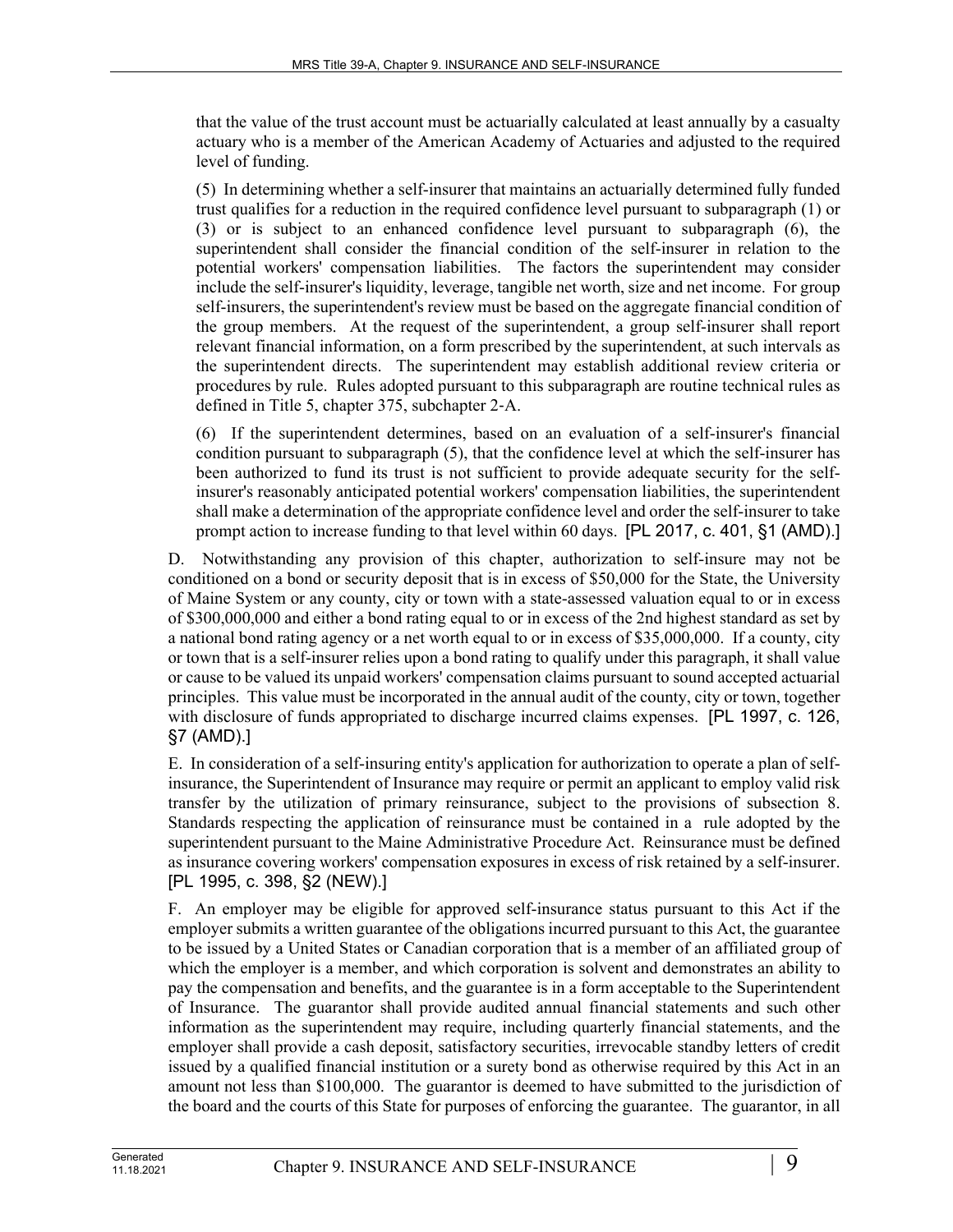that the value of the trust account must be actuarially calculated at least annually by a casualty actuary who is a member of the American Academy of Actuaries and adjusted to the required level of funding.

(5) In determining whether a self-insurer that maintains an actuarially determined fully funded trust qualifies for a reduction in the required confidence level pursuant to subparagraph (1) or (3) or is subject to an enhanced confidence level pursuant to subparagraph (6), the superintendent shall consider the financial condition of the self-insurer in relation to the potential workers' compensation liabilities. The factors the superintendent may consider include the self-insurer's liquidity, leverage, tangible net worth, size and net income. For group self-insurers, the superintendent's review must be based on the aggregate financial condition of the group members. At the request of the superintendent, a group self-insurer shall report relevant financial information, on a form prescribed by the superintendent, at such intervals as the superintendent directs. The superintendent may establish additional review criteria or procedures by rule. Rules adopted pursuant to this subparagraph are routine technical rules as defined in Title 5, chapter 375, subchapter 2‑A.

(6) If the superintendent determines, based on an evaluation of a self-insurer's financial condition pursuant to subparagraph (5), that the confidence level at which the self-insurer has been authorized to fund its trust is not sufficient to provide adequate security for the selfinsurer's reasonably anticipated potential workers' compensation liabilities, the superintendent shall make a determination of the appropriate confidence level and order the self-insurer to take prompt action to increase funding to that level within 60 days. [PL 2017, c. 401, §1 (AMD).]

D. Notwithstanding any provision of this chapter, authorization to self-insure may not be conditioned on a bond or security deposit that is in excess of \$50,000 for the State, the University of Maine System or any county, city or town with a state-assessed valuation equal to or in excess of \$300,000,000 and either a bond rating equal to or in excess of the 2nd highest standard as set by a national bond rating agency or a net worth equal to or in excess of \$35,000,000. If a county, city or town that is a self-insurer relies upon a bond rating to qualify under this paragraph, it shall value or cause to be valued its unpaid workers' compensation claims pursuant to sound accepted actuarial principles. This value must be incorporated in the annual audit of the county, city or town, together with disclosure of funds appropriated to discharge incurred claims expenses. [PL 1997, c. 126, §7 (AMD).]

E. In consideration of a self-insuring entity's application for authorization to operate a plan of selfinsurance, the Superintendent of Insurance may require or permit an applicant to employ valid risk transfer by the utilization of primary reinsurance, subject to the provisions of subsection 8. Standards respecting the application of reinsurance must be contained in a rule adopted by the superintendent pursuant to the Maine Administrative Procedure Act. Reinsurance must be defined as insurance covering workers' compensation exposures in excess of risk retained by a self-insurer. [PL 1995, c. 398, §2 (NEW).]

F. An employer may be eligible for approved self-insurance status pursuant to this Act if the employer submits a written guarantee of the obligations incurred pursuant to this Act, the guarantee to be issued by a United States or Canadian corporation that is a member of an affiliated group of which the employer is a member, and which corporation is solvent and demonstrates an ability to pay the compensation and benefits, and the guarantee is in a form acceptable to the Superintendent of Insurance. The guarantor shall provide audited annual financial statements and such other information as the superintendent may require, including quarterly financial statements, and the employer shall provide a cash deposit, satisfactory securities, irrevocable standby letters of credit issued by a qualified financial institution or a surety bond as otherwise required by this Act in an amount not less than \$100,000. The guarantor is deemed to have submitted to the jurisdiction of the board and the courts of this State for purposes of enforcing the guarantee. The guarantor, in all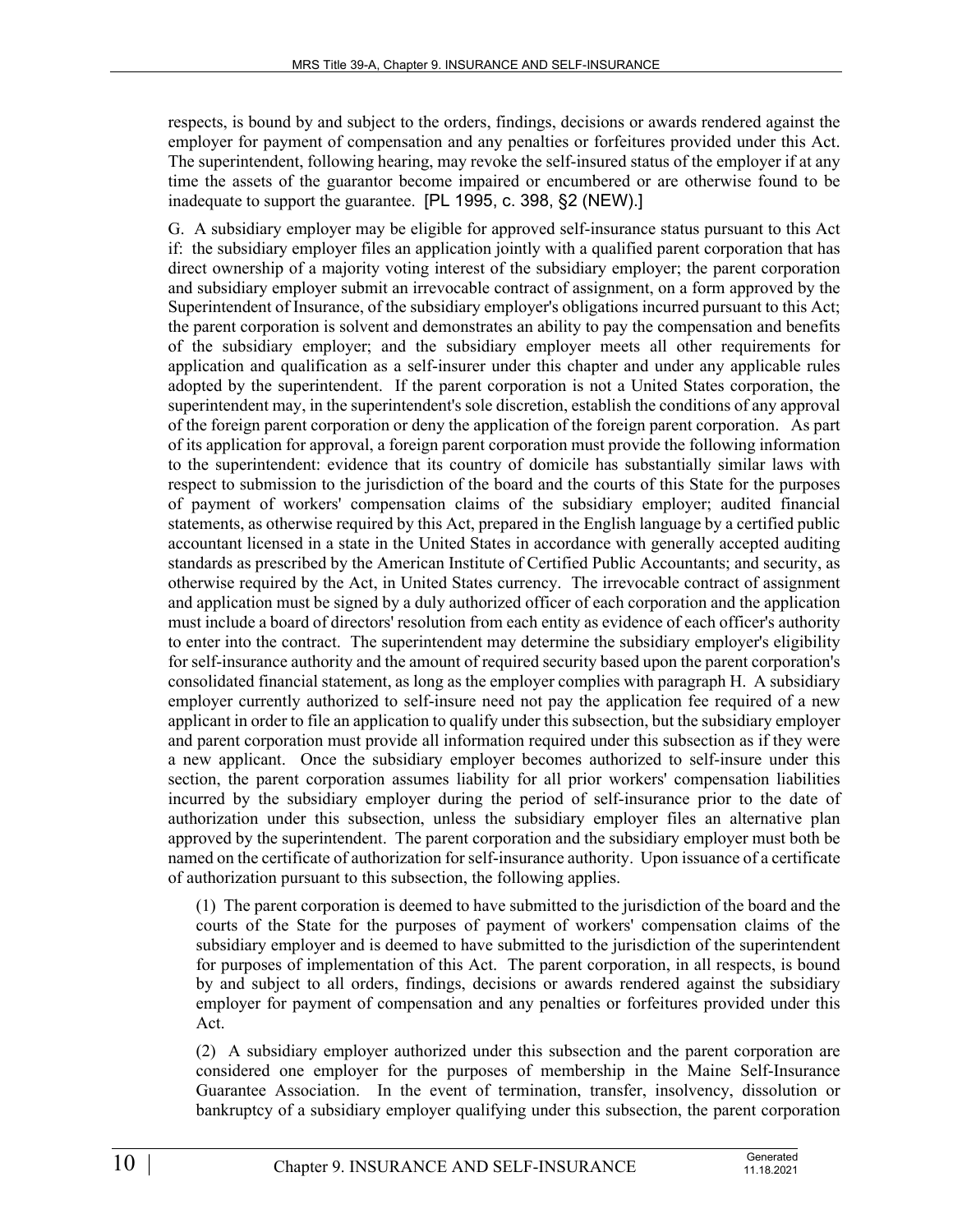respects, is bound by and subject to the orders, findings, decisions or awards rendered against the employer for payment of compensation and any penalties or forfeitures provided under this Act. The superintendent, following hearing, may revoke the self-insured status of the employer if at any time the assets of the guarantor become impaired or encumbered or are otherwise found to be inadequate to support the guarantee. [PL 1995, c. 398, §2 (NEW).]

G. A subsidiary employer may be eligible for approved self-insurance status pursuant to this Act if: the subsidiary employer files an application jointly with a qualified parent corporation that has direct ownership of a majority voting interest of the subsidiary employer; the parent corporation and subsidiary employer submit an irrevocable contract of assignment, on a form approved by the Superintendent of Insurance, of the subsidiary employer's obligations incurred pursuant to this Act; the parent corporation is solvent and demonstrates an ability to pay the compensation and benefits of the subsidiary employer; and the subsidiary employer meets all other requirements for application and qualification as a self-insurer under this chapter and under any applicable rules adopted by the superintendent. If the parent corporation is not a United States corporation, the superintendent may, in the superintendent's sole discretion, establish the conditions of any approval of the foreign parent corporation or deny the application of the foreign parent corporation. As part of its application for approval, a foreign parent corporation must provide the following information to the superintendent: evidence that its country of domicile has substantially similar laws with respect to submission to the jurisdiction of the board and the courts of this State for the purposes of payment of workers' compensation claims of the subsidiary employer; audited financial statements, as otherwise required by this Act, prepared in the English language by a certified public accountant licensed in a state in the United States in accordance with generally accepted auditing standards as prescribed by the American Institute of Certified Public Accountants; and security, as otherwise required by the Act, in United States currency. The irrevocable contract of assignment and application must be signed by a duly authorized officer of each corporation and the application must include a board of directors' resolution from each entity as evidence of each officer's authority to enter into the contract. The superintendent may determine the subsidiary employer's eligibility for self-insurance authority and the amount of required security based upon the parent corporation's consolidated financial statement, as long as the employer complies with paragraph H. A subsidiary employer currently authorized to self-insure need not pay the application fee required of a new applicant in order to file an application to qualify under this subsection, but the subsidiary employer and parent corporation must provide all information required under this subsection as if they were a new applicant. Once the subsidiary employer becomes authorized to self-insure under this section, the parent corporation assumes liability for all prior workers' compensation liabilities incurred by the subsidiary employer during the period of self-insurance prior to the date of authorization under this subsection, unless the subsidiary employer files an alternative plan approved by the superintendent. The parent corporation and the subsidiary employer must both be named on the certificate of authorization for self-insurance authority. Upon issuance of a certificate of authorization pursuant to this subsection, the following applies.

(1) The parent corporation is deemed to have submitted to the jurisdiction of the board and the courts of the State for the purposes of payment of workers' compensation claims of the subsidiary employer and is deemed to have submitted to the jurisdiction of the superintendent for purposes of implementation of this Act. The parent corporation, in all respects, is bound by and subject to all orders, findings, decisions or awards rendered against the subsidiary employer for payment of compensation and any penalties or forfeitures provided under this Act.

(2) A subsidiary employer authorized under this subsection and the parent corporation are considered one employer for the purposes of membership in the Maine Self-Insurance Guarantee Association. In the event of termination, transfer, insolvency, dissolution or bankruptcy of a subsidiary employer qualifying under this subsection, the parent corporation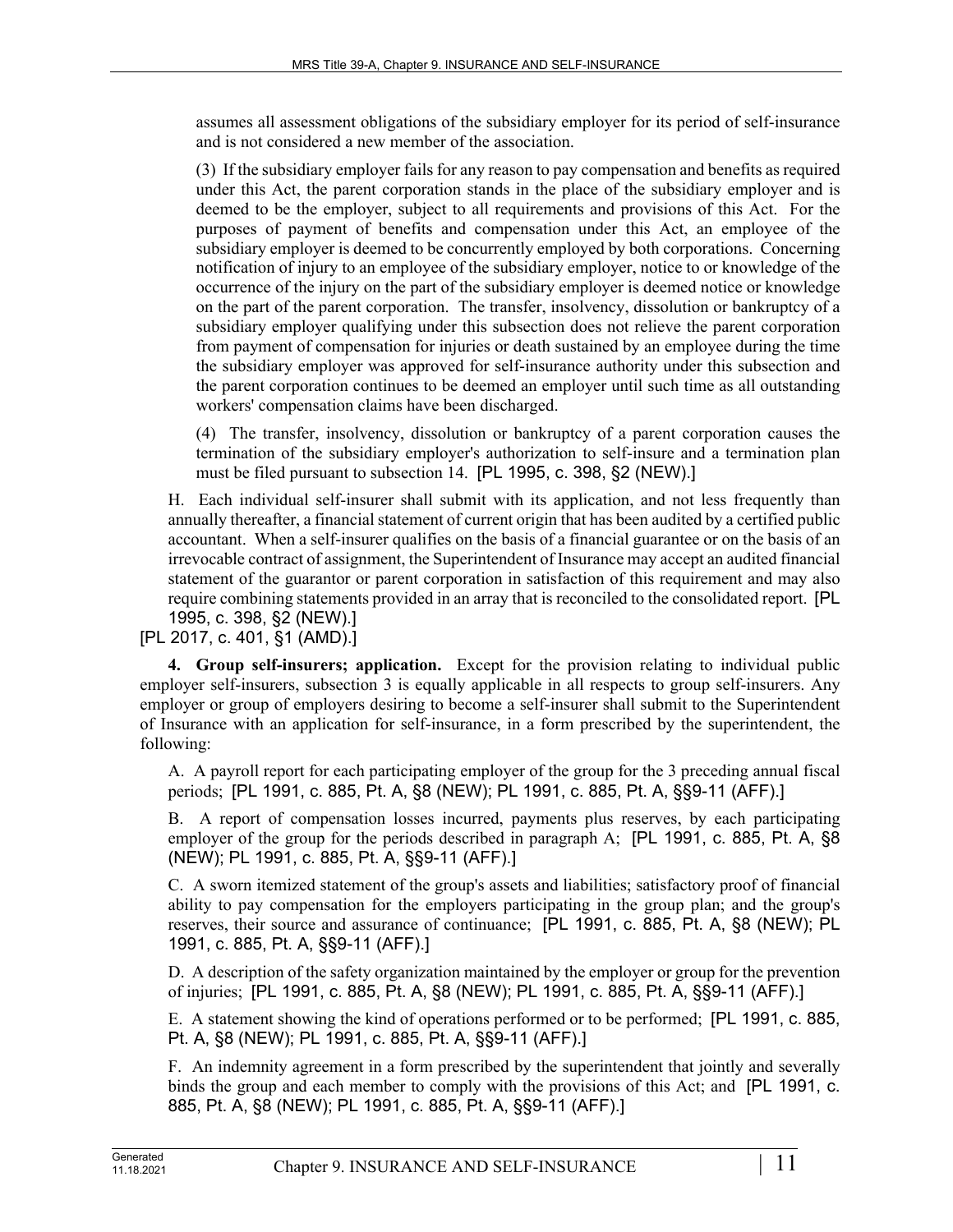assumes all assessment obligations of the subsidiary employer for its period of self-insurance and is not considered a new member of the association.

(3) If the subsidiary employer fails for any reason to pay compensation and benefits as required under this Act, the parent corporation stands in the place of the subsidiary employer and is deemed to be the employer, subject to all requirements and provisions of this Act. For the purposes of payment of benefits and compensation under this Act, an employee of the subsidiary employer is deemed to be concurrently employed by both corporations. Concerning notification of injury to an employee of the subsidiary employer, notice to or knowledge of the occurrence of the injury on the part of the subsidiary employer is deemed notice or knowledge on the part of the parent corporation. The transfer, insolvency, dissolution or bankruptcy of a subsidiary employer qualifying under this subsection does not relieve the parent corporation from payment of compensation for injuries or death sustained by an employee during the time the subsidiary employer was approved for self-insurance authority under this subsection and the parent corporation continues to be deemed an employer until such time as all outstanding workers' compensation claims have been discharged.

(4) The transfer, insolvency, dissolution or bankruptcy of a parent corporation causes the termination of the subsidiary employer's authorization to self-insure and a termination plan must be filed pursuant to subsection 14. [PL 1995, c. 398, §2 (NEW).]

H. Each individual self-insurer shall submit with its application, and not less frequently than annually thereafter, a financial statement of current origin that has been audited by a certified public accountant. When a self-insurer qualifies on the basis of a financial guarantee or on the basis of an irrevocable contract of assignment, the Superintendent of Insurance may accept an audited financial statement of the guarantor or parent corporation in satisfaction of this requirement and may also require combining statements provided in an array that is reconciled to the consolidated report. [PL 1995, c. 398, §2 (NEW).]

[PL 2017, c. 401, §1 (AMD).]

**4. Group self-insurers; application.** Except for the provision relating to individual public employer self-insurers, subsection 3 is equally applicable in all respects to group self-insurers. Any employer or group of employers desiring to become a self-insurer shall submit to the Superintendent of Insurance with an application for self-insurance, in a form prescribed by the superintendent, the following:

A. A payroll report for each participating employer of the group for the 3 preceding annual fiscal periods; [PL 1991, c. 885, Pt. A, §8 (NEW); PL 1991, c. 885, Pt. A, §§9-11 (AFF).]

B. A report of compensation losses incurred, payments plus reserves, by each participating employer of the group for the periods described in paragraph A; [PL 1991, c. 885, Pt. A, §8 (NEW); PL 1991, c. 885, Pt. A, §§9-11 (AFF).]

C. A sworn itemized statement of the group's assets and liabilities; satisfactory proof of financial ability to pay compensation for the employers participating in the group plan; and the group's reserves, their source and assurance of continuance; [PL 1991, c. 885, Pt. A, §8 (NEW); PL 1991, c. 885, Pt. A, §§9-11 (AFF).]

D. A description of the safety organization maintained by the employer or group for the prevention of injuries; [PL 1991, c. 885, Pt. A, §8 (NEW); PL 1991, c. 885, Pt. A, §§9-11 (AFF).]

E. A statement showing the kind of operations performed or to be performed; [PL 1991, c. 885, Pt. A, §8 (NEW); PL 1991, c. 885, Pt. A, §§9-11 (AFF).]

F. An indemnity agreement in a form prescribed by the superintendent that jointly and severally binds the group and each member to comply with the provisions of this Act; and [PL 1991, c. 885, Pt. A, §8 (NEW); PL 1991, c. 885, Pt. A, §§9-11 (AFF).]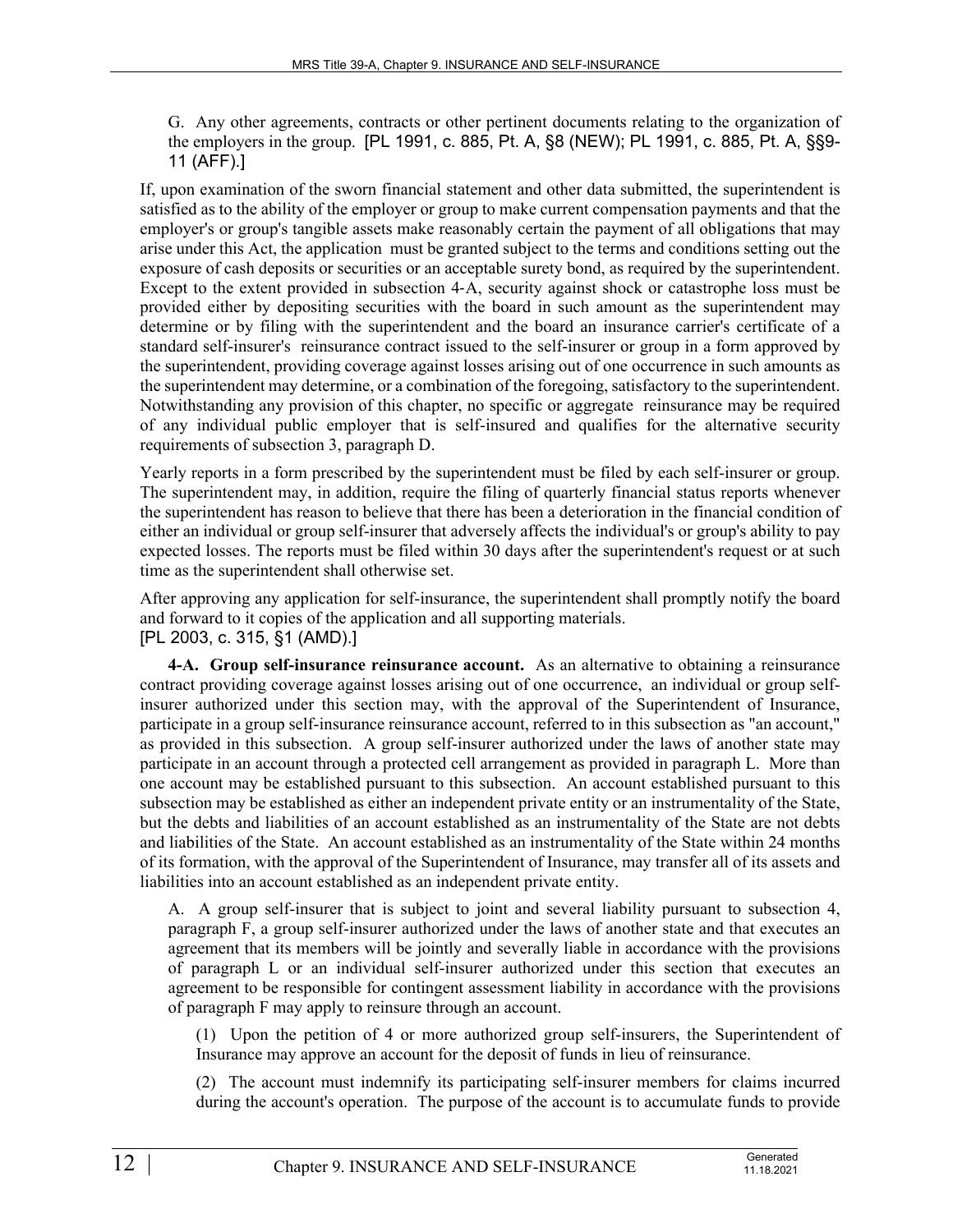G. Any other agreements, contracts or other pertinent documents relating to the organization of the employers in the group. [PL 1991, c. 885, Pt. A, §8 (NEW); PL 1991, c. 885, Pt. A, §§9- 11 (AFF).]

If, upon examination of the sworn financial statement and other data submitted, the superintendent is satisfied as to the ability of the employer or group to make current compensation payments and that the employer's or group's tangible assets make reasonably certain the payment of all obligations that may arise under this Act, the application must be granted subject to the terms and conditions setting out the exposure of cash deposits or securities or an acceptable surety bond, as required by the superintendent. Except to the extent provided in subsection 4‑A, security against shock or catastrophe loss must be provided either by depositing securities with the board in such amount as the superintendent may determine or by filing with the superintendent and the board an insurance carrier's certificate of a standard self-insurer's reinsurance contract issued to the self-insurer or group in a form approved by the superintendent, providing coverage against losses arising out of one occurrence in such amounts as the superintendent may determine, or a combination of the foregoing, satisfactory to the superintendent. Notwithstanding any provision of this chapter, no specific or aggregate reinsurance may be required of any individual public employer that is self-insured and qualifies for the alternative security requirements of subsection 3, paragraph D.

Yearly reports in a form prescribed by the superintendent must be filed by each self-insurer or group. The superintendent may, in addition, require the filing of quarterly financial status reports whenever the superintendent has reason to believe that there has been a deterioration in the financial condition of either an individual or group self-insurer that adversely affects the individual's or group's ability to pay expected losses. The reports must be filed within 30 days after the superintendent's request or at such time as the superintendent shall otherwise set.

After approving any application for self-insurance, the superintendent shall promptly notify the board and forward to it copies of the application and all supporting materials. [PL 2003, c. 315, §1 (AMD).]

**4-A. Group self-insurance reinsurance account.** As an alternative to obtaining a reinsurance contract providing coverage against losses arising out of one occurrence, an individual or group selfinsurer authorized under this section may, with the approval of the Superintendent of Insurance, participate in a group self-insurance reinsurance account, referred to in this subsection as "an account," as provided in this subsection. A group self-insurer authorized under the laws of another state may participate in an account through a protected cell arrangement as provided in paragraph L. More than one account may be established pursuant to this subsection. An account established pursuant to this subsection may be established as either an independent private entity or an instrumentality of the State, but the debts and liabilities of an account established as an instrumentality of the State are not debts and liabilities of the State. An account established as an instrumentality of the State within 24 months of its formation, with the approval of the Superintendent of Insurance, may transfer all of its assets and liabilities into an account established as an independent private entity.

A. A group self-insurer that is subject to joint and several liability pursuant to subsection 4, paragraph F, a group self-insurer authorized under the laws of another state and that executes an agreement that its members will be jointly and severally liable in accordance with the provisions of paragraph L or an individual self-insurer authorized under this section that executes an agreement to be responsible for contingent assessment liability in accordance with the provisions of paragraph F may apply to reinsure through an account.

(1) Upon the petition of 4 or more authorized group self-insurers, the Superintendent of Insurance may approve an account for the deposit of funds in lieu of reinsurance.

(2) The account must indemnify its participating self-insurer members for claims incurred during the account's operation. The purpose of the account is to accumulate funds to provide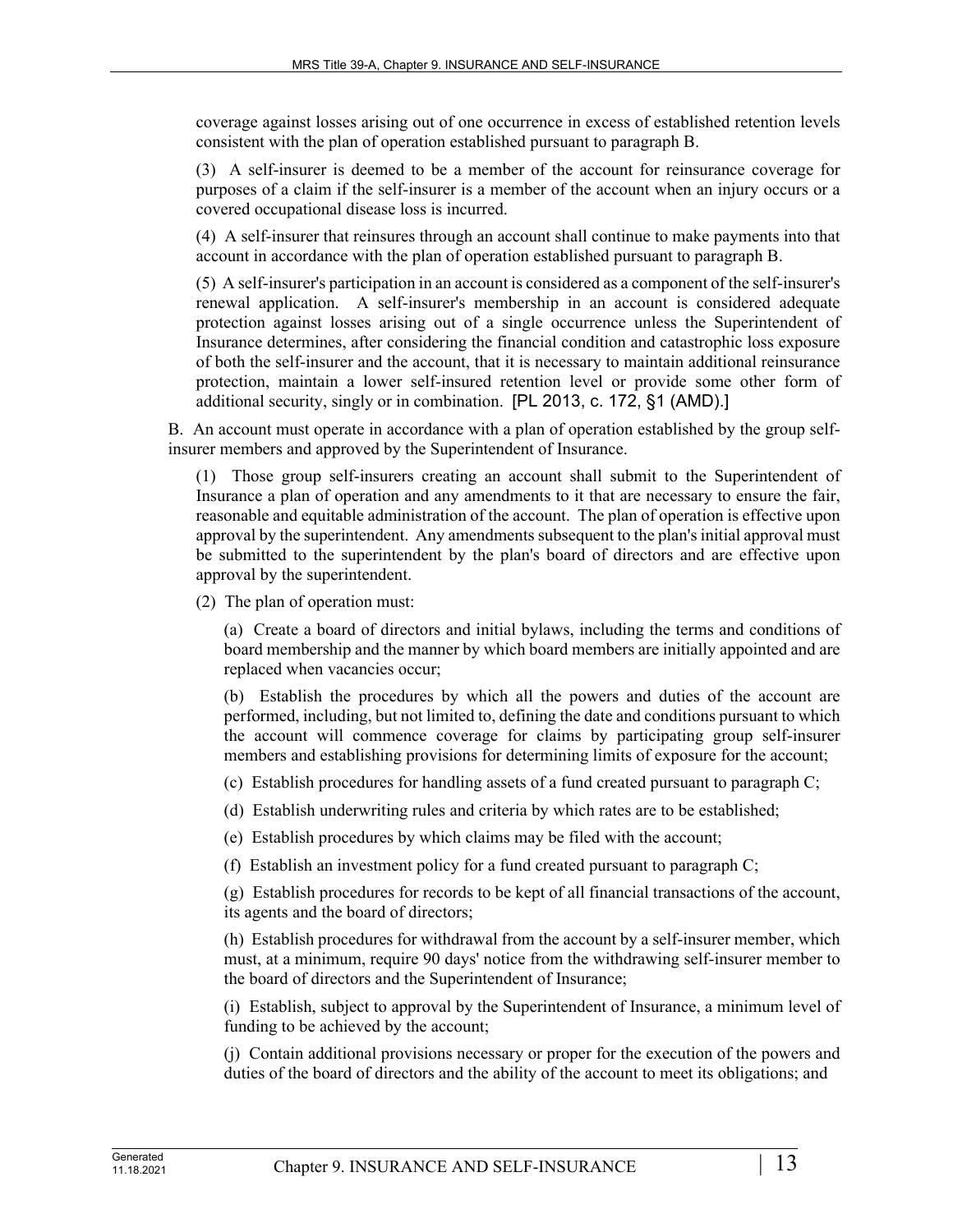coverage against losses arising out of one occurrence in excess of established retention levels consistent with the plan of operation established pursuant to paragraph B.

(3) A self-insurer is deemed to be a member of the account for reinsurance coverage for purposes of a claim if the self-insurer is a member of the account when an injury occurs or a covered occupational disease loss is incurred.

(4) A self-insurer that reinsures through an account shall continue to make payments into that account in accordance with the plan of operation established pursuant to paragraph B.

(5) A self-insurer's participation in an account is considered as a component of the self-insurer's renewal application. A self-insurer's membership in an account is considered adequate protection against losses arising out of a single occurrence unless the Superintendent of Insurance determines, after considering the financial condition and catastrophic loss exposure of both the self-insurer and the account, that it is necessary to maintain additional reinsurance protection, maintain a lower self-insured retention level or provide some other form of additional security, singly or in combination. [PL 2013, c. 172, §1 (AMD).]

B. An account must operate in accordance with a plan of operation established by the group selfinsurer members and approved by the Superintendent of Insurance.

(1) Those group self-insurers creating an account shall submit to the Superintendent of Insurance a plan of operation and any amendments to it that are necessary to ensure the fair, reasonable and equitable administration of the account. The plan of operation is effective upon approval by the superintendent. Any amendments subsequent to the plan's initial approval must be submitted to the superintendent by the plan's board of directors and are effective upon approval by the superintendent.

(2) The plan of operation must:

(a) Create a board of directors and initial bylaws, including the terms and conditions of board membership and the manner by which board members are initially appointed and are replaced when vacancies occur;

(b) Establish the procedures by which all the powers and duties of the account are performed, including, but not limited to, defining the date and conditions pursuant to which the account will commence coverage for claims by participating group self-insurer members and establishing provisions for determining limits of exposure for the account;

- (c) Establish procedures for handling assets of a fund created pursuant to paragraph C;
- (d) Establish underwriting rules and criteria by which rates are to be established;
- (e) Establish procedures by which claims may be filed with the account;
- (f) Establish an investment policy for a fund created pursuant to paragraph C;

(g) Establish procedures for records to be kept of all financial transactions of the account, its agents and the board of directors;

(h) Establish procedures for withdrawal from the account by a self-insurer member, which must, at a minimum, require 90 days' notice from the withdrawing self-insurer member to the board of directors and the Superintendent of Insurance;

(i) Establish, subject to approval by the Superintendent of Insurance, a minimum level of funding to be achieved by the account;

(j) Contain additional provisions necessary or proper for the execution of the powers and duties of the board of directors and the ability of the account to meet its obligations; and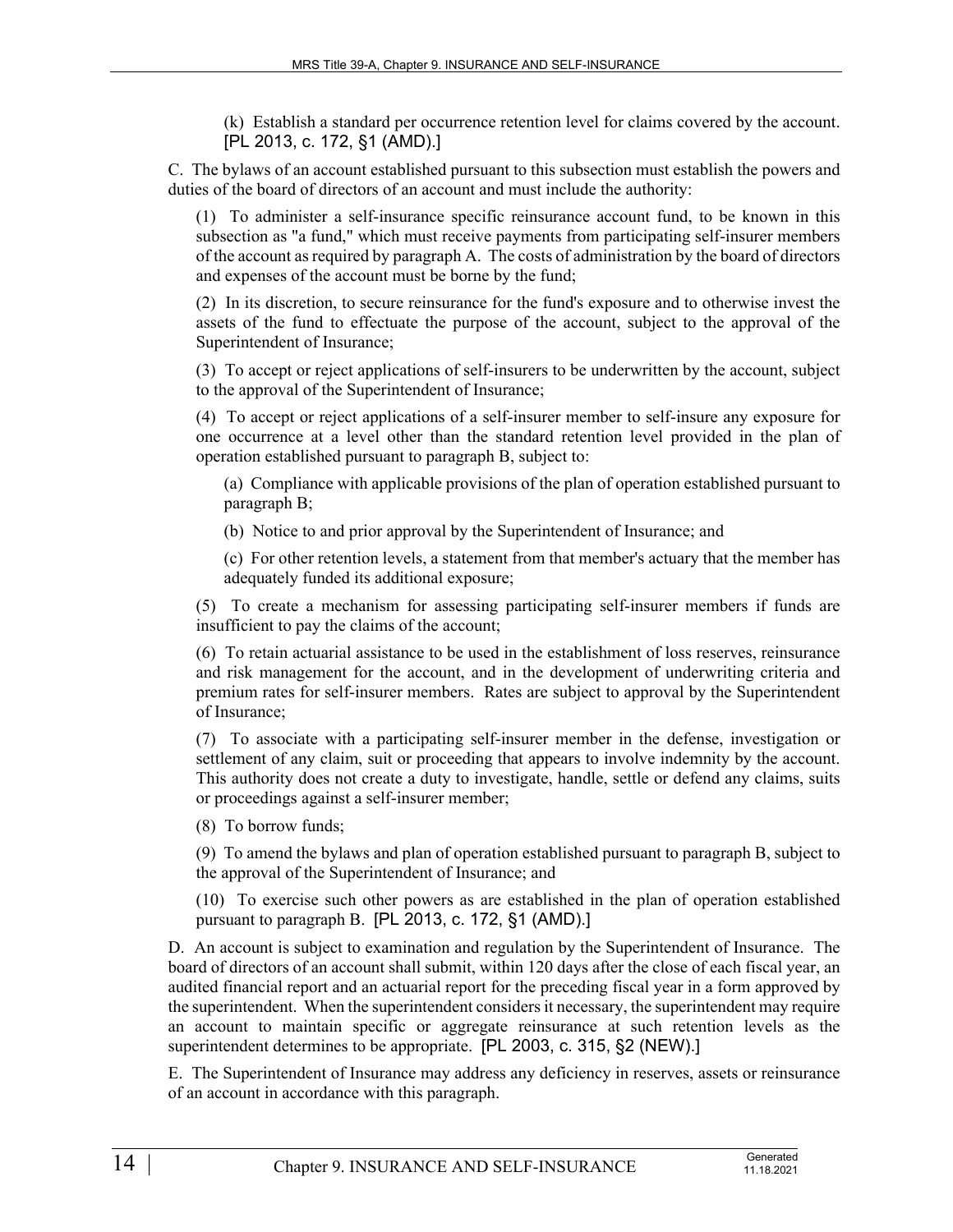(k) Establish a standard per occurrence retention level for claims covered by the account. [PL 2013, c. 172, §1 (AMD).]

C. The bylaws of an account established pursuant to this subsection must establish the powers and duties of the board of directors of an account and must include the authority:

(1) To administer a self-insurance specific reinsurance account fund, to be known in this subsection as "a fund," which must receive payments from participating self-insurer members of the account as required by paragraph A. The costs of administration by the board of directors and expenses of the account must be borne by the fund;

(2) In its discretion, to secure reinsurance for the fund's exposure and to otherwise invest the assets of the fund to effectuate the purpose of the account, subject to the approval of the Superintendent of Insurance;

(3) To accept or reject applications of self-insurers to be underwritten by the account, subject to the approval of the Superintendent of Insurance;

(4) To accept or reject applications of a self-insurer member to self-insure any exposure for one occurrence at a level other than the standard retention level provided in the plan of operation established pursuant to paragraph B, subject to:

(a) Compliance with applicable provisions of the plan of operation established pursuant to paragraph B;

(b) Notice to and prior approval by the Superintendent of Insurance; and

(c) For other retention levels, a statement from that member's actuary that the member has adequately funded its additional exposure;

(5) To create a mechanism for assessing participating self-insurer members if funds are insufficient to pay the claims of the account;

(6) To retain actuarial assistance to be used in the establishment of loss reserves, reinsurance and risk management for the account, and in the development of underwriting criteria and premium rates for self-insurer members. Rates are subject to approval by the Superintendent of Insurance;

(7) To associate with a participating self-insurer member in the defense, investigation or settlement of any claim, suit or proceeding that appears to involve indemnity by the account. This authority does not create a duty to investigate, handle, settle or defend any claims, suits or proceedings against a self-insurer member;

(8) To borrow funds;

(9) To amend the bylaws and plan of operation established pursuant to paragraph B, subject to the approval of the Superintendent of Insurance; and

(10) To exercise such other powers as are established in the plan of operation established pursuant to paragraph B. [PL 2013, c. 172, §1 (AMD).]

D. An account is subject to examination and regulation by the Superintendent of Insurance. The board of directors of an account shall submit, within 120 days after the close of each fiscal year, an audited financial report and an actuarial report for the preceding fiscal year in a form approved by the superintendent. When the superintendent considers it necessary, the superintendent may require an account to maintain specific or aggregate reinsurance at such retention levels as the superintendent determines to be appropriate. [PL 2003, c. 315, §2 (NEW).]

E. The Superintendent of Insurance may address any deficiency in reserves, assets or reinsurance of an account in accordance with this paragraph.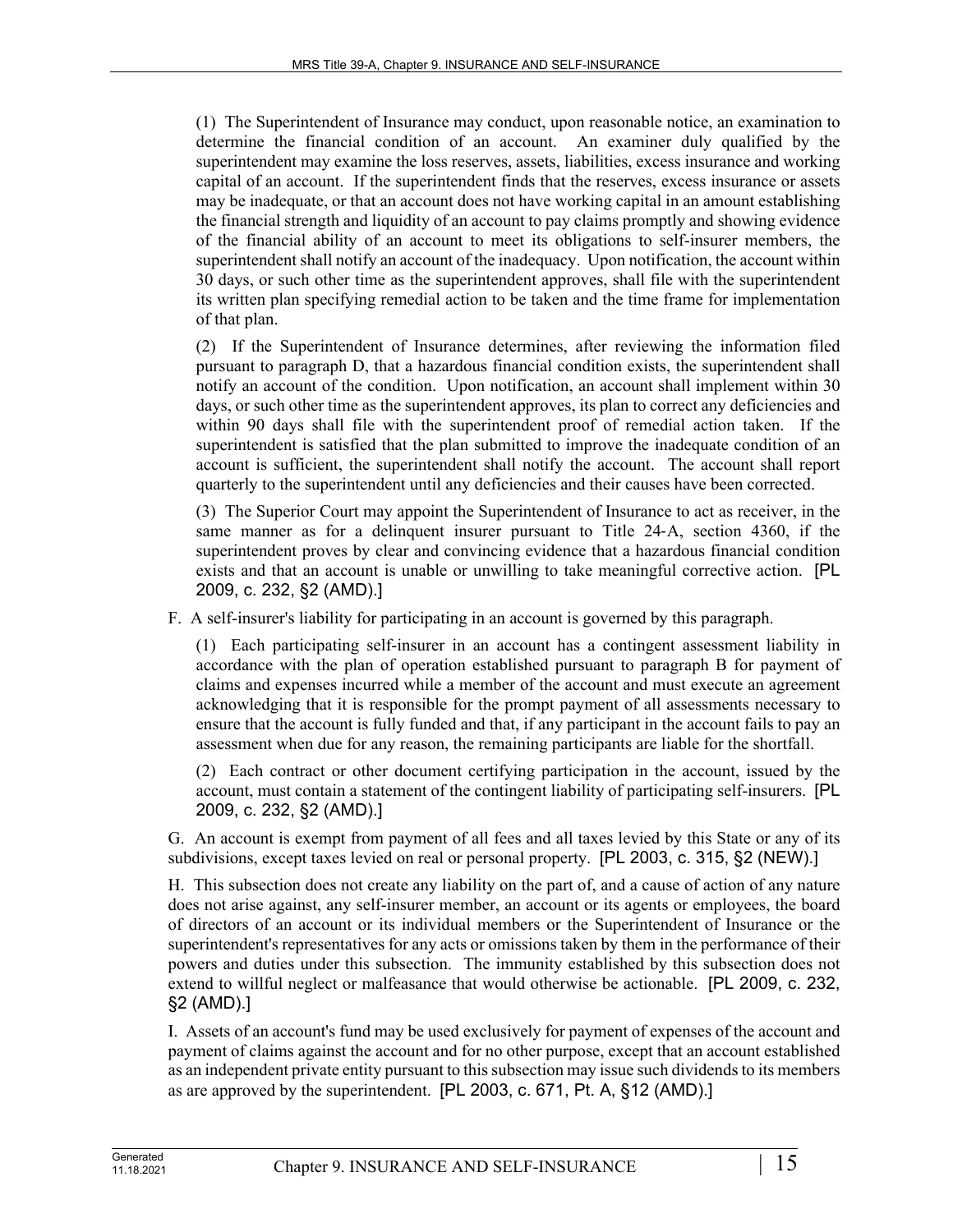(1) The Superintendent of Insurance may conduct, upon reasonable notice, an examination to determine the financial condition of an account. An examiner duly qualified by the superintendent may examine the loss reserves, assets, liabilities, excess insurance and working capital of an account. If the superintendent finds that the reserves, excess insurance or assets may be inadequate, or that an account does not have working capital in an amount establishing the financial strength and liquidity of an account to pay claims promptly and showing evidence of the financial ability of an account to meet its obligations to self-insurer members, the superintendent shall notify an account of the inadequacy. Upon notification, the account within 30 days, or such other time as the superintendent approves, shall file with the superintendent its written plan specifying remedial action to be taken and the time frame for implementation of that plan.

(2) If the Superintendent of Insurance determines, after reviewing the information filed pursuant to paragraph D, that a hazardous financial condition exists, the superintendent shall notify an account of the condition. Upon notification, an account shall implement within 30 days, or such other time as the superintendent approves, its plan to correct any deficiencies and within 90 days shall file with the superintendent proof of remedial action taken. If the superintendent is satisfied that the plan submitted to improve the inadequate condition of an account is sufficient, the superintendent shall notify the account. The account shall report quarterly to the superintendent until any deficiencies and their causes have been corrected.

(3) The Superior Court may appoint the Superintendent of Insurance to act as receiver, in the same manner as for a delinquent insurer pursuant to Title 24–A, section 4360, if the superintendent proves by clear and convincing evidence that a hazardous financial condition exists and that an account is unable or unwilling to take meaningful corrective action. [PL 2009, c. 232, §2 (AMD).]

F. A self-insurer's liability for participating in an account is governed by this paragraph.

(1) Each participating self-insurer in an account has a contingent assessment liability in accordance with the plan of operation established pursuant to paragraph B for payment of claims and expenses incurred while a member of the account and must execute an agreement acknowledging that it is responsible for the prompt payment of all assessments necessary to ensure that the account is fully funded and that, if any participant in the account fails to pay an assessment when due for any reason, the remaining participants are liable for the shortfall.

(2) Each contract or other document certifying participation in the account, issued by the account, must contain a statement of the contingent liability of participating self-insurers. [PL 2009, c. 232, §2 (AMD).]

G. An account is exempt from payment of all fees and all taxes levied by this State or any of its subdivisions, except taxes levied on real or personal property. [PL 2003, c. 315, §2 (NEW).]

H. This subsection does not create any liability on the part of, and a cause of action of any nature does not arise against, any self-insurer member, an account or its agents or employees, the board of directors of an account or its individual members or the Superintendent of Insurance or the superintendent's representatives for any acts or omissions taken by them in the performance of their powers and duties under this subsection. The immunity established by this subsection does not extend to willful neglect or malfeasance that would otherwise be actionable. [PL 2009, c. 232, §2 (AMD).]

I. Assets of an account's fund may be used exclusively for payment of expenses of the account and payment of claims against the account and for no other purpose, except that an account established as an independent private entity pursuant to this subsection may issue such dividends to its members as are approved by the superintendent. [PL 2003, c. 671, Pt. A, §12 (AMD).]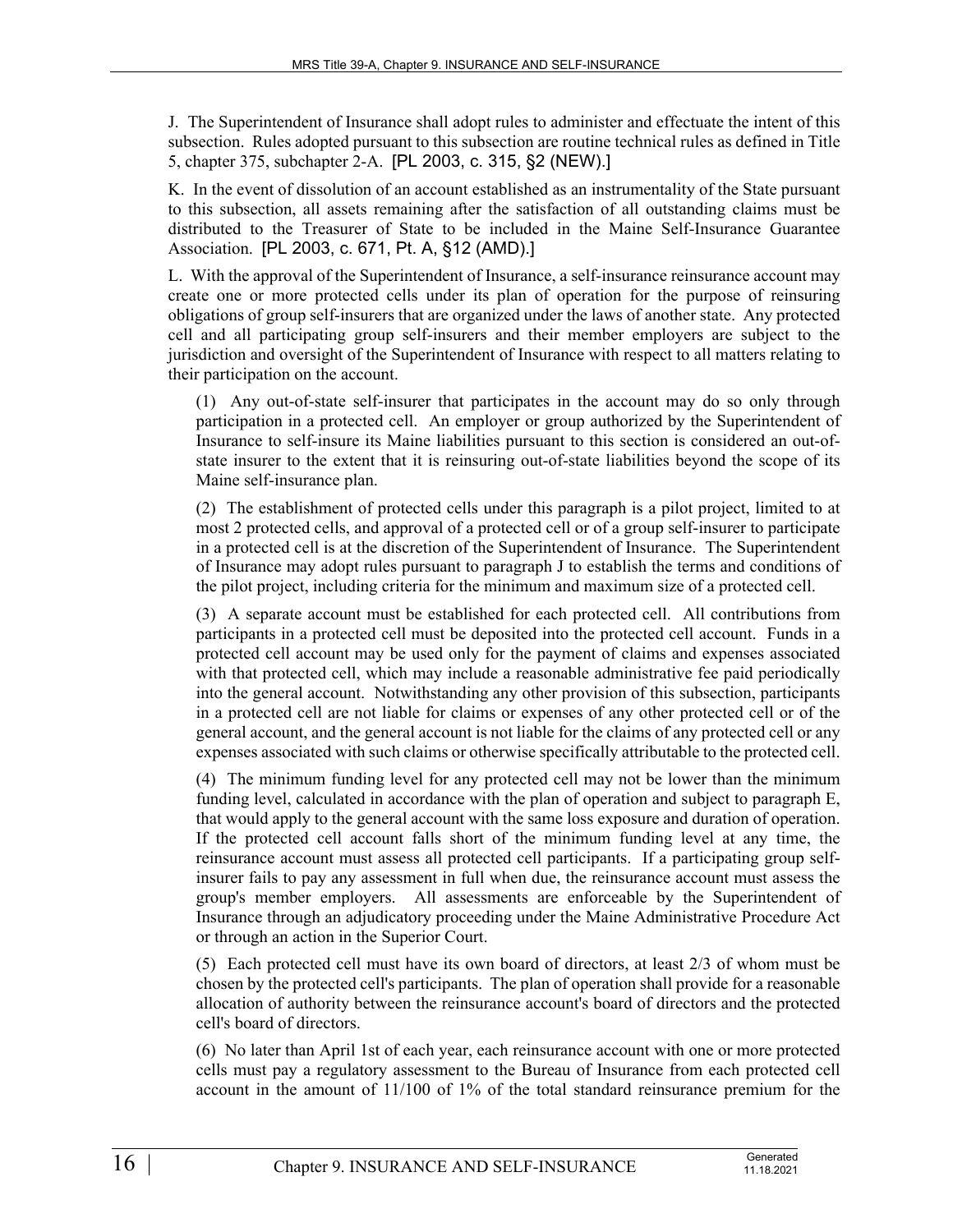J. The Superintendent of Insurance shall adopt rules to administer and effectuate the intent of this subsection. Rules adopted pursuant to this subsection are routine technical rules as defined in Title 5, chapter 375, subchapter 2-A. [PL 2003, c. 315, §2 (NEW).]

K. In the event of dissolution of an account established as an instrumentality of the State pursuant to this subsection, all assets remaining after the satisfaction of all outstanding claims must be distributed to the Treasurer of State to be included in the Maine Self-Insurance Guarantee Association. [PL 2003, c. 671, Pt. A, §12 (AMD).]

L. With the approval of the Superintendent of Insurance, a self-insurance reinsurance account may create one or more protected cells under its plan of operation for the purpose of reinsuring obligations of group self-insurers that are organized under the laws of another state. Any protected cell and all participating group self-insurers and their member employers are subject to the jurisdiction and oversight of the Superintendent of Insurance with respect to all matters relating to their participation on the account.

(1) Any out-of-state self-insurer that participates in the account may do so only through participation in a protected cell. An employer or group authorized by the Superintendent of Insurance to self-insure its Maine liabilities pursuant to this section is considered an out-ofstate insurer to the extent that it is reinsuring out-of-state liabilities beyond the scope of its Maine self-insurance plan.

(2) The establishment of protected cells under this paragraph is a pilot project, limited to at most 2 protected cells, and approval of a protected cell or of a group self-insurer to participate in a protected cell is at the discretion of the Superintendent of Insurance. The Superintendent of Insurance may adopt rules pursuant to paragraph J to establish the terms and conditions of the pilot project, including criteria for the minimum and maximum size of a protected cell.

(3) A separate account must be established for each protected cell. All contributions from participants in a protected cell must be deposited into the protected cell account. Funds in a protected cell account may be used only for the payment of claims and expenses associated with that protected cell, which may include a reasonable administrative fee paid periodically into the general account. Notwithstanding any other provision of this subsection, participants in a protected cell are not liable for claims or expenses of any other protected cell or of the general account, and the general account is not liable for the claims of any protected cell or any expenses associated with such claims or otherwise specifically attributable to the protected cell.

(4) The minimum funding level for any protected cell may not be lower than the minimum funding level, calculated in accordance with the plan of operation and subject to paragraph E, that would apply to the general account with the same loss exposure and duration of operation. If the protected cell account falls short of the minimum funding level at any time, the reinsurance account must assess all protected cell participants. If a participating group selfinsurer fails to pay any assessment in full when due, the reinsurance account must assess the group's member employers. All assessments are enforceable by the Superintendent of Insurance through an adjudicatory proceeding under the Maine Administrative Procedure Act or through an action in the Superior Court.

(5) Each protected cell must have its own board of directors, at least 2/3 of whom must be chosen by the protected cell's participants. The plan of operation shall provide for a reasonable allocation of authority between the reinsurance account's board of directors and the protected cell's board of directors.

(6) No later than April 1st of each year, each reinsurance account with one or more protected cells must pay a regulatory assessment to the Bureau of Insurance from each protected cell account in the amount of 11/100 of 1% of the total standard reinsurance premium for the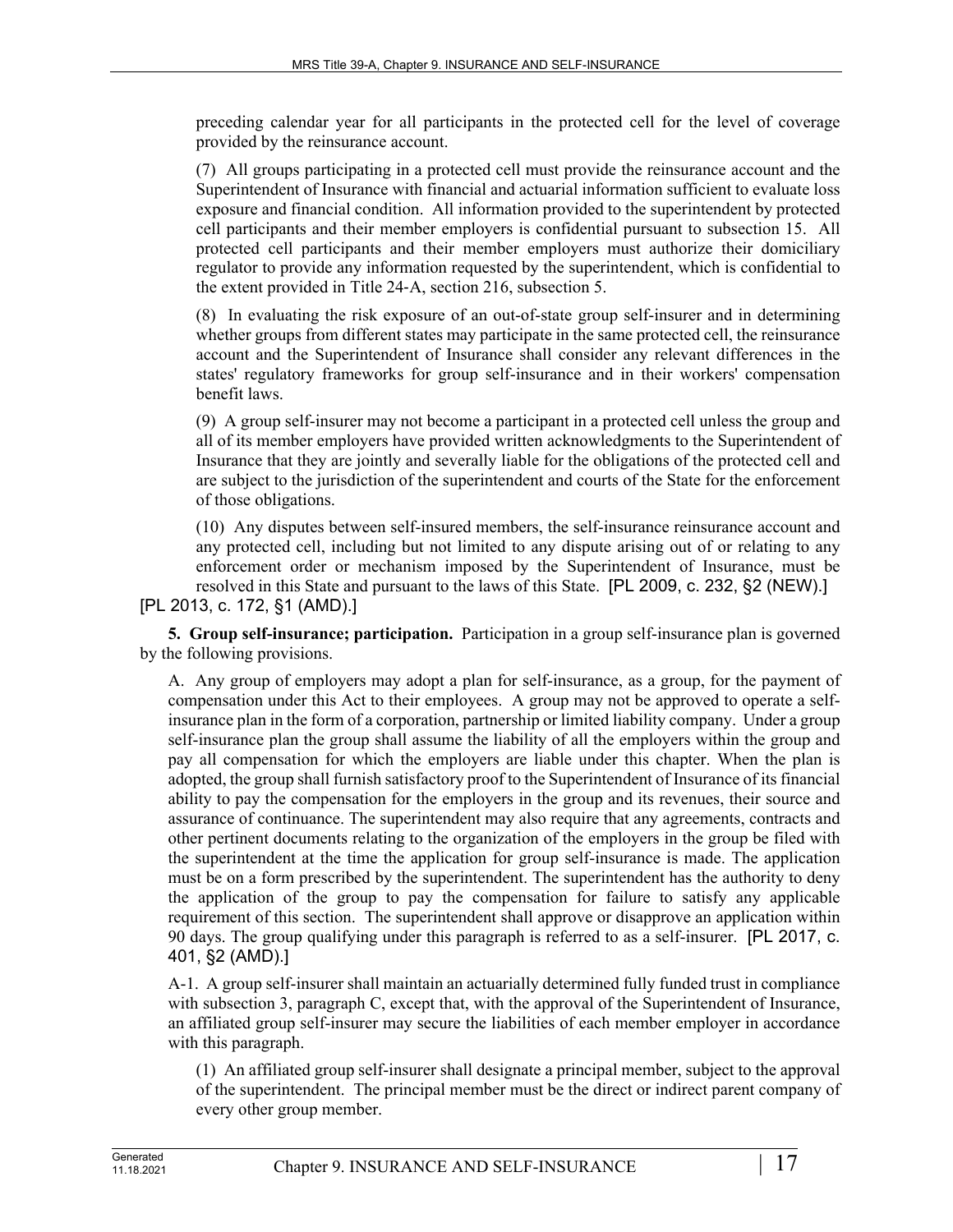preceding calendar year for all participants in the protected cell for the level of coverage provided by the reinsurance account.

(7) All groups participating in a protected cell must provide the reinsurance account and the Superintendent of Insurance with financial and actuarial information sufficient to evaluate loss exposure and financial condition. All information provided to the superintendent by protected cell participants and their member employers is confidential pursuant to subsection 15. All protected cell participants and their member employers must authorize their domiciliary regulator to provide any information requested by the superintendent, which is confidential to the extent provided in Title 24‑A, section 216, subsection 5.

(8) In evaluating the risk exposure of an out-of-state group self-insurer and in determining whether groups from different states may participate in the same protected cell, the reinsurance account and the Superintendent of Insurance shall consider any relevant differences in the states' regulatory frameworks for group self-insurance and in their workers' compensation benefit laws.

(9) A group self-insurer may not become a participant in a protected cell unless the group and all of its member employers have provided written acknowledgments to the Superintendent of Insurance that they are jointly and severally liable for the obligations of the protected cell and are subject to the jurisdiction of the superintendent and courts of the State for the enforcement of those obligations.

(10) Any disputes between self-insured members, the self-insurance reinsurance account and any protected cell, including but not limited to any dispute arising out of or relating to any enforcement order or mechanism imposed by the Superintendent of Insurance, must be resolved in this State and pursuant to the laws of this State. [PL 2009, c. 232, §2 (NEW).]

[PL 2013, c. 172, §1 (AMD).]

**5. Group self-insurance; participation.** Participation in a group self-insurance plan is governed by the following provisions.

A. Any group of employers may adopt a plan for self-insurance, as a group, for the payment of compensation under this Act to their employees. A group may not be approved to operate a selfinsurance plan in the form of a corporation, partnership or limited liability company. Under a group self-insurance plan the group shall assume the liability of all the employers within the group and pay all compensation for which the employers are liable under this chapter. When the plan is adopted, the group shall furnish satisfactory proof to the Superintendent of Insurance of its financial ability to pay the compensation for the employers in the group and its revenues, their source and assurance of continuance. The superintendent may also require that any agreements, contracts and other pertinent documents relating to the organization of the employers in the group be filed with the superintendent at the time the application for group self-insurance is made. The application must be on a form prescribed by the superintendent. The superintendent has the authority to deny the application of the group to pay the compensation for failure to satisfy any applicable requirement of this section. The superintendent shall approve or disapprove an application within 90 days. The group qualifying under this paragraph is referred to as a self-insurer. [PL 2017, c. 401, §2 (AMD).]

A-1. A group self-insurer shall maintain an actuarially determined fully funded trust in compliance with subsection 3, paragraph C, except that, with the approval of the Superintendent of Insurance, an affiliated group self-insurer may secure the liabilities of each member employer in accordance with this paragraph.

(1) An affiliated group self-insurer shall designate a principal member, subject to the approval of the superintendent. The principal member must be the direct or indirect parent company of every other group member.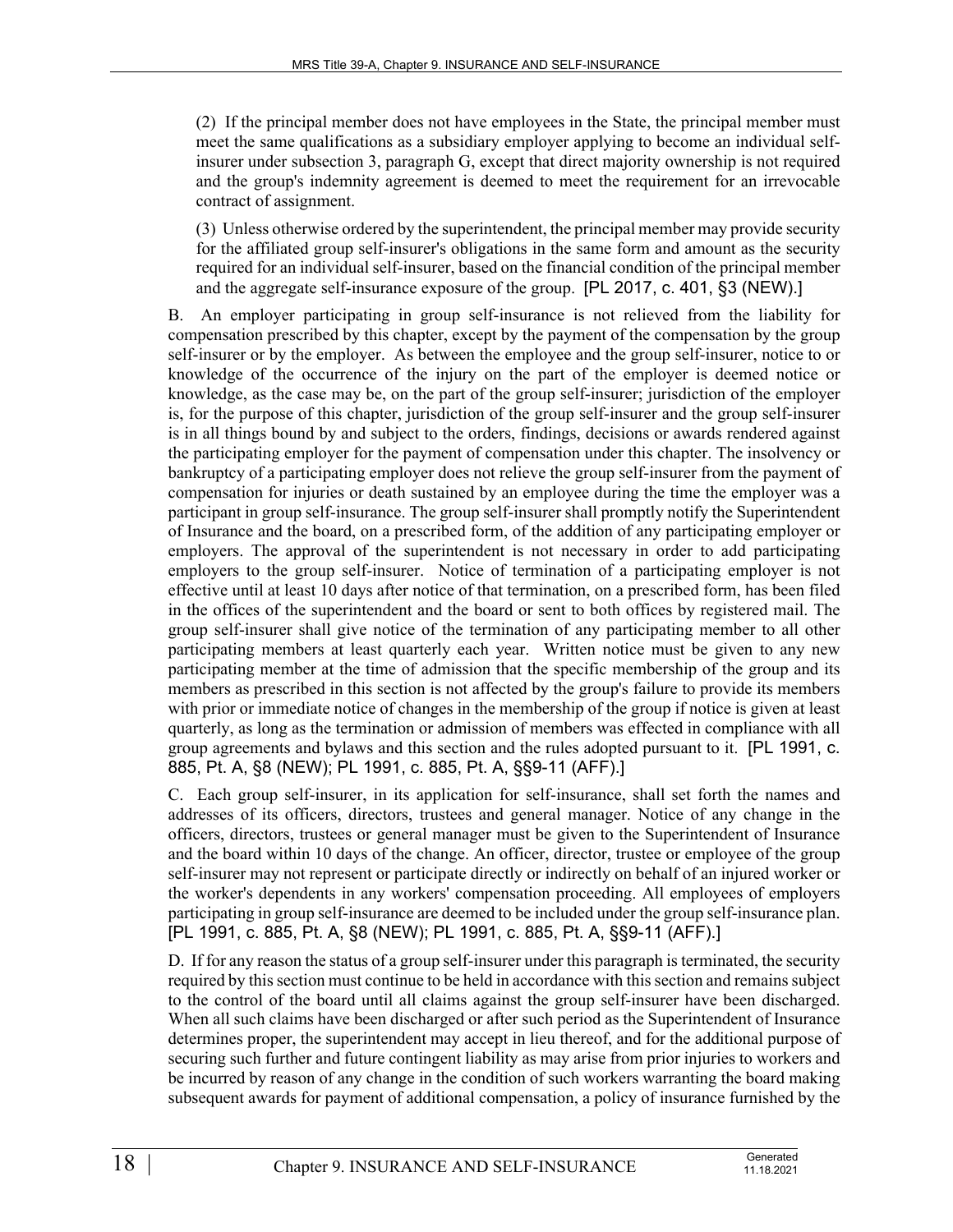(2) If the principal member does not have employees in the State, the principal member must meet the same qualifications as a subsidiary employer applying to become an individual selfinsurer under subsection 3, paragraph G, except that direct majority ownership is not required and the group's indemnity agreement is deemed to meet the requirement for an irrevocable contract of assignment.

(3) Unless otherwise ordered by the superintendent, the principal member may provide security for the affiliated group self-insurer's obligations in the same form and amount as the security required for an individual self-insurer, based on the financial condition of the principal member and the aggregate self-insurance exposure of the group. [PL 2017, c. 401, §3 (NEW).]

B. An employer participating in group self-insurance is not relieved from the liability for compensation prescribed by this chapter, except by the payment of the compensation by the group self-insurer or by the employer. As between the employee and the group self-insurer, notice to or knowledge of the occurrence of the injury on the part of the employer is deemed notice or knowledge, as the case may be, on the part of the group self-insurer; jurisdiction of the employer is, for the purpose of this chapter, jurisdiction of the group self-insurer and the group self-insurer is in all things bound by and subject to the orders, findings, decisions or awards rendered against the participating employer for the payment of compensation under this chapter. The insolvency or bankruptcy of a participating employer does not relieve the group self-insurer from the payment of compensation for injuries or death sustained by an employee during the time the employer was a participant in group self-insurance. The group self-insurer shall promptly notify the Superintendent of Insurance and the board, on a prescribed form, of the addition of any participating employer or employers. The approval of the superintendent is not necessary in order to add participating employers to the group self-insurer. Notice of termination of a participating employer is not effective until at least 10 days after notice of that termination, on a prescribed form, has been filed in the offices of the superintendent and the board or sent to both offices by registered mail. The group self-insurer shall give notice of the termination of any participating member to all other participating members at least quarterly each year. Written notice must be given to any new participating member at the time of admission that the specific membership of the group and its members as prescribed in this section is not affected by the group's failure to provide its members with prior or immediate notice of changes in the membership of the group if notice is given at least quarterly, as long as the termination or admission of members was effected in compliance with all group agreements and bylaws and this section and the rules adopted pursuant to it. [PL 1991, c. 885, Pt. A, §8 (NEW); PL 1991, c. 885, Pt. A, §§9-11 (AFF).]

C. Each group self-insurer, in its application for self-insurance, shall set forth the names and addresses of its officers, directors, trustees and general manager. Notice of any change in the officers, directors, trustees or general manager must be given to the Superintendent of Insurance and the board within 10 days of the change. An officer, director, trustee or employee of the group self-insurer may not represent or participate directly or indirectly on behalf of an injured worker or the worker's dependents in any workers' compensation proceeding. All employees of employers participating in group self-insurance are deemed to be included under the group self-insurance plan. [PL 1991, c. 885, Pt. A, §8 (NEW); PL 1991, c. 885, Pt. A, §§9-11 (AFF).]

D. If for any reason the status of a group self-insurer under this paragraph is terminated, the security required by this section must continue to be held in accordance with this section and remains subject to the control of the board until all claims against the group self-insurer have been discharged. When all such claims have been discharged or after such period as the Superintendent of Insurance determines proper, the superintendent may accept in lieu thereof, and for the additional purpose of securing such further and future contingent liability as may arise from prior injuries to workers and be incurred by reason of any change in the condition of such workers warranting the board making subsequent awards for payment of additional compensation, a policy of insurance furnished by the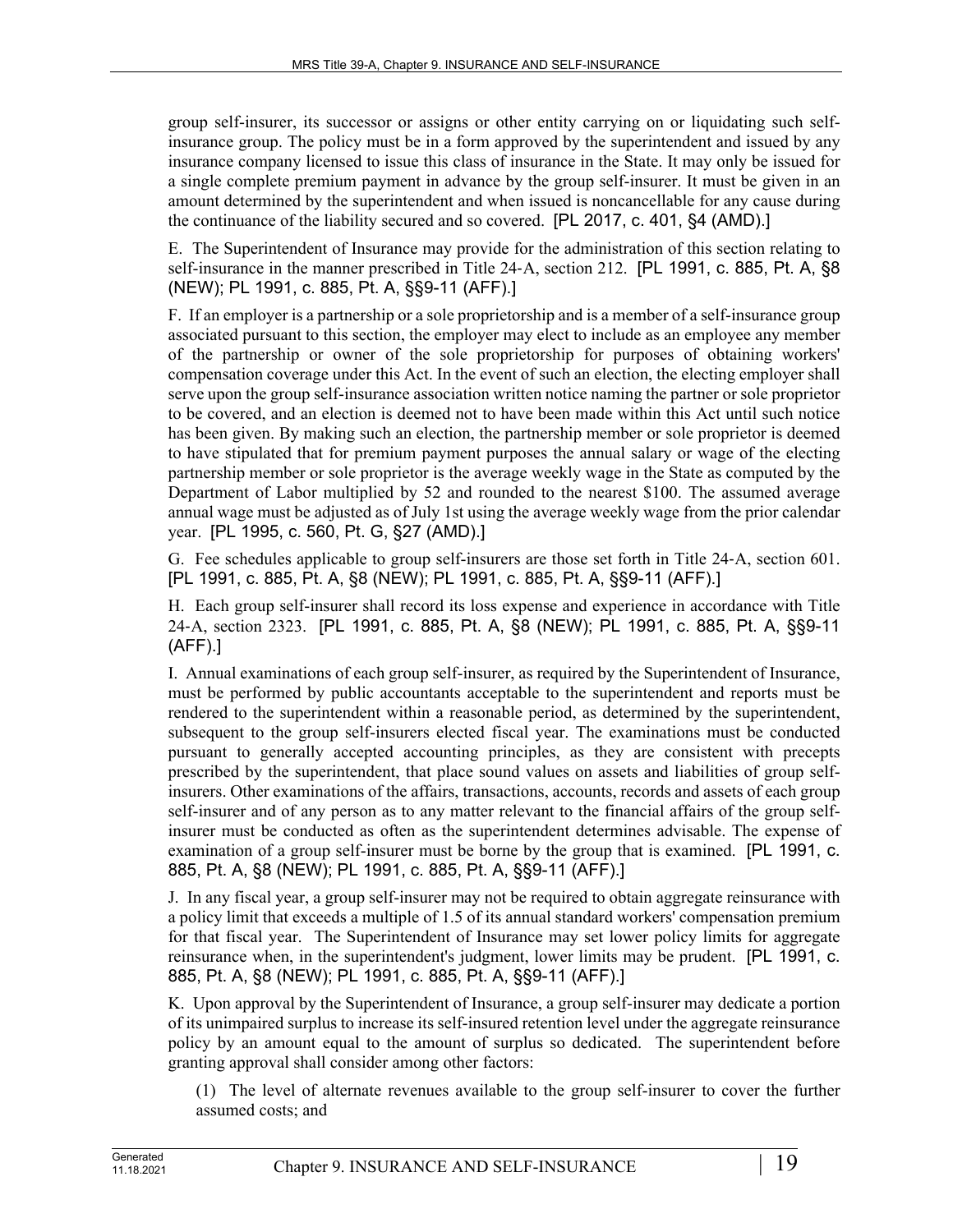group self-insurer, its successor or assigns or other entity carrying on or liquidating such selfinsurance group. The policy must be in a form approved by the superintendent and issued by any insurance company licensed to issue this class of insurance in the State. It may only be issued for a single complete premium payment in advance by the group self-insurer. It must be given in an amount determined by the superintendent and when issued is noncancellable for any cause during the continuance of the liability secured and so covered. [PL 2017, c. 401, §4 (AMD).]

E. The Superintendent of Insurance may provide for the administration of this section relating to self-insurance in the manner prescribed in Title 24-A, section 212. [PL 1991, c. 885, Pt. A, §8 (NEW); PL 1991, c. 885, Pt. A, §§9-11 (AFF).]

F. If an employer is a partnership or a sole proprietorship and is a member of a self-insurance group associated pursuant to this section, the employer may elect to include as an employee any member of the partnership or owner of the sole proprietorship for purposes of obtaining workers' compensation coverage under this Act. In the event of such an election, the electing employer shall serve upon the group self-insurance association written notice naming the partner or sole proprietor to be covered, and an election is deemed not to have been made within this Act until such notice has been given. By making such an election, the partnership member or sole proprietor is deemed to have stipulated that for premium payment purposes the annual salary or wage of the electing partnership member or sole proprietor is the average weekly wage in the State as computed by the Department of Labor multiplied by 52 and rounded to the nearest \$100. The assumed average annual wage must be adjusted as of July 1st using the average weekly wage from the prior calendar year. [PL 1995, c. 560, Pt. G, §27 (AMD).]

G. Fee schedules applicable to group self-insurers are those set forth in Title 24‑A, section 601. [PL 1991, c. 885, Pt. A, §8 (NEW); PL 1991, c. 885, Pt. A, §§9-11 (AFF).]

H. Each group self-insurer shall record its loss expense and experience in accordance with Title 24‑A, section 2323. [PL 1991, c. 885, Pt. A, §8 (NEW); PL 1991, c. 885, Pt. A, §§9-11 (AFF).]

I. Annual examinations of each group self-insurer, as required by the Superintendent of Insurance, must be performed by public accountants acceptable to the superintendent and reports must be rendered to the superintendent within a reasonable period, as determined by the superintendent, subsequent to the group self-insurers elected fiscal year. The examinations must be conducted pursuant to generally accepted accounting principles, as they are consistent with precepts prescribed by the superintendent, that place sound values on assets and liabilities of group selfinsurers. Other examinations of the affairs, transactions, accounts, records and assets of each group self-insurer and of any person as to any matter relevant to the financial affairs of the group selfinsurer must be conducted as often as the superintendent determines advisable. The expense of examination of a group self-insurer must be borne by the group that is examined. [PL 1991, c. 885, Pt. A, §8 (NEW); PL 1991, c. 885, Pt. A, §§9-11 (AFF).]

J. In any fiscal year, a group self-insurer may not be required to obtain aggregate reinsurance with a policy limit that exceeds a multiple of 1.5 of its annual standard workers' compensation premium for that fiscal year. The Superintendent of Insurance may set lower policy limits for aggregate reinsurance when, in the superintendent's judgment, lower limits may be prudent. [PL 1991, c. 885, Pt. A, §8 (NEW); PL 1991, c. 885, Pt. A, §§9-11 (AFF).]

K. Upon approval by the Superintendent of Insurance, a group self-insurer may dedicate a portion of its unimpaired surplus to increase its self-insured retention level under the aggregate reinsurance policy by an amount equal to the amount of surplus so dedicated. The superintendent before granting approval shall consider among other factors:

(1) The level of alternate revenues available to the group self-insurer to cover the further assumed costs; and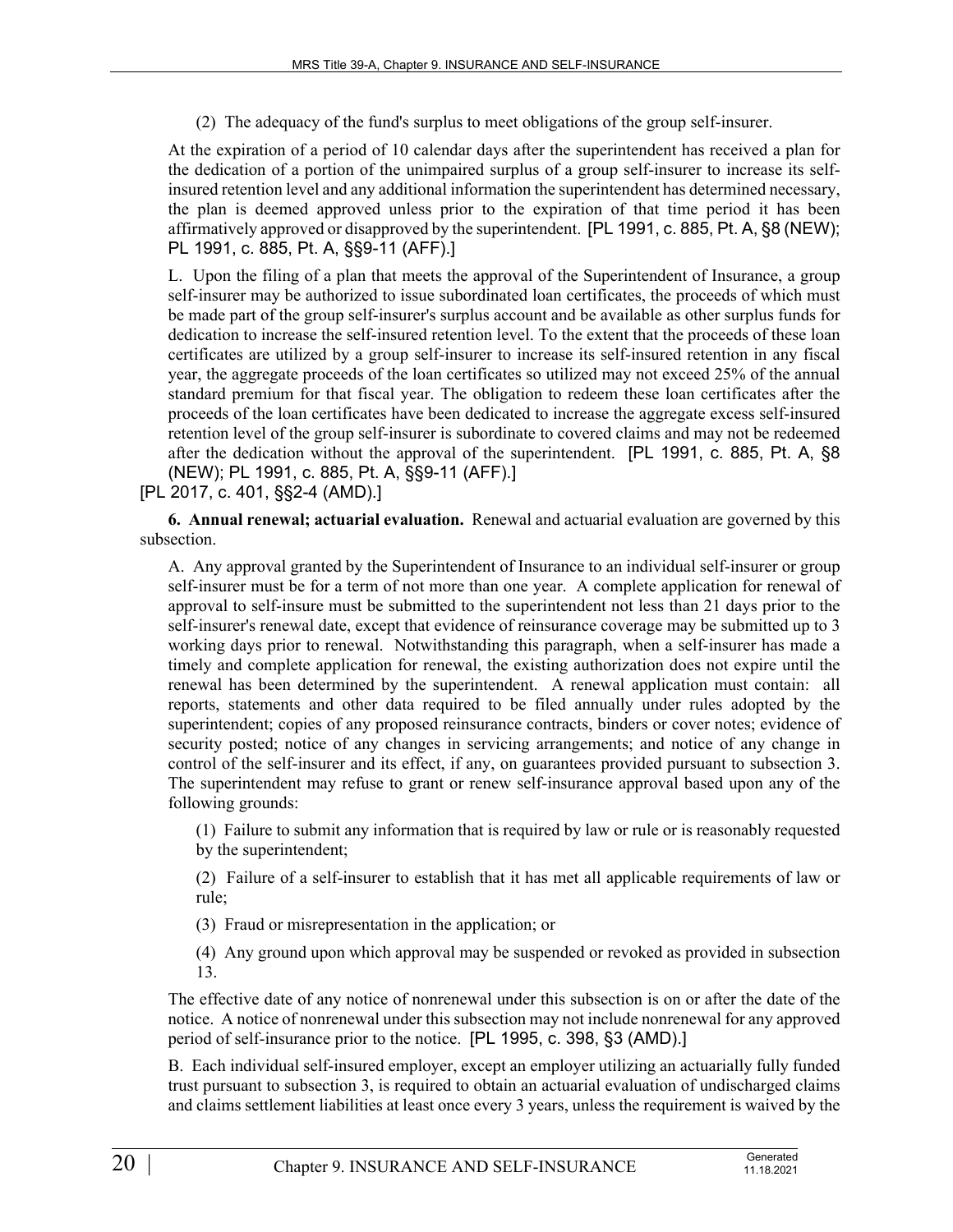(2) The adequacy of the fund's surplus to meet obligations of the group self-insurer.

At the expiration of a period of 10 calendar days after the superintendent has received a plan for the dedication of a portion of the unimpaired surplus of a group self-insurer to increase its selfinsured retention level and any additional information the superintendent has determined necessary, the plan is deemed approved unless prior to the expiration of that time period it has been affirmatively approved or disapproved by the superintendent. [PL 1991, c. 885, Pt. A, §8 (NEW); PL 1991, c. 885, Pt. A, §§9-11 (AFF).]

L. Upon the filing of a plan that meets the approval of the Superintendent of Insurance, a group self-insurer may be authorized to issue subordinated loan certificates, the proceeds of which must be made part of the group self-insurer's surplus account and be available as other surplus funds for dedication to increase the self-insured retention level. To the extent that the proceeds of these loan certificates are utilized by a group self-insurer to increase its self-insured retention in any fiscal year, the aggregate proceeds of the loan certificates so utilized may not exceed 25% of the annual standard premium for that fiscal year. The obligation to redeem these loan certificates after the proceeds of the loan certificates have been dedicated to increase the aggregate excess self-insured retention level of the group self-insurer is subordinate to covered claims and may not be redeemed after the dedication without the approval of the superintendent. [PL 1991, c. 885, Pt. A, §8 (NEW); PL 1991, c. 885, Pt. A, §§9-11 (AFF).]

[PL 2017, c. 401, §§2-4 (AMD).]

**6. Annual renewal; actuarial evaluation.** Renewal and actuarial evaluation are governed by this subsection.

A. Any approval granted by the Superintendent of Insurance to an individual self-insurer or group self-insurer must be for a term of not more than one year. A complete application for renewal of approval to self-insure must be submitted to the superintendent not less than 21 days prior to the self-insurer's renewal date, except that evidence of reinsurance coverage may be submitted up to 3 working days prior to renewal. Notwithstanding this paragraph, when a self-insurer has made a timely and complete application for renewal, the existing authorization does not expire until the renewal has been determined by the superintendent. A renewal application must contain: all reports, statements and other data required to be filed annually under rules adopted by the superintendent; copies of any proposed reinsurance contracts, binders or cover notes; evidence of security posted; notice of any changes in servicing arrangements; and notice of any change in control of the self-insurer and its effect, if any, on guarantees provided pursuant to subsection 3. The superintendent may refuse to grant or renew self-insurance approval based upon any of the following grounds:

(1) Failure to submit any information that is required by law or rule or is reasonably requested by the superintendent;

(2) Failure of a self-insurer to establish that it has met all applicable requirements of law or rule;

(3) Fraud or misrepresentation in the application; or

(4) Any ground upon which approval may be suspended or revoked as provided in subsection 13.

The effective date of any notice of nonrenewal under this subsection is on or after the date of the notice. A notice of nonrenewal under this subsection may not include nonrenewal for any approved period of self-insurance prior to the notice. [PL 1995, c. 398, §3 (AMD).]

B. Each individual self-insured employer, except an employer utilizing an actuarially fully funded trust pursuant to subsection 3, is required to obtain an actuarial evaluation of undischarged claims and claims settlement liabilities at least once every 3 years, unless the requirement is waived by the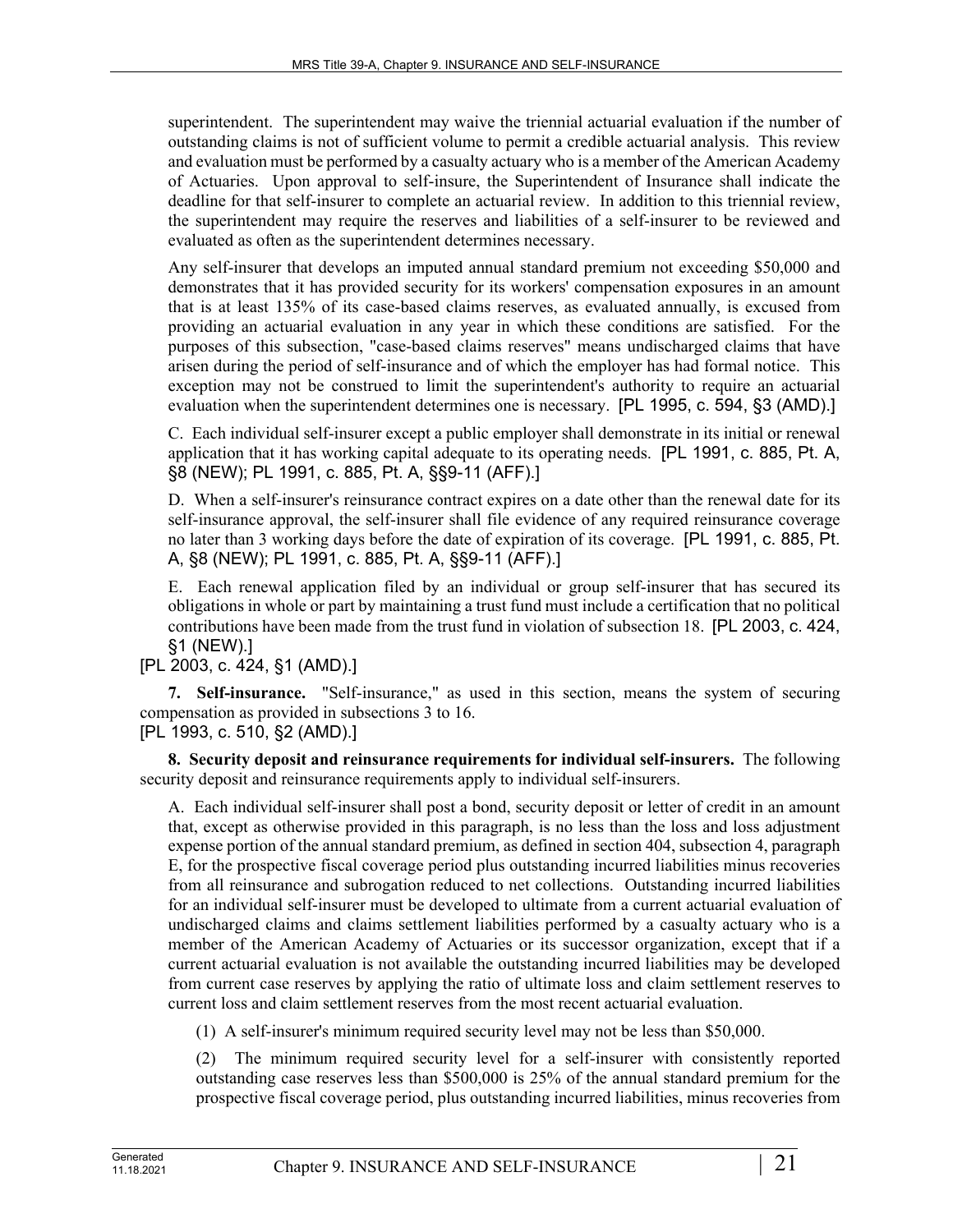superintendent. The superintendent may waive the triennial actuarial evaluation if the number of outstanding claims is not of sufficient volume to permit a credible actuarial analysis. This review and evaluation must be performed by a casualty actuary who is a member of the American Academy of Actuaries. Upon approval to self-insure, the Superintendent of Insurance shall indicate the deadline for that self-insurer to complete an actuarial review. In addition to this triennial review, the superintendent may require the reserves and liabilities of a self-insurer to be reviewed and evaluated as often as the superintendent determines necessary.

Any self-insurer that develops an imputed annual standard premium not exceeding \$50,000 and demonstrates that it has provided security for its workers' compensation exposures in an amount that is at least 135% of its case-based claims reserves, as evaluated annually, is excused from providing an actuarial evaluation in any year in which these conditions are satisfied. For the purposes of this subsection, "case-based claims reserves" means undischarged claims that have arisen during the period of self-insurance and of which the employer has had formal notice. This exception may not be construed to limit the superintendent's authority to require an actuarial evaluation when the superintendent determines one is necessary. [PL 1995, c. 594, §3 (AMD).]

C. Each individual self-insurer except a public employer shall demonstrate in its initial or renewal application that it has working capital adequate to its operating needs. [PL 1991, c. 885, Pt. A, §8 (NEW); PL 1991, c. 885, Pt. A, §§9-11 (AFF).]

D. When a self-insurer's reinsurance contract expires on a date other than the renewal date for its self-insurance approval, the self-insurer shall file evidence of any required reinsurance coverage no later than 3 working days before the date of expiration of its coverage. [PL 1991, c. 885, Pt. A, §8 (NEW); PL 1991, c. 885, Pt. A, §§9-11 (AFF).]

E. Each renewal application filed by an individual or group self-insurer that has secured its obligations in whole or part by maintaining a trust fund must include a certification that no political contributions have been made from the trust fund in violation of subsection 18. [PL 2003, c. 424, §1 (NEW).]

[PL 2003, c. 424, §1 (AMD).]

**7. Self-insurance.** "Self-insurance," as used in this section, means the system of securing compensation as provided in subsections 3 to 16. [PL 1993, c. 510, §2 (AMD).]

**8. Security deposit and reinsurance requirements for individual self-insurers.** The following

security deposit and reinsurance requirements apply to individual self-insurers.

A. Each individual self-insurer shall post a bond, security deposit or letter of credit in an amount that, except as otherwise provided in this paragraph, is no less than the loss and loss adjustment expense portion of the annual standard premium, as defined in section 404, subsection 4, paragraph E, for the prospective fiscal coverage period plus outstanding incurred liabilities minus recoveries from all reinsurance and subrogation reduced to net collections. Outstanding incurred liabilities for an individual self-insurer must be developed to ultimate from a current actuarial evaluation of undischarged claims and claims settlement liabilities performed by a casualty actuary who is a member of the American Academy of Actuaries or its successor organization, except that if a current actuarial evaluation is not available the outstanding incurred liabilities may be developed from current case reserves by applying the ratio of ultimate loss and claim settlement reserves to current loss and claim settlement reserves from the most recent actuarial evaluation.

(1) A self-insurer's minimum required security level may not be less than \$50,000.

(2) The minimum required security level for a self-insurer with consistently reported outstanding case reserves less than \$500,000 is 25% of the annual standard premium for the prospective fiscal coverage period, plus outstanding incurred liabilities, minus recoveries from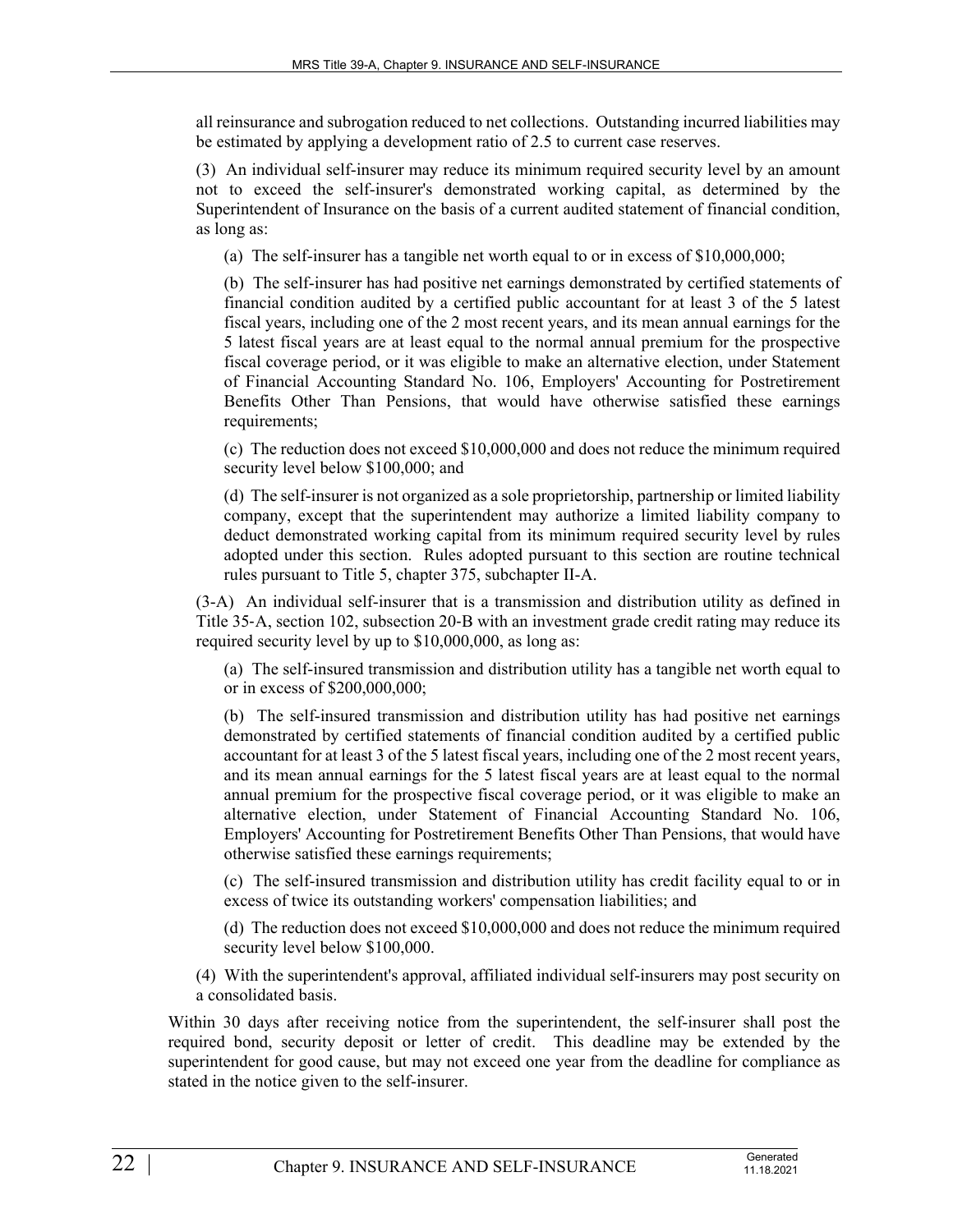all reinsurance and subrogation reduced to net collections. Outstanding incurred liabilities may be estimated by applying a development ratio of 2.5 to current case reserves.

(3) An individual self-insurer may reduce its minimum required security level by an amount not to exceed the self-insurer's demonstrated working capital, as determined by the Superintendent of Insurance on the basis of a current audited statement of financial condition, as long as:

(a) The self-insurer has a tangible net worth equal to or in excess of \$10,000,000;

(b) The self-insurer has had positive net earnings demonstrated by certified statements of financial condition audited by a certified public accountant for at least 3 of the 5 latest fiscal years, including one of the 2 most recent years, and its mean annual earnings for the 5 latest fiscal years are at least equal to the normal annual premium for the prospective fiscal coverage period, or it was eligible to make an alternative election, under Statement of Financial Accounting Standard No. 106, Employers' Accounting for Postretirement Benefits Other Than Pensions, that would have otherwise satisfied these earnings requirements;

(c) The reduction does not exceed \$10,000,000 and does not reduce the minimum required security level below \$100,000; and

(d) The self-insurer is not organized as a sole proprietorship, partnership or limited liability company, except that the superintendent may authorize a limited liability company to deduct demonstrated working capital from its minimum required security level by rules adopted under this section. Rules adopted pursuant to this section are routine technical rules pursuant to Title 5, chapter 375, subchapter II-A.

(3-A) An individual self-insurer that is a transmission and distribution utility as defined in Title 35–A, section 102, subsection 20–B with an investment grade credit rating may reduce its required security level by up to \$10,000,000, as long as:

(a) The self-insured transmission and distribution utility has a tangible net worth equal to or in excess of \$200,000,000;

(b) The self-insured transmission and distribution utility has had positive net earnings demonstrated by certified statements of financial condition audited by a certified public accountant for at least 3 of the 5 latest fiscal years, including one of the 2 most recent years, and its mean annual earnings for the 5 latest fiscal years are at least equal to the normal annual premium for the prospective fiscal coverage period, or it was eligible to make an alternative election, under Statement of Financial Accounting Standard No. 106, Employers' Accounting for Postretirement Benefits Other Than Pensions, that would have otherwise satisfied these earnings requirements;

(c) The self-insured transmission and distribution utility has credit facility equal to or in excess of twice its outstanding workers' compensation liabilities; and

(d) The reduction does not exceed \$10,000,000 and does not reduce the minimum required security level below \$100,000.

(4) With the superintendent's approval, affiliated individual self-insurers may post security on a consolidated basis.

Within 30 days after receiving notice from the superintendent, the self-insurer shall post the required bond, security deposit or letter of credit. This deadline may be extended by the superintendent for good cause, but may not exceed one year from the deadline for compliance as stated in the notice given to the self-insurer.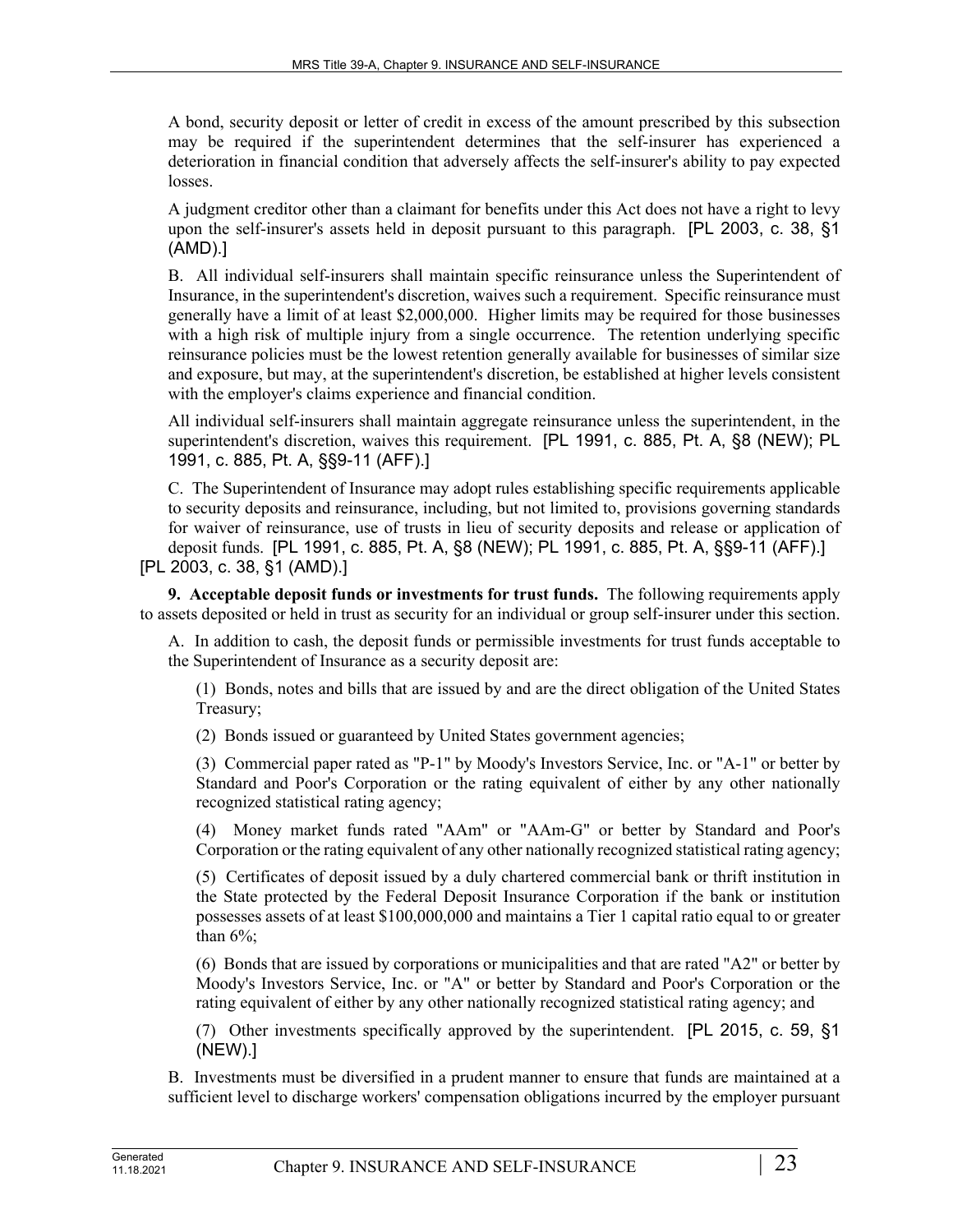A bond, security deposit or letter of credit in excess of the amount prescribed by this subsection may be required if the superintendent determines that the self-insurer has experienced a deterioration in financial condition that adversely affects the self-insurer's ability to pay expected losses.

A judgment creditor other than a claimant for benefits under this Act does not have a right to levy upon the self-insurer's assets held in deposit pursuant to this paragraph. [PL 2003, c. 38, §1 (AMD).]

B. All individual self-insurers shall maintain specific reinsurance unless the Superintendent of Insurance, in the superintendent's discretion, waives such a requirement. Specific reinsurance must generally have a limit of at least \$2,000,000. Higher limits may be required for those businesses with a high risk of multiple injury from a single occurrence. The retention underlying specific reinsurance policies must be the lowest retention generally available for businesses of similar size and exposure, but may, at the superintendent's discretion, be established at higher levels consistent with the employer's claims experience and financial condition.

All individual self-insurers shall maintain aggregate reinsurance unless the superintendent, in the superintendent's discretion, waives this requirement. [PL 1991, c. 885, Pt. A, §8 (NEW); PL 1991, c. 885, Pt. A, §§9-11 (AFF).]

C. The Superintendent of Insurance may adopt rules establishing specific requirements applicable to security deposits and reinsurance, including, but not limited to, provisions governing standards for waiver of reinsurance, use of trusts in lieu of security deposits and release or application of deposit funds. [PL 1991, c. 885, Pt. A, §8 (NEW); PL 1991, c. 885, Pt. A, §§9-11 (AFF).] [PL 2003, c. 38, §1 (AMD).]

**9. Acceptable deposit funds or investments for trust funds.** The following requirements apply to assets deposited or held in trust as security for an individual or group self-insurer under this section.

A. In addition to cash, the deposit funds or permissible investments for trust funds acceptable to the Superintendent of Insurance as a security deposit are:

(1) Bonds, notes and bills that are issued by and are the direct obligation of the United States Treasury;

(2) Bonds issued or guaranteed by United States government agencies;

(3) Commercial paper rated as "P-1" by Moody's Investors Service, Inc. or "A-1" or better by Standard and Poor's Corporation or the rating equivalent of either by any other nationally recognized statistical rating agency;

(4) Money market funds rated "AAm" or "AAm-G" or better by Standard and Poor's Corporation or the rating equivalent of any other nationally recognized statistical rating agency;

(5) Certificates of deposit issued by a duly chartered commercial bank or thrift institution in the State protected by the Federal Deposit Insurance Corporation if the bank or institution possesses assets of at least \$100,000,000 and maintains a Tier 1 capital ratio equal to or greater than  $6\%$ :

(6) Bonds that are issued by corporations or municipalities and that are rated "A2" or better by Moody's Investors Service, Inc. or "A" or better by Standard and Poor's Corporation or the rating equivalent of either by any other nationally recognized statistical rating agency; and

(7) Other investments specifically approved by the superintendent. [PL 2015, c. 59, §1 (NEW).]

B. Investments must be diversified in a prudent manner to ensure that funds are maintained at a sufficient level to discharge workers' compensation obligations incurred by the employer pursuant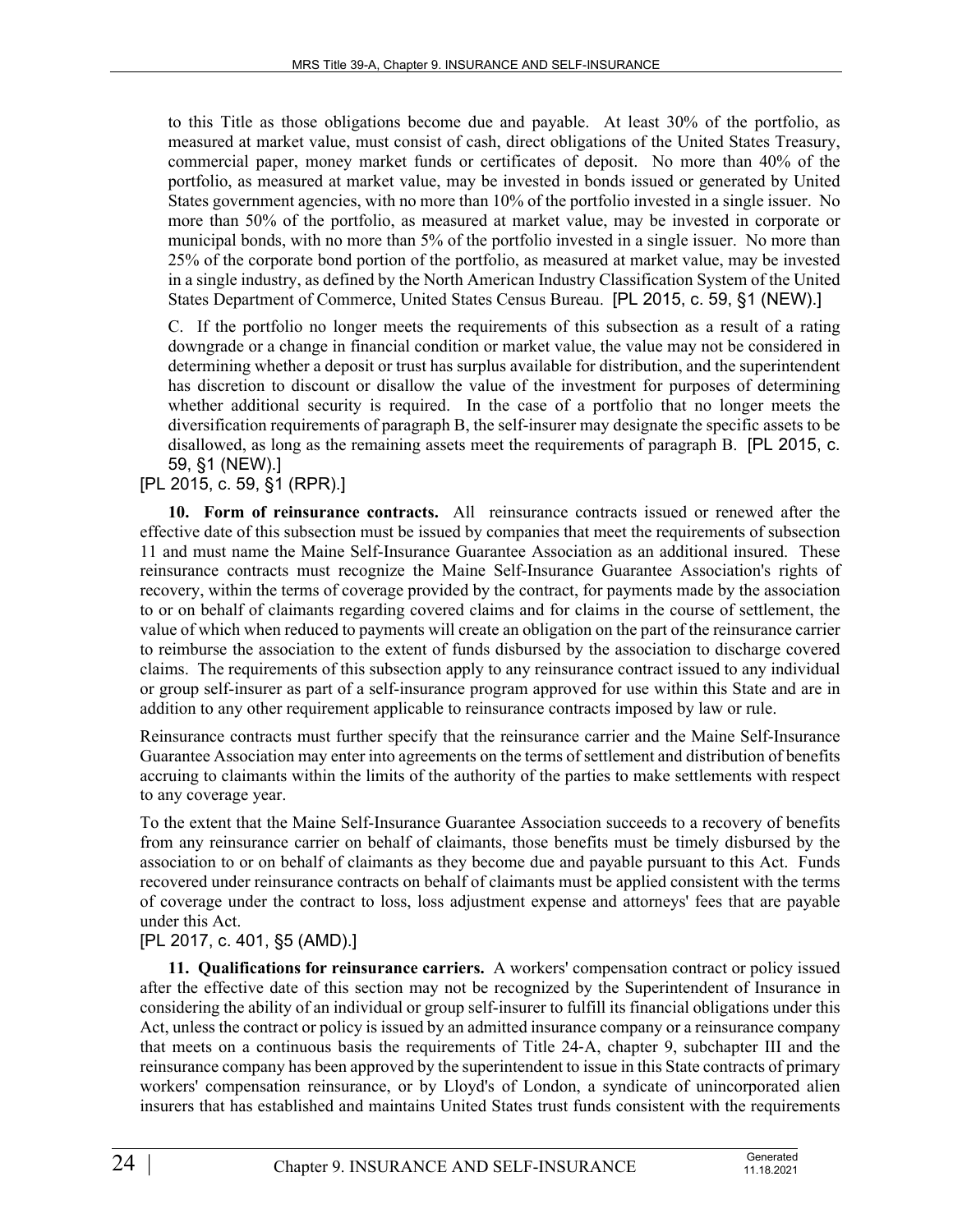to this Title as those obligations become due and payable. At least 30% of the portfolio, as measured at market value, must consist of cash, direct obligations of the United States Treasury, commercial paper, money market funds or certificates of deposit. No more than 40% of the portfolio, as measured at market value, may be invested in bonds issued or generated by United States government agencies, with no more than 10% of the portfolio invested in a single issuer. No more than 50% of the portfolio, as measured at market value, may be invested in corporate or municipal bonds, with no more than 5% of the portfolio invested in a single issuer. No more than 25% of the corporate bond portion of the portfolio, as measured at market value, may be invested in a single industry, as defined by the North American Industry Classification System of the United States Department of Commerce, United States Census Bureau. [PL 2015, c. 59, §1 (NEW).]

C. If the portfolio no longer meets the requirements of this subsection as a result of a rating downgrade or a change in financial condition or market value, the value may not be considered in determining whether a deposit or trust has surplus available for distribution, and the superintendent has discretion to discount or disallow the value of the investment for purposes of determining whether additional security is required. In the case of a portfolio that no longer meets the diversification requirements of paragraph B, the self-insurer may designate the specific assets to be disallowed, as long as the remaining assets meet the requirements of paragraph B. [PL 2015, c. 59, §1 (NEW).]

# [PL 2015, c. 59, §1 (RPR).]

**10. Form of reinsurance contracts.** All reinsurance contracts issued or renewed after the effective date of this subsection must be issued by companies that meet the requirements of subsection 11 and must name the Maine Self-Insurance Guarantee Association as an additional insured. These reinsurance contracts must recognize the Maine Self-Insurance Guarantee Association's rights of recovery, within the terms of coverage provided by the contract, for payments made by the association to or on behalf of claimants regarding covered claims and for claims in the course of settlement, the value of which when reduced to payments will create an obligation on the part of the reinsurance carrier to reimburse the association to the extent of funds disbursed by the association to discharge covered claims. The requirements of this subsection apply to any reinsurance contract issued to any individual or group self-insurer as part of a self-insurance program approved for use within this State and are in addition to any other requirement applicable to reinsurance contracts imposed by law or rule.

Reinsurance contracts must further specify that the reinsurance carrier and the Maine Self-Insurance Guarantee Association may enter into agreements on the terms of settlement and distribution of benefits accruing to claimants within the limits of the authority of the parties to make settlements with respect to any coverage year.

To the extent that the Maine Self-Insurance Guarantee Association succeeds to a recovery of benefits from any reinsurance carrier on behalf of claimants, those benefits must be timely disbursed by the association to or on behalf of claimants as they become due and payable pursuant to this Act. Funds recovered under reinsurance contracts on behalf of claimants must be applied consistent with the terms of coverage under the contract to loss, loss adjustment expense and attorneys' fees that are payable under this Act.

### [PL 2017, c. 401, §5 (AMD).]

**11. Qualifications for reinsurance carriers.** A workers' compensation contract or policy issued after the effective date of this section may not be recognized by the Superintendent of Insurance in considering the ability of an individual or group self-insurer to fulfill its financial obligations under this Act, unless the contract or policy is issued by an admitted insurance company or a reinsurance company that meets on a continuous basis the requirements of Title 24‑A, chapter 9, subchapter III and the reinsurance company has been approved by the superintendent to issue in this State contracts of primary workers' compensation reinsurance, or by Lloyd's of London, a syndicate of unincorporated alien insurers that has established and maintains United States trust funds consistent with the requirements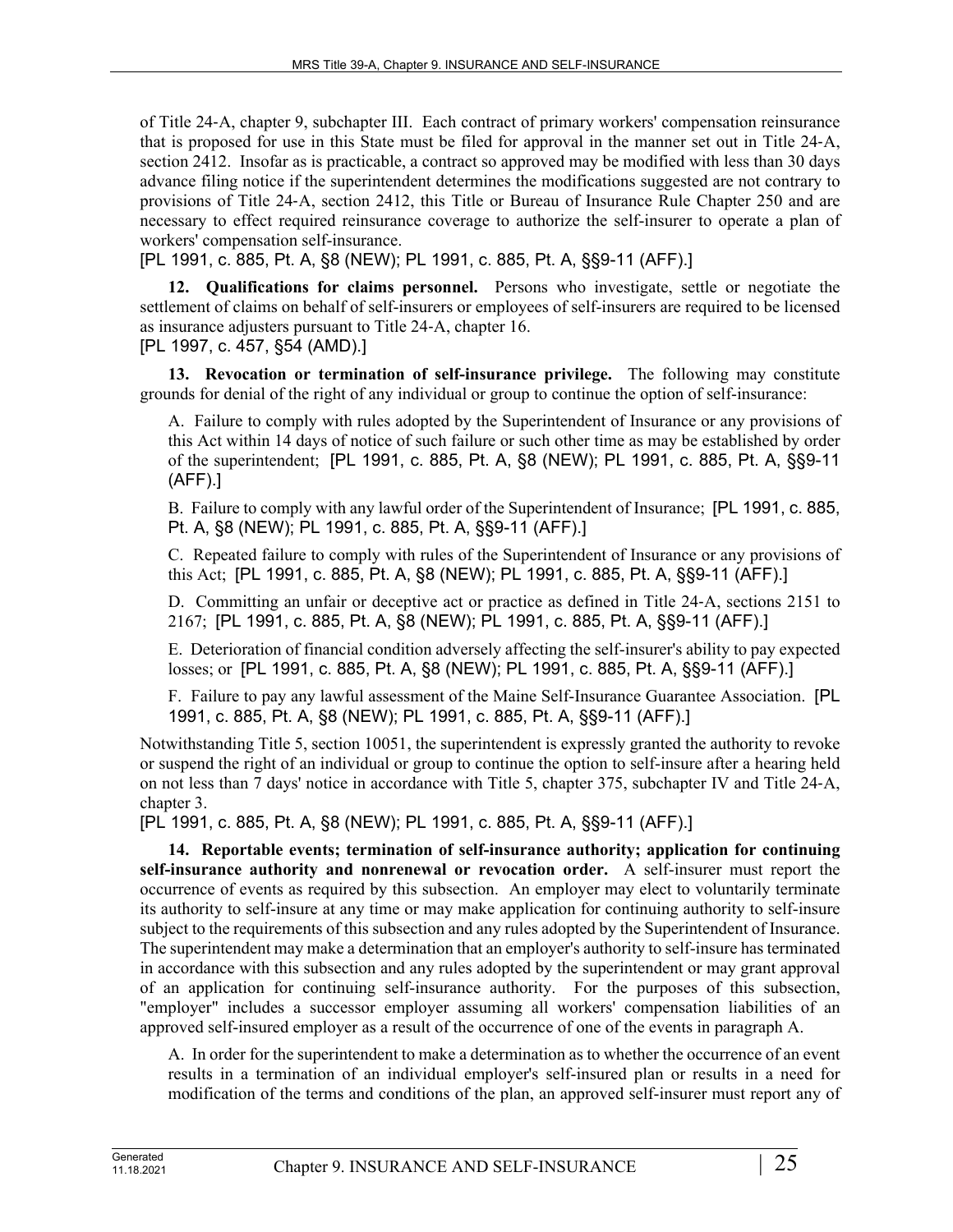of Title 24‑A, chapter 9, subchapter III. Each contract of primary workers' compensation reinsurance that is proposed for use in this State must be filed for approval in the manner set out in Title 24‑A, section 2412. Insofar as is practicable, a contract so approved may be modified with less than 30 days advance filing notice if the superintendent determines the modifications suggested are not contrary to provisions of Title 24‑A, section 2412, this Title or Bureau of Insurance Rule Chapter 250 and are necessary to effect required reinsurance coverage to authorize the self-insurer to operate a plan of workers' compensation self-insurance.

[PL 1991, c. 885, Pt. A, §8 (NEW); PL 1991, c. 885, Pt. A, §§9-11 (AFF).]

**12. Qualifications for claims personnel.** Persons who investigate, settle or negotiate the settlement of claims on behalf of self-insurers or employees of self-insurers are required to be licensed as insurance adjusters pursuant to Title 24‑A, chapter 16. [PL 1997, c. 457, §54 (AMD).]

**13. Revocation or termination of self-insurance privilege.** The following may constitute grounds for denial of the right of any individual or group to continue the option of self-insurance:

A. Failure to comply with rules adopted by the Superintendent of Insurance or any provisions of this Act within 14 days of notice of such failure or such other time as may be established by order of the superintendent; [PL 1991, c. 885, Pt. A, §8 (NEW); PL 1991, c. 885, Pt. A, §§9-11 (AFF).]

B. Failure to comply with any lawful order of the Superintendent of Insurance; [PL 1991, c. 885, Pt. A, §8 (NEW); PL 1991, c. 885, Pt. A, §§9-11 (AFF).]

C. Repeated failure to comply with rules of the Superintendent of Insurance or any provisions of this Act; [PL 1991, c. 885, Pt. A, §8 (NEW); PL 1991, c. 885, Pt. A, §§9-11 (AFF).]

D. Committing an unfair or deceptive act or practice as defined in Title 24‑A, sections 2151 to 2167; [PL 1991, c. 885, Pt. A, §8 (NEW); PL 1991, c. 885, Pt. A, §§9-11 (AFF).]

E. Deterioration of financial condition adversely affecting the self-insurer's ability to pay expected losses; or [PL 1991, c. 885, Pt. A, §8 (NEW); PL 1991, c. 885, Pt. A, §§9-11 (AFF).]

F. Failure to pay any lawful assessment of the Maine Self-Insurance Guarantee Association. [PL 1991, c. 885, Pt. A, §8 (NEW); PL 1991, c. 885, Pt. A, §§9-11 (AFF).]

Notwithstanding Title 5, section 10051, the superintendent is expressly granted the authority to revoke or suspend the right of an individual or group to continue the option to self-insure after a hearing held on not less than 7 days' notice in accordance with Title 5, chapter 375, subchapter IV and Title 24‑A, chapter 3.

[PL 1991, c. 885, Pt. A, §8 (NEW); PL 1991, c. 885, Pt. A, §§9-11 (AFF).]

**14. Reportable events; termination of self-insurance authority; application for continuing self-insurance authority and nonrenewal or revocation order.** A self-insurer must report the occurrence of events as required by this subsection. An employer may elect to voluntarily terminate its authority to self-insure at any time or may make application for continuing authority to self-insure subject to the requirements of this subsection and any rules adopted by the Superintendent of Insurance. The superintendent may make a determination that an employer's authority to self-insure has terminated in accordance with this subsection and any rules adopted by the superintendent or may grant approval of an application for continuing self-insurance authority. For the purposes of this subsection, "employer" includes a successor employer assuming all workers' compensation liabilities of an approved self-insured employer as a result of the occurrence of one of the events in paragraph A.

A. In order for the superintendent to make a determination as to whether the occurrence of an event results in a termination of an individual employer's self-insured plan or results in a need for modification of the terms and conditions of the plan, an approved self-insurer must report any of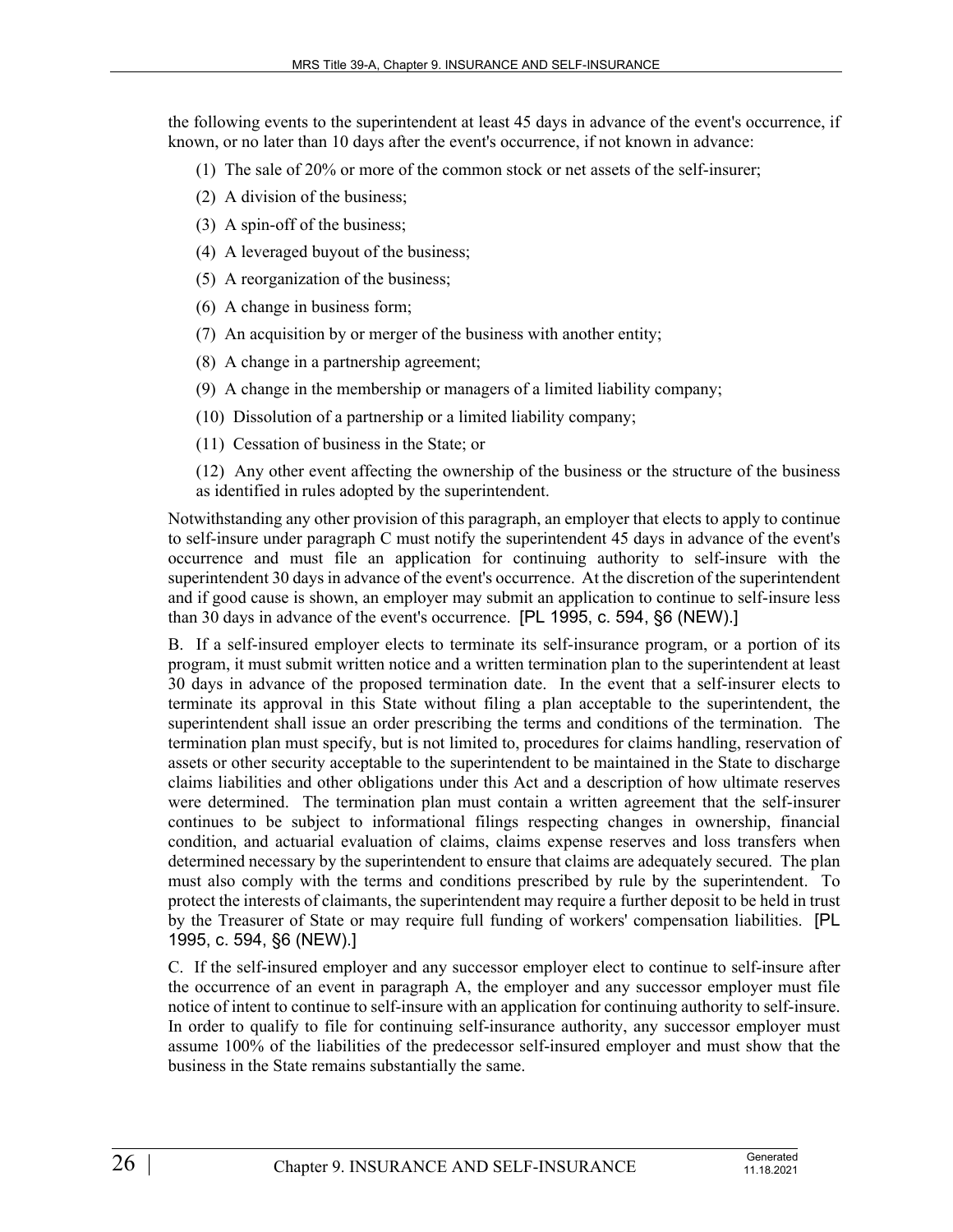the following events to the superintendent at least 45 days in advance of the event's occurrence, if known, or no later than 10 days after the event's occurrence, if not known in advance:

- (1) The sale of 20% or more of the common stock or net assets of the self-insurer;
- (2) A division of the business;
- (3) A spin-off of the business;
- (4) A leveraged buyout of the business;
- (5) A reorganization of the business;
- (6) A change in business form;
- (7) An acquisition by or merger of the business with another entity;
- (8) A change in a partnership agreement;
- (9) A change in the membership or managers of a limited liability company;
- (10) Dissolution of a partnership or a limited liability company;
- (11) Cessation of business in the State; or

(12) Any other event affecting the ownership of the business or the structure of the business as identified in rules adopted by the superintendent.

Notwithstanding any other provision of this paragraph, an employer that elects to apply to continue to self-insure under paragraph C must notify the superintendent 45 days in advance of the event's occurrence and must file an application for continuing authority to self-insure with the superintendent 30 days in advance of the event's occurrence. At the discretion of the superintendent and if good cause is shown, an employer may submit an application to continue to self-insure less than 30 days in advance of the event's occurrence. [PL 1995, c. 594, §6 (NEW).]

B. If a self-insured employer elects to terminate its self-insurance program, or a portion of its program, it must submit written notice and a written termination plan to the superintendent at least 30 days in advance of the proposed termination date. In the event that a self-insurer elects to terminate its approval in this State without filing a plan acceptable to the superintendent, the superintendent shall issue an order prescribing the terms and conditions of the termination. The termination plan must specify, but is not limited to, procedures for claims handling, reservation of assets or other security acceptable to the superintendent to be maintained in the State to discharge claims liabilities and other obligations under this Act and a description of how ultimate reserves were determined. The termination plan must contain a written agreement that the self-insurer continues to be subject to informational filings respecting changes in ownership, financial condition, and actuarial evaluation of claims, claims expense reserves and loss transfers when determined necessary by the superintendent to ensure that claims are adequately secured. The plan must also comply with the terms and conditions prescribed by rule by the superintendent. To protect the interests of claimants, the superintendent may require a further deposit to be held in trust by the Treasurer of State or may require full funding of workers' compensation liabilities. [PL 1995, c. 594, §6 (NEW).]

C. If the self-insured employer and any successor employer elect to continue to self-insure after the occurrence of an event in paragraph A, the employer and any successor employer must file notice of intent to continue to self-insure with an application for continuing authority to self-insure. In order to qualify to file for continuing self-insurance authority, any successor employer must assume 100% of the liabilities of the predecessor self-insured employer and must show that the business in the State remains substantially the same.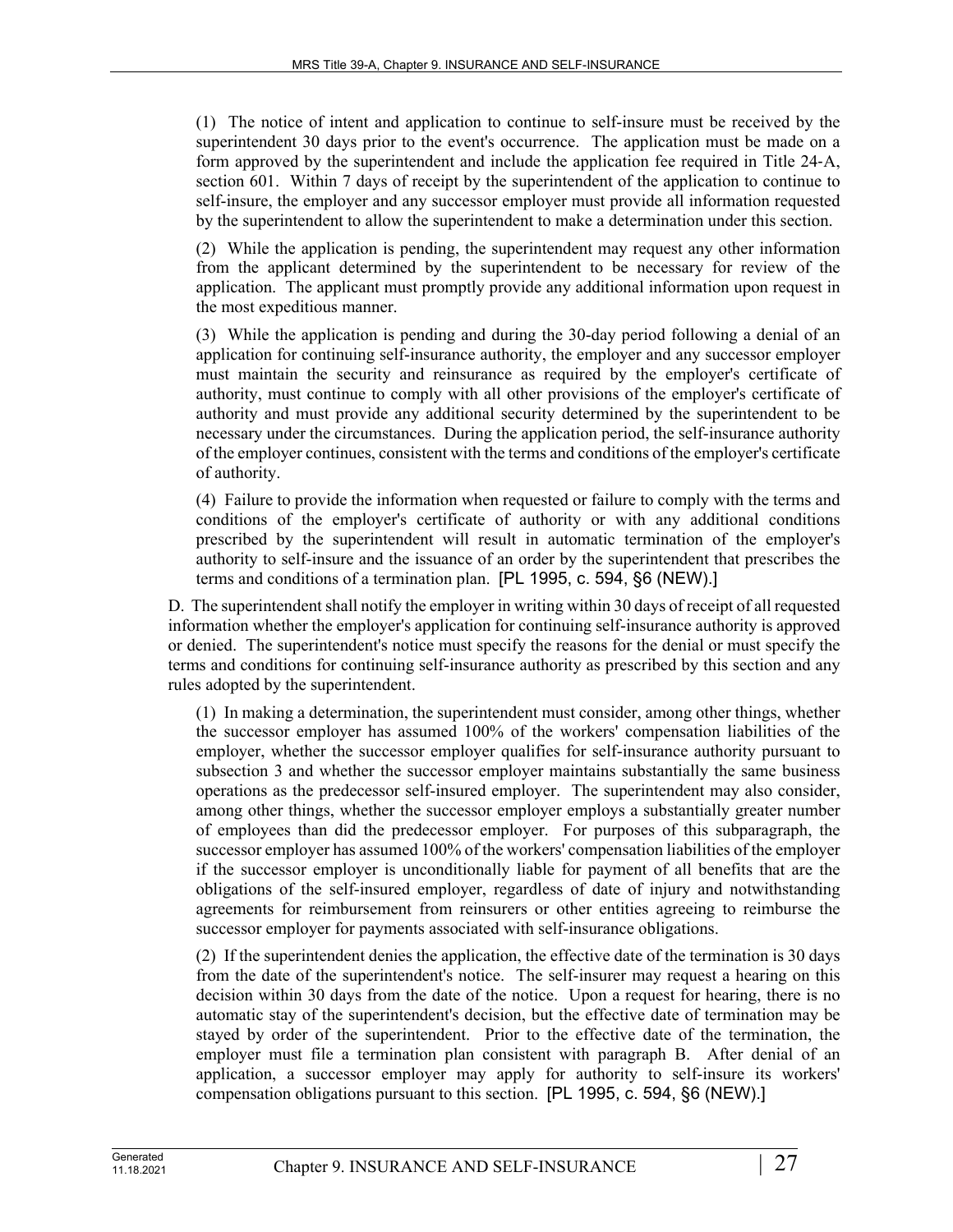(1) The notice of intent and application to continue to self-insure must be received by the superintendent 30 days prior to the event's occurrence. The application must be made on a form approved by the superintendent and include the application fee required in Title 24‑A, section 601. Within 7 days of receipt by the superintendent of the application to continue to self-insure, the employer and any successor employer must provide all information requested by the superintendent to allow the superintendent to make a determination under this section.

(2) While the application is pending, the superintendent may request any other information from the applicant determined by the superintendent to be necessary for review of the application. The applicant must promptly provide any additional information upon request in the most expeditious manner.

(3) While the application is pending and during the 30-day period following a denial of an application for continuing self-insurance authority, the employer and any successor employer must maintain the security and reinsurance as required by the employer's certificate of authority, must continue to comply with all other provisions of the employer's certificate of authority and must provide any additional security determined by the superintendent to be necessary under the circumstances. During the application period, the self-insurance authority of the employer continues, consistent with the terms and conditions of the employer's certificate of authority.

(4) Failure to provide the information when requested or failure to comply with the terms and conditions of the employer's certificate of authority or with any additional conditions prescribed by the superintendent will result in automatic termination of the employer's authority to self-insure and the issuance of an order by the superintendent that prescribes the terms and conditions of a termination plan. [PL 1995, c. 594, §6 (NEW).]

D. The superintendent shall notify the employer in writing within 30 days of receipt of all requested information whether the employer's application for continuing self-insurance authority is approved or denied. The superintendent's notice must specify the reasons for the denial or must specify the terms and conditions for continuing self-insurance authority as prescribed by this section and any rules adopted by the superintendent.

(1) In making a determination, the superintendent must consider, among other things, whether the successor employer has assumed 100% of the workers' compensation liabilities of the employer, whether the successor employer qualifies for self-insurance authority pursuant to subsection 3 and whether the successor employer maintains substantially the same business operations as the predecessor self-insured employer. The superintendent may also consider, among other things, whether the successor employer employs a substantially greater number of employees than did the predecessor employer. For purposes of this subparagraph, the successor employer has assumed 100% of the workers' compensation liabilities of the employer if the successor employer is unconditionally liable for payment of all benefits that are the obligations of the self-insured employer, regardless of date of injury and notwithstanding agreements for reimbursement from reinsurers or other entities agreeing to reimburse the successor employer for payments associated with self-insurance obligations.

(2) If the superintendent denies the application, the effective date of the termination is 30 days from the date of the superintendent's notice. The self-insurer may request a hearing on this decision within 30 days from the date of the notice. Upon a request for hearing, there is no automatic stay of the superintendent's decision, but the effective date of termination may be stayed by order of the superintendent. Prior to the effective date of the termination, the employer must file a termination plan consistent with paragraph B. After denial of an application, a successor employer may apply for authority to self-insure its workers' compensation obligations pursuant to this section. [PL 1995, c. 594, §6 (NEW).]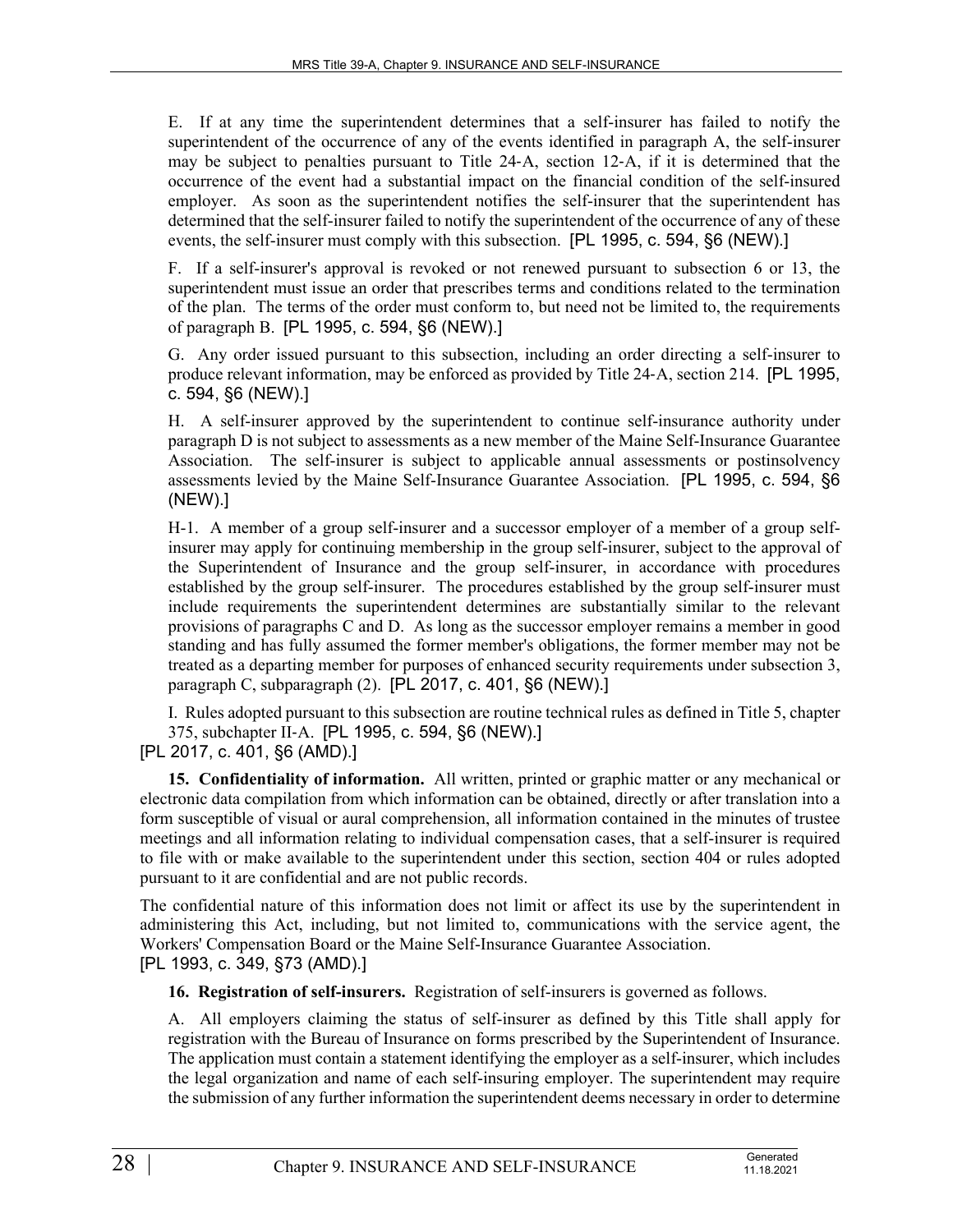E. If at any time the superintendent determines that a self-insurer has failed to notify the superintendent of the occurrence of any of the events identified in paragraph A, the self-insurer may be subject to penalties pursuant to Title 24‑A, section 12‑A, if it is determined that the occurrence of the event had a substantial impact on the financial condition of the self-insured employer. As soon as the superintendent notifies the self-insurer that the superintendent has determined that the self-insurer failed to notify the superintendent of the occurrence of any of these events, the self-insurer must comply with this subsection. [PL 1995, c. 594, §6 (NEW).]

F. If a self-insurer's approval is revoked or not renewed pursuant to subsection 6 or 13, the superintendent must issue an order that prescribes terms and conditions related to the termination of the plan. The terms of the order must conform to, but need not be limited to, the requirements of paragraph B. [PL 1995, c. 594, §6 (NEW).]

G. Any order issued pursuant to this subsection, including an order directing a self-insurer to produce relevant information, may be enforced as provided by Title 24‑A, section 214. [PL 1995, c. 594, §6 (NEW).]

H. A self-insurer approved by the superintendent to continue self-insurance authority under paragraph D is not subject to assessments as a new member of the Maine Self-Insurance Guarantee Association. The self-insurer is subject to applicable annual assessments or postinsolvency assessments levied by the Maine Self-Insurance Guarantee Association. [PL 1995, c. 594, §6 (NEW).]

H-1. A member of a group self-insurer and a successor employer of a member of a group selfinsurer may apply for continuing membership in the group self-insurer, subject to the approval of the Superintendent of Insurance and the group self-insurer, in accordance with procedures established by the group self-insurer. The procedures established by the group self-insurer must include requirements the superintendent determines are substantially similar to the relevant provisions of paragraphs C and D. As long as the successor employer remains a member in good standing and has fully assumed the former member's obligations, the former member may not be treated as a departing member for purposes of enhanced security requirements under subsection 3, paragraph C, subparagraph (2). [PL 2017, c. 401, §6 (NEW).]

I. Rules adopted pursuant to this subsection are routine technical rules as defined in Title 5, chapter 375, subchapter II‑A. [PL 1995, c. 594, §6 (NEW).]

[PL 2017, c. 401, §6 (AMD).]

**15. Confidentiality of information.** All written, printed or graphic matter or any mechanical or electronic data compilation from which information can be obtained, directly or after translation into a form susceptible of visual or aural comprehension, all information contained in the minutes of trustee meetings and all information relating to individual compensation cases, that a self-insurer is required to file with or make available to the superintendent under this section, section 404 or rules adopted pursuant to it are confidential and are not public records.

The confidential nature of this information does not limit or affect its use by the superintendent in administering this Act, including, but not limited to, communications with the service agent, the Workers' Compensation Board or the Maine Self-Insurance Guarantee Association. [PL 1993, c. 349, §73 (AMD).]

**16. Registration of self-insurers.** Registration of self-insurers is governed as follows.

A. All employers claiming the status of self-insurer as defined by this Title shall apply for registration with the Bureau of Insurance on forms prescribed by the Superintendent of Insurance. The application must contain a statement identifying the employer as a self-insurer, which includes the legal organization and name of each self-insuring employer. The superintendent may require the submission of any further information the superintendent deems necessary in order to determine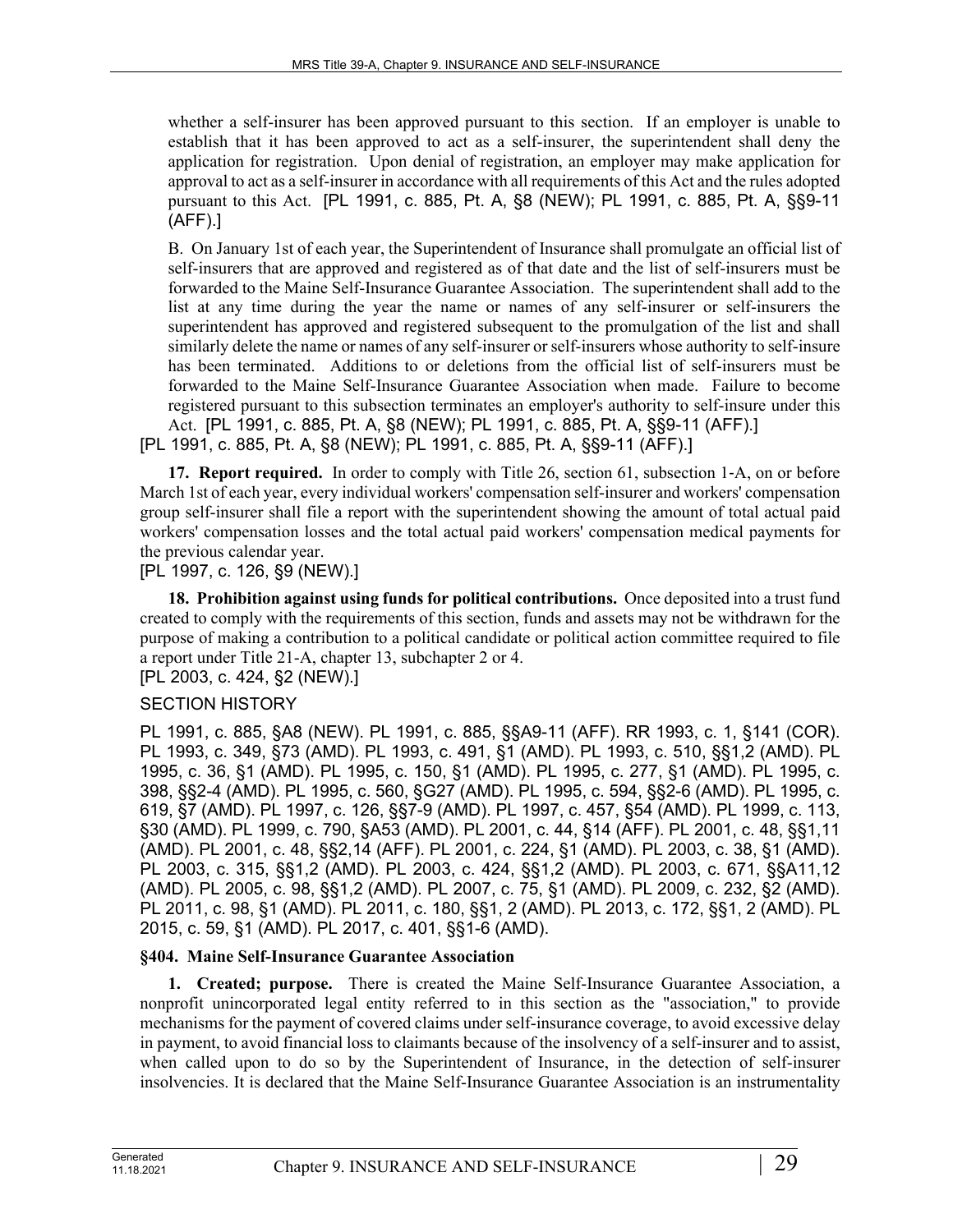whether a self-insurer has been approved pursuant to this section. If an employer is unable to establish that it has been approved to act as a self-insurer, the superintendent shall deny the application for registration. Upon denial of registration, an employer may make application for approval to act as a self-insurer in accordance with all requirements of this Act and the rules adopted pursuant to this Act. [PL 1991, c. 885, Pt. A, §8 (NEW); PL 1991, c. 885, Pt. A, §§9-11 (AFF).]

B. On January 1st of each year, the Superintendent of Insurance shall promulgate an official list of self-insurers that are approved and registered as of that date and the list of self-insurers must be forwarded to the Maine Self-Insurance Guarantee Association. The superintendent shall add to the list at any time during the year the name or names of any self-insurer or self-insurers the superintendent has approved and registered subsequent to the promulgation of the list and shall similarly delete the name or names of any self-insurer or self-insurers whose authority to self-insure has been terminated. Additions to or deletions from the official list of self-insurers must be forwarded to the Maine Self-Insurance Guarantee Association when made. Failure to become registered pursuant to this subsection terminates an employer's authority to self-insure under this Act. [PL 1991, c. 885, Pt. A, §8 (NEW); PL 1991, c. 885, Pt. A, §§9-11 (AFF).] [PL 1991, c. 885, Pt. A, §8 (NEW); PL 1991, c. 885, Pt. A, §§9-11 (AFF).]

**17. Report required.** In order to comply with Title 26, section 61, subsection 1‑A, on or before March 1st of each year, every individual workers' compensation self-insurer and workers' compensation group self-insurer shall file a report with the superintendent showing the amount of total actual paid workers' compensation losses and the total actual paid workers' compensation medical payments for the previous calendar year.

[PL 1997, c. 126, §9 (NEW).]

**18. Prohibition against using funds for political contributions.** Once deposited into a trust fund created to comply with the requirements of this section, funds and assets may not be withdrawn for the purpose of making a contribution to a political candidate or political action committee required to file a report under Title 21-A, chapter 13, subchapter 2 or 4.

[PL 2003, c. 424, §2 (NEW).]

#### SECTION HISTORY

PL 1991, c. 885, §A8 (NEW). PL 1991, c. 885, §§A9-11 (AFF). RR 1993, c. 1, §141 (COR). PL 1993, c. 349, §73 (AMD). PL 1993, c. 491, §1 (AMD). PL 1993, c. 510, §§1,2 (AMD). PL 1995, c. 36, §1 (AMD). PL 1995, c. 150, §1 (AMD). PL 1995, c. 277, §1 (AMD). PL 1995, c. 398, §§2-4 (AMD). PL 1995, c. 560, §G27 (AMD). PL 1995, c. 594, §§2-6 (AMD). PL 1995, c. 619, §7 (AMD). PL 1997, c. 126, §§7-9 (AMD). PL 1997, c. 457, §54 (AMD). PL 1999, c. 113, §30 (AMD). PL 1999, c. 790, §A53 (AMD). PL 2001, c. 44, §14 (AFF). PL 2001, c. 48, §§1,11 (AMD). PL 2001, c. 48, §§2,14 (AFF). PL 2001, c. 224, §1 (AMD). PL 2003, c. 38, §1 (AMD). PL 2003, c. 315, §§1,2 (AMD). PL 2003, c. 424, §§1,2 (AMD). PL 2003, c. 671, §§A11,12 (AMD). PL 2005, c. 98, §§1,2 (AMD). PL 2007, c. 75, §1 (AMD). PL 2009, c. 232, §2 (AMD). PL 2011, c. 98, §1 (AMD). PL 2011, c. 180, §§1, 2 (AMD). PL 2013, c. 172, §§1, 2 (AMD). PL 2015, c. 59, §1 (AMD). PL 2017, c. 401, §§1-6 (AMD).

### **§404. Maine Self-Insurance Guarantee Association**

**1. Created; purpose.** There is created the Maine Self-Insurance Guarantee Association, a nonprofit unincorporated legal entity referred to in this section as the "association," to provide mechanisms for the payment of covered claims under self-insurance coverage, to avoid excessive delay in payment, to avoid financial loss to claimants because of the insolvency of a self-insurer and to assist, when called upon to do so by the Superintendent of Insurance, in the detection of self-insurer insolvencies. It is declared that the Maine Self-Insurance Guarantee Association is an instrumentality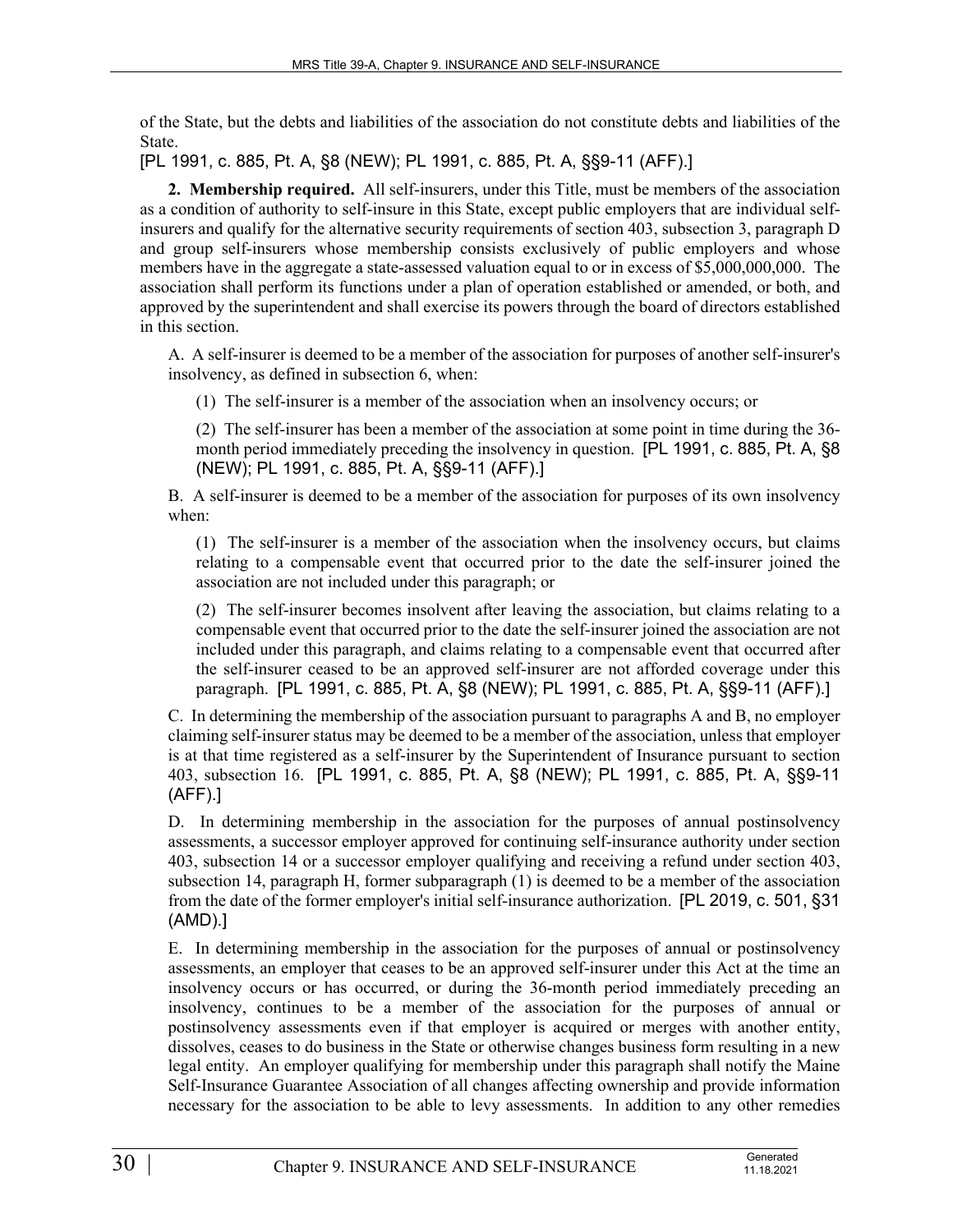of the State, but the debts and liabilities of the association do not constitute debts and liabilities of the State.

[PL 1991, c. 885, Pt. A, §8 (NEW); PL 1991, c. 885, Pt. A, §§9-11 (AFF).]

**2. Membership required.** All self-insurers, under this Title, must be members of the association as a condition of authority to self-insure in this State, except public employers that are individual selfinsurers and qualify for the alternative security requirements of section 403, subsection 3, paragraph D and group self-insurers whose membership consists exclusively of public employers and whose members have in the aggregate a state-assessed valuation equal to or in excess of \$5,000,000,000. The association shall perform its functions under a plan of operation established or amended, or both, and approved by the superintendent and shall exercise its powers through the board of directors established in this section.

A. A self-insurer is deemed to be a member of the association for purposes of another self-insurer's insolvency, as defined in subsection 6, when:

(1) The self-insurer is a member of the association when an insolvency occurs; or

(2) The self-insurer has been a member of the association at some point in time during the 36 month period immediately preceding the insolvency in question. [PL 1991, c. 885, Pt. A, §8 (NEW); PL 1991, c. 885, Pt. A, §§9-11 (AFF).]

B. A self-insurer is deemed to be a member of the association for purposes of its own insolvency when:

(1) The self-insurer is a member of the association when the insolvency occurs, but claims relating to a compensable event that occurred prior to the date the self-insurer joined the association are not included under this paragraph; or

(2) The self-insurer becomes insolvent after leaving the association, but claims relating to a compensable event that occurred prior to the date the self-insurer joined the association are not included under this paragraph, and claims relating to a compensable event that occurred after the self-insurer ceased to be an approved self-insurer are not afforded coverage under this paragraph. [PL 1991, c. 885, Pt. A, §8 (NEW); PL 1991, c. 885, Pt. A, §§9-11 (AFF).]

C. In determining the membership of the association pursuant to paragraphs A and B, no employer claiming self-insurer status may be deemed to be a member of the association, unless that employer is at that time registered as a self-insurer by the Superintendent of Insurance pursuant to section 403, subsection 16. [PL 1991, c. 885, Pt. A, §8 (NEW); PL 1991, c. 885, Pt. A, §§9-11 (AFF).]

D. In determining membership in the association for the purposes of annual postinsolvency assessments, a successor employer approved for continuing self-insurance authority under section 403, subsection 14 or a successor employer qualifying and receiving a refund under section 403, subsection 14, paragraph H, former subparagraph (1) is deemed to be a member of the association from the date of the former employer's initial self-insurance authorization. [PL 2019, c. 501, §31 (AMD).]

E. In determining membership in the association for the purposes of annual or postinsolvency assessments, an employer that ceases to be an approved self-insurer under this Act at the time an insolvency occurs or has occurred, or during the 36-month period immediately preceding an insolvency, continues to be a member of the association for the purposes of annual or postinsolvency assessments even if that employer is acquired or merges with another entity, dissolves, ceases to do business in the State or otherwise changes business form resulting in a new legal entity. An employer qualifying for membership under this paragraph shall notify the Maine Self-Insurance Guarantee Association of all changes affecting ownership and provide information necessary for the association to be able to levy assessments. In addition to any other remedies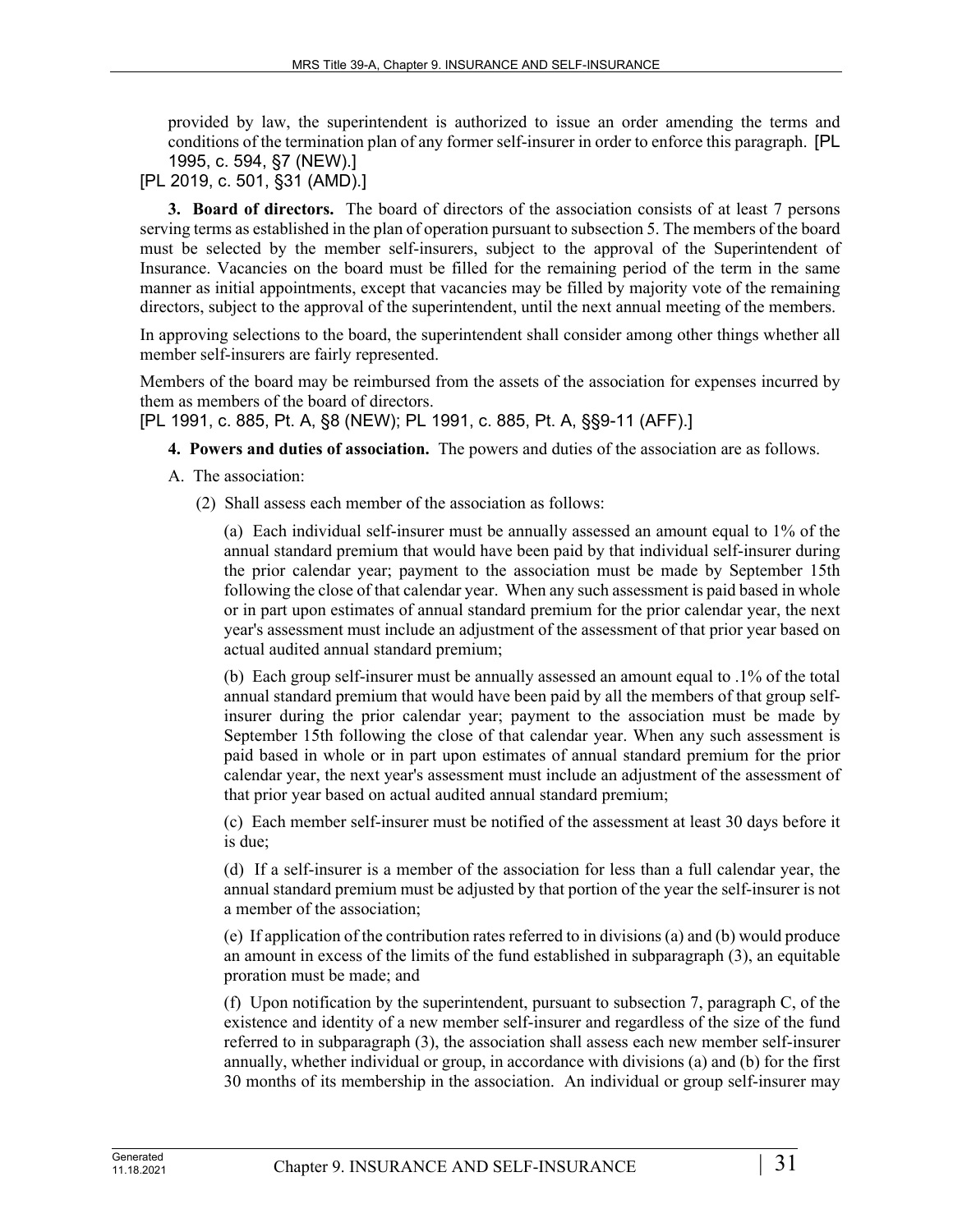provided by law, the superintendent is authorized to issue an order amending the terms and conditions of the termination plan of any former self-insurer in order to enforce this paragraph. [PL 1995, c. 594, §7 (NEW).]

[PL 2019, c. 501, §31 (AMD).]

**3. Board of directors.** The board of directors of the association consists of at least 7 persons serving terms as established in the plan of operation pursuant to subsection 5. The members of the board must be selected by the member self-insurers, subject to the approval of the Superintendent of Insurance. Vacancies on the board must be filled for the remaining period of the term in the same manner as initial appointments, except that vacancies may be filled by majority vote of the remaining directors, subject to the approval of the superintendent, until the next annual meeting of the members.

In approving selections to the board, the superintendent shall consider among other things whether all member self-insurers are fairly represented.

Members of the board may be reimbursed from the assets of the association for expenses incurred by them as members of the board of directors.

[PL 1991, c. 885, Pt. A, §8 (NEW); PL 1991, c. 885, Pt. A, §§9-11 (AFF).]

- **4. Powers and duties of association.** The powers and duties of the association are as follows.
- A. The association:
	- (2) Shall assess each member of the association as follows:

(a) Each individual self-insurer must be annually assessed an amount equal to 1% of the annual standard premium that would have been paid by that individual self-insurer during the prior calendar year; payment to the association must be made by September 15th following the close of that calendar year. When any such assessment is paid based in whole or in part upon estimates of annual standard premium for the prior calendar year, the next year's assessment must include an adjustment of the assessment of that prior year based on actual audited annual standard premium;

(b) Each group self-insurer must be annually assessed an amount equal to .1% of the total annual standard premium that would have been paid by all the members of that group selfinsurer during the prior calendar year; payment to the association must be made by September 15th following the close of that calendar year. When any such assessment is paid based in whole or in part upon estimates of annual standard premium for the prior calendar year, the next year's assessment must include an adjustment of the assessment of that prior year based on actual audited annual standard premium;

(c) Each member self-insurer must be notified of the assessment at least 30 days before it is due;

(d) If a self-insurer is a member of the association for less than a full calendar year, the annual standard premium must be adjusted by that portion of the year the self-insurer is not a member of the association;

(e) If application of the contribution rates referred to in divisions (a) and (b) would produce an amount in excess of the limits of the fund established in subparagraph (3), an equitable proration must be made; and

(f) Upon notification by the superintendent, pursuant to subsection 7, paragraph C, of the existence and identity of a new member self-insurer and regardless of the size of the fund referred to in subparagraph (3), the association shall assess each new member self-insurer annually, whether individual or group, in accordance with divisions (a) and (b) for the first 30 months of its membership in the association. An individual or group self-insurer may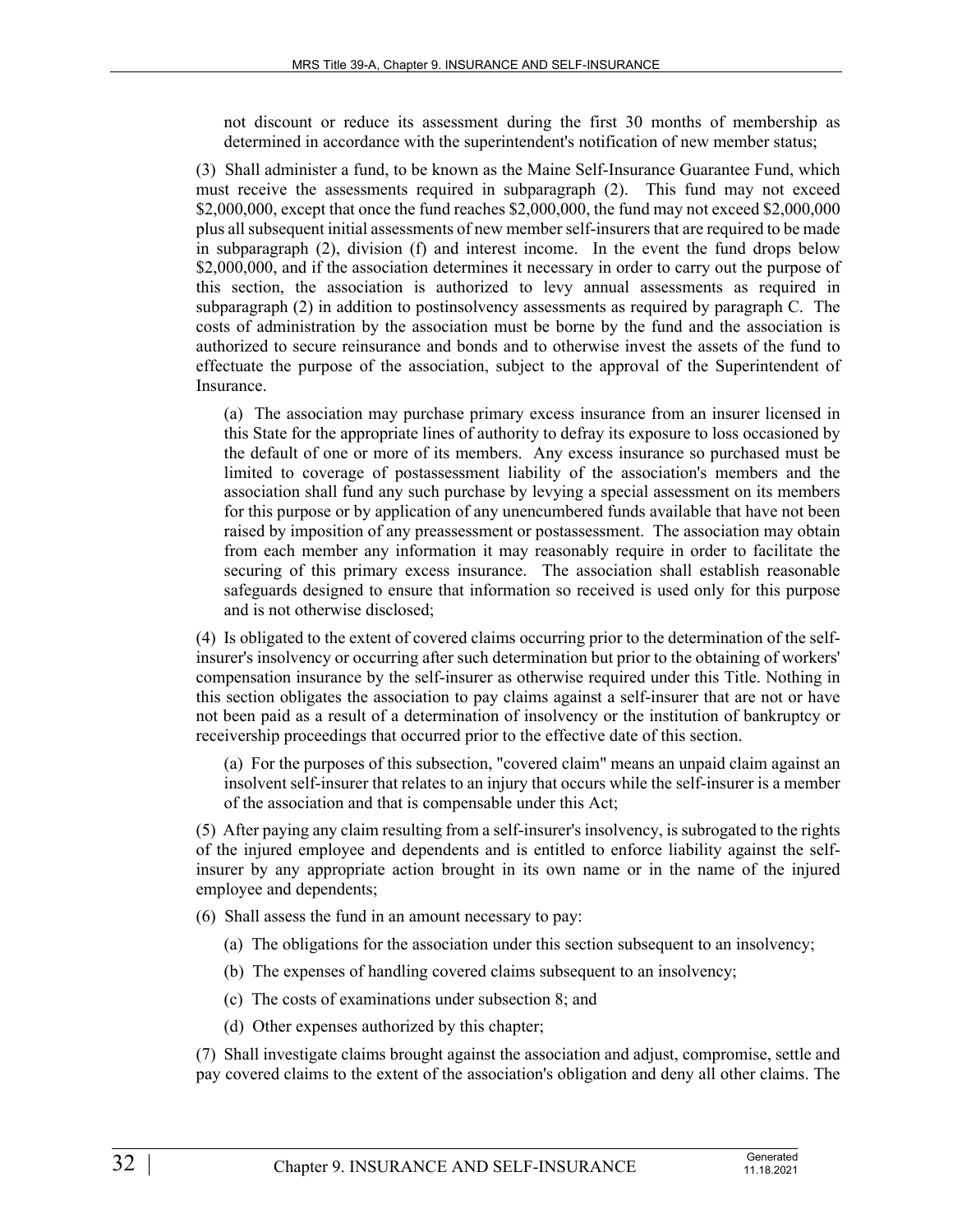not discount or reduce its assessment during the first 30 months of membership as determined in accordance with the superintendent's notification of new member status;

(3) Shall administer a fund, to be known as the Maine Self-Insurance Guarantee Fund, which must receive the assessments required in subparagraph (2). This fund may not exceed \$2,000,000, except that once the fund reaches \$2,000,000, the fund may not exceed \$2,000,000 plus all subsequent initial assessments of new member self-insurers that are required to be made in subparagraph (2), division (f) and interest income. In the event the fund drops below \$2,000,000, and if the association determines it necessary in order to carry out the purpose of this section, the association is authorized to levy annual assessments as required in subparagraph (2) in addition to postinsolvency assessments as required by paragraph C. The costs of administration by the association must be borne by the fund and the association is authorized to secure reinsurance and bonds and to otherwise invest the assets of the fund to effectuate the purpose of the association, subject to the approval of the Superintendent of Insurance.

(a) The association may purchase primary excess insurance from an insurer licensed in this State for the appropriate lines of authority to defray its exposure to loss occasioned by the default of one or more of its members. Any excess insurance so purchased must be limited to coverage of postassessment liability of the association's members and the association shall fund any such purchase by levying a special assessment on its members for this purpose or by application of any unencumbered funds available that have not been raised by imposition of any preassessment or postassessment. The association may obtain from each member any information it may reasonably require in order to facilitate the securing of this primary excess insurance. The association shall establish reasonable safeguards designed to ensure that information so received is used only for this purpose and is not otherwise disclosed;

(4) Is obligated to the extent of covered claims occurring prior to the determination of the selfinsurer's insolvency or occurring after such determination but prior to the obtaining of workers' compensation insurance by the self-insurer as otherwise required under this Title. Nothing in this section obligates the association to pay claims against a self-insurer that are not or have not been paid as a result of a determination of insolvency or the institution of bankruptcy or receivership proceedings that occurred prior to the effective date of this section.

(a) For the purposes of this subsection, "covered claim" means an unpaid claim against an insolvent self-insurer that relates to an injury that occurs while the self-insurer is a member of the association and that is compensable under this Act;

(5) After paying any claim resulting from a self-insurer's insolvency, is subrogated to the rights of the injured employee and dependents and is entitled to enforce liability against the selfinsurer by any appropriate action brought in its own name or in the name of the injured employee and dependents;

- (6) Shall assess the fund in an amount necessary to pay:
	- (a) The obligations for the association under this section subsequent to an insolvency;
	- (b) The expenses of handling covered claims subsequent to an insolvency;
	- (c) The costs of examinations under subsection 8; and
	- (d) Other expenses authorized by this chapter;

(7) Shall investigate claims brought against the association and adjust, compromise, settle and pay covered claims to the extent of the association's obligation and deny all other claims. The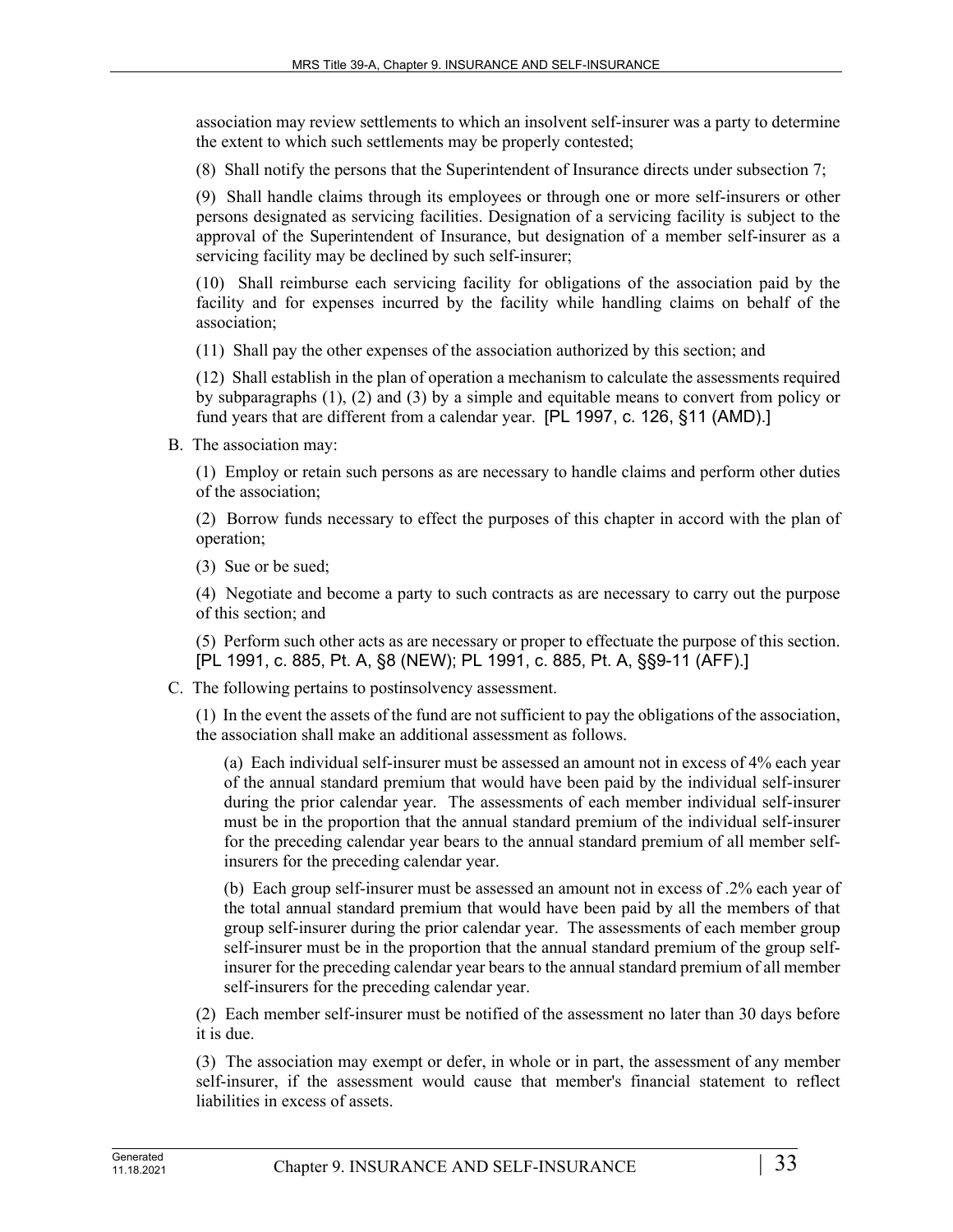association may review settlements to which an insolvent self-insurer was a party to determine the extent to which such settlements may be properly contested;

(8) Shall notify the persons that the Superintendent of Insurance directs under subsection 7;

(9) Shall handle claims through its employees or through one or more self-insurers or other persons designated as servicing facilities. Designation of a servicing facility is subject to the approval of the Superintendent of Insurance, but designation of a member self-insurer as a servicing facility may be declined by such self-insurer;

(10) Shall reimburse each servicing facility for obligations of the association paid by the facility and for expenses incurred by the facility while handling claims on behalf of the association;

(11) Shall pay the other expenses of the association authorized by this section; and

(12) Shall establish in the plan of operation a mechanism to calculate the assessments required by subparagraphs (1), (2) and (3) by a simple and equitable means to convert from policy or fund years that are different from a calendar year. [PL 1997, c. 126, §11 (AMD).]

B. The association may:

(1) Employ or retain such persons as are necessary to handle claims and perform other duties of the association;

(2) Borrow funds necessary to effect the purposes of this chapter in accord with the plan of operation;

(3) Sue or be sued;

(4) Negotiate and become a party to such contracts as are necessary to carry out the purpose of this section; and

(5) Perform such other acts as are necessary or proper to effectuate the purpose of this section. [PL 1991, c. 885, Pt. A, §8 (NEW); PL 1991, c. 885, Pt. A, §§9-11 (AFF).]

C. The following pertains to postinsolvency assessment.

(1) In the event the assets of the fund are not sufficient to pay the obligations of the association, the association shall make an additional assessment as follows.

(a) Each individual self-insurer must be assessed an amount not in excess of 4% each year of the annual standard premium that would have been paid by the individual self-insurer during the prior calendar year. The assessments of each member individual self-insurer must be in the proportion that the annual standard premium of the individual self-insurer for the preceding calendar year bears to the annual standard premium of all member selfinsurers for the preceding calendar year.

(b) Each group self-insurer must be assessed an amount not in excess of .2% each year of the total annual standard premium that would have been paid by all the members of that group self-insurer during the prior calendar year. The assessments of each member group self-insurer must be in the proportion that the annual standard premium of the group selfinsurer for the preceding calendar year bears to the annual standard premium of all member self-insurers for the preceding calendar year.

(2) Each member self-insurer must be notified of the assessment no later than 30 days before it is due.

(3) The association may exempt or defer, in whole or in part, the assessment of any member self-insurer, if the assessment would cause that member's financial statement to reflect liabilities in excess of assets.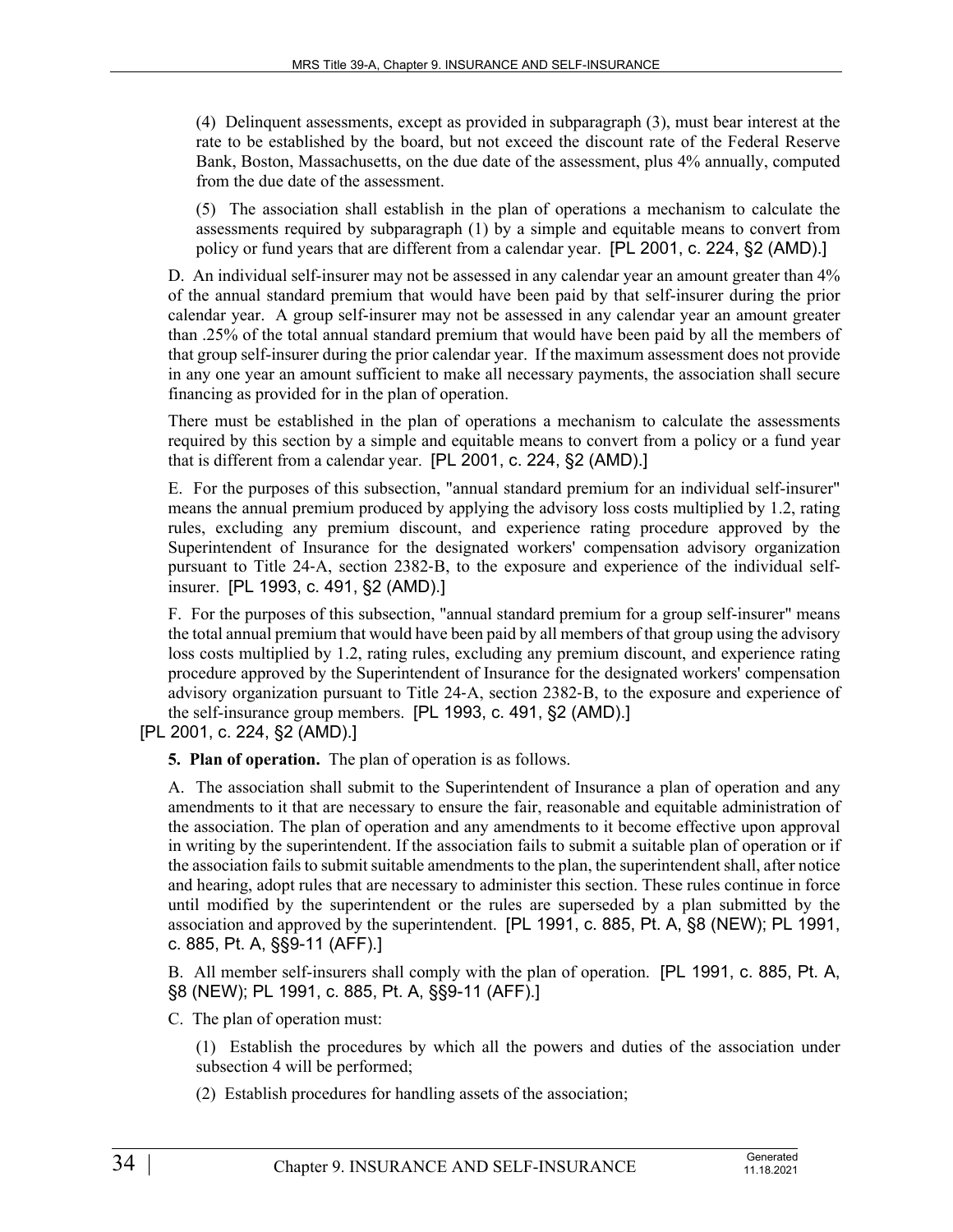(4) Delinquent assessments, except as provided in subparagraph (3), must bear interest at the rate to be established by the board, but not exceed the discount rate of the Federal Reserve Bank, Boston, Massachusetts, on the due date of the assessment, plus 4% annually, computed from the due date of the assessment.

(5) The association shall establish in the plan of operations a mechanism to calculate the assessments required by subparagraph (1) by a simple and equitable means to convert from policy or fund years that are different from a calendar year. [PL 2001, c. 224, §2 (AMD).]

D. An individual self-insurer may not be assessed in any calendar year an amount greater than 4% of the annual standard premium that would have been paid by that self-insurer during the prior calendar year. A group self-insurer may not be assessed in any calendar year an amount greater than .25% of the total annual standard premium that would have been paid by all the members of that group self-insurer during the prior calendar year. If the maximum assessment does not provide in any one year an amount sufficient to make all necessary payments, the association shall secure financing as provided for in the plan of operation.

There must be established in the plan of operations a mechanism to calculate the assessments required by this section by a simple and equitable means to convert from a policy or a fund year that is different from a calendar year. [PL 2001, c. 224, §2 (AMD).]

E. For the purposes of this subsection, "annual standard premium for an individual self-insurer" means the annual premium produced by applying the advisory loss costs multiplied by 1.2, rating rules, excluding any premium discount, and experience rating procedure approved by the Superintendent of Insurance for the designated workers' compensation advisory organization pursuant to Title 24‑A, section 2382‑B, to the exposure and experience of the individual selfinsurer. [PL 1993, c. 491, §2 (AMD).]

F. For the purposes of this subsection, "annual standard premium for a group self-insurer" means the total annual premium that would have been paid by all members of that group using the advisory loss costs multiplied by 1.2, rating rules, excluding any premium discount, and experience rating procedure approved by the Superintendent of Insurance for the designated workers' compensation advisory organization pursuant to Title 24‑A, section 2382‑B, to the exposure and experience of the self-insurance group members. [PL 1993, c. 491, §2 (AMD).]

[PL 2001, c. 224, §2 (AMD).]

**5. Plan of operation.** The plan of operation is as follows.

A. The association shall submit to the Superintendent of Insurance a plan of operation and any amendments to it that are necessary to ensure the fair, reasonable and equitable administration of the association. The plan of operation and any amendments to it become effective upon approval in writing by the superintendent. If the association fails to submit a suitable plan of operation or if the association fails to submit suitable amendments to the plan, the superintendent shall, after notice and hearing, adopt rules that are necessary to administer this section. These rules continue in force until modified by the superintendent or the rules are superseded by a plan submitted by the association and approved by the superintendent. [PL 1991, c. 885, Pt. A, §8 (NEW); PL 1991, c. 885, Pt. A, §§9-11 (AFF).]

B. All member self-insurers shall comply with the plan of operation. [PL 1991, c. 885, Pt. A, §8 (NEW); PL 1991, c. 885, Pt. A, §§9-11 (AFF).]

C. The plan of operation must:

(1) Establish the procedures by which all the powers and duties of the association under subsection 4 will be performed;

(2) Establish procedures for handling assets of the association;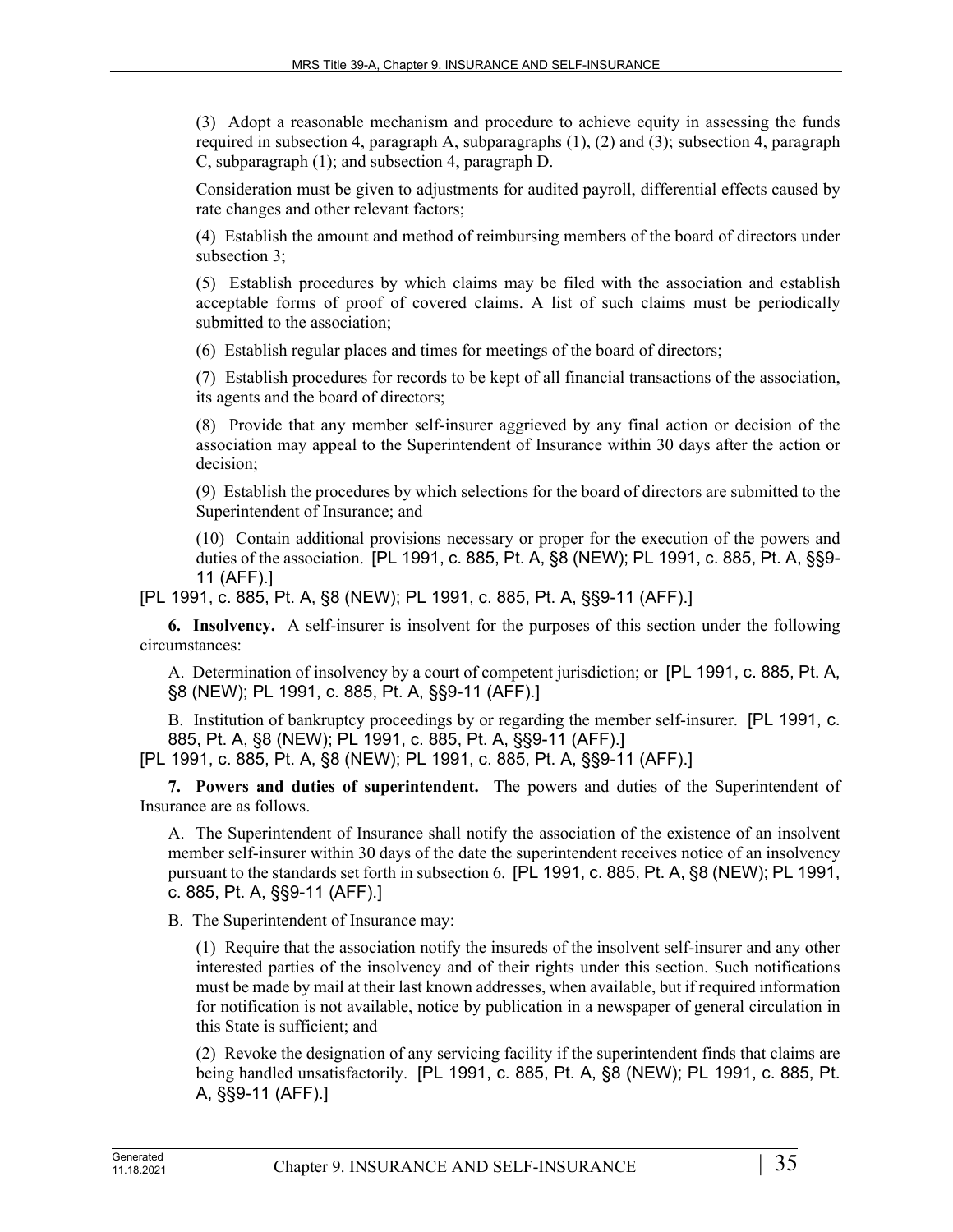(3) Adopt a reasonable mechanism and procedure to achieve equity in assessing the funds required in subsection 4, paragraph A, subparagraphs (1), (2) and (3); subsection 4, paragraph C, subparagraph (1); and subsection 4, paragraph D.

Consideration must be given to adjustments for audited payroll, differential effects caused by rate changes and other relevant factors;

(4) Establish the amount and method of reimbursing members of the board of directors under subsection 3;

(5) Establish procedures by which claims may be filed with the association and establish acceptable forms of proof of covered claims. A list of such claims must be periodically submitted to the association;

(6) Establish regular places and times for meetings of the board of directors;

(7) Establish procedures for records to be kept of all financial transactions of the association, its agents and the board of directors;

(8) Provide that any member self-insurer aggrieved by any final action or decision of the association may appeal to the Superintendent of Insurance within 30 days after the action or decision;

(9) Establish the procedures by which selections for the board of directors are submitted to the Superintendent of Insurance; and

(10) Contain additional provisions necessary or proper for the execution of the powers and duties of the association. [PL 1991, c. 885, Pt. A, §8 (NEW); PL 1991, c. 885, Pt. A, §§9- 11 (AFF).]

[PL 1991, c. 885, Pt. A, §8 (NEW); PL 1991, c. 885, Pt. A, §§9-11 (AFF).]

**6. Insolvency.** A self-insurer is insolvent for the purposes of this section under the following circumstances:

A. Determination of insolvency by a court of competent jurisdiction; or [PL 1991, c. 885, Pt. A, §8 (NEW); PL 1991, c. 885, Pt. A, §§9-11 (AFF).]

B. Institution of bankruptcy proceedings by or regarding the member self-insurer. [PL 1991, c. 885, Pt. A, §8 (NEW); PL 1991, c. 885, Pt. A, §§9-11 (AFF).]

[PL 1991, c. 885, Pt. A, §8 (NEW); PL 1991, c. 885, Pt. A, §§9-11 (AFF).]

**7. Powers and duties of superintendent.** The powers and duties of the Superintendent of Insurance are as follows.

A. The Superintendent of Insurance shall notify the association of the existence of an insolvent member self-insurer within 30 days of the date the superintendent receives notice of an insolvency pursuant to the standards set forth in subsection 6. [PL 1991, c. 885, Pt. A, §8 (NEW); PL 1991, c. 885, Pt. A, §§9-11 (AFF).]

B. The Superintendent of Insurance may:

(1) Require that the association notify the insureds of the insolvent self-insurer and any other interested parties of the insolvency and of their rights under this section. Such notifications must be made by mail at their last known addresses, when available, but if required information for notification is not available, notice by publication in a newspaper of general circulation in this State is sufficient; and

(2) Revoke the designation of any servicing facility if the superintendent finds that claims are being handled unsatisfactorily. [PL 1991, c. 885, Pt. A, §8 (NEW); PL 1991, c. 885, Pt. A, §§9-11 (AFF).]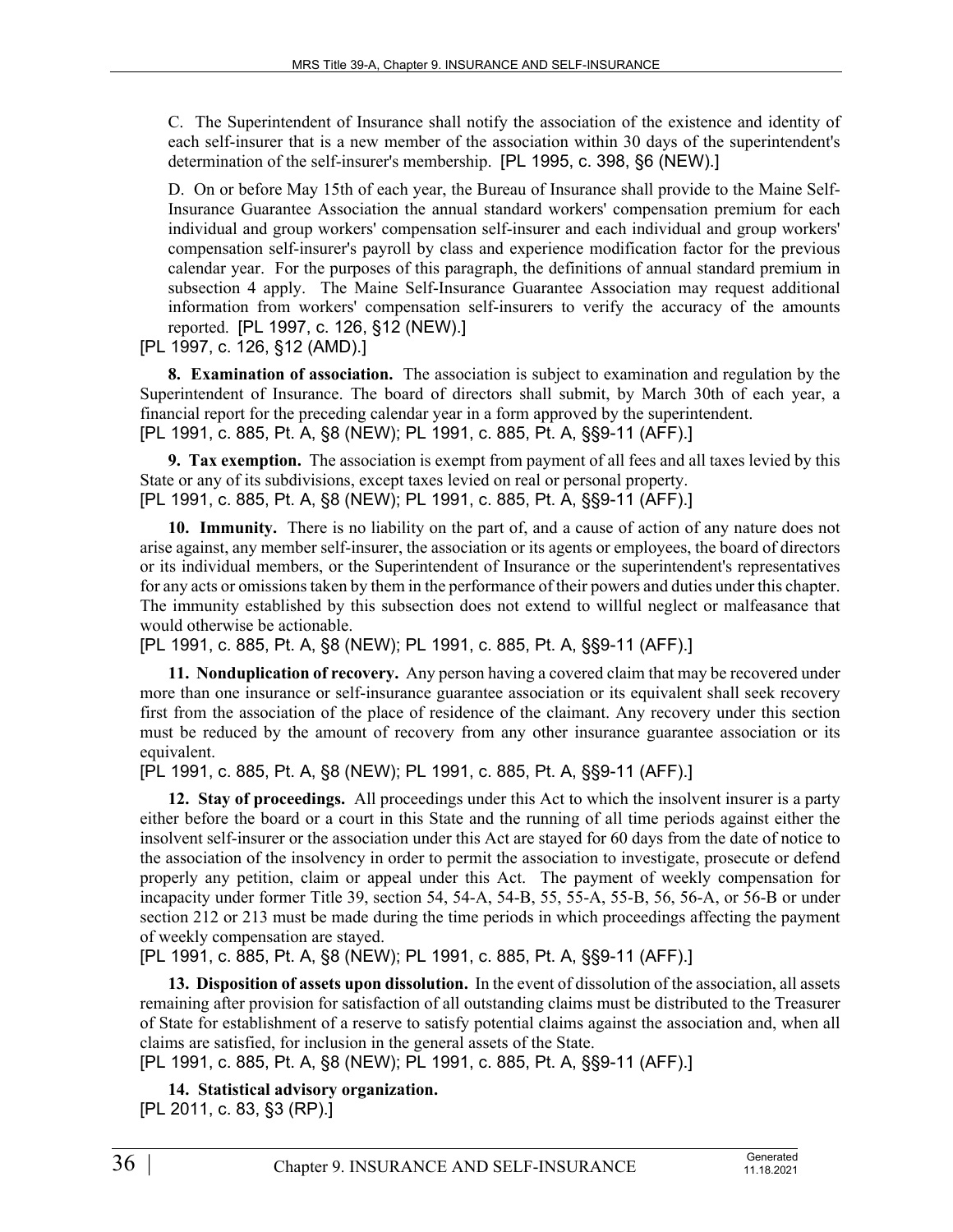C. The Superintendent of Insurance shall notify the association of the existence and identity of each self-insurer that is a new member of the association within 30 days of the superintendent's determination of the self-insurer's membership. [PL 1995, c. 398, §6 (NEW).]

D. On or before May 15th of each year, the Bureau of Insurance shall provide to the Maine Self-Insurance Guarantee Association the annual standard workers' compensation premium for each individual and group workers' compensation self-insurer and each individual and group workers' compensation self-insurer's payroll by class and experience modification factor for the previous calendar year. For the purposes of this paragraph, the definitions of annual standard premium in subsection 4 apply. The Maine Self-Insurance Guarantee Association may request additional information from workers' compensation self-insurers to verify the accuracy of the amounts reported. [PL 1997, c. 126, §12 (NEW).]

[PL 1997, c. 126, §12 (AMD).]

**8. Examination of association.** The association is subject to examination and regulation by the Superintendent of Insurance. The board of directors shall submit, by March 30th of each year, a financial report for the preceding calendar year in a form approved by the superintendent. [PL 1991, c. 885, Pt. A, §8 (NEW); PL 1991, c. 885, Pt. A, §§9-11 (AFF).]

**9. Tax exemption.** The association is exempt from payment of all fees and all taxes levied by this State or any of its subdivisions, except taxes levied on real or personal property. [PL 1991, c. 885, Pt. A, §8 (NEW); PL 1991, c. 885, Pt. A, §§9-11 (AFF).]

**10. Immunity.** There is no liability on the part of, and a cause of action of any nature does not arise against, any member self-insurer, the association or its agents or employees, the board of directors or its individual members, or the Superintendent of Insurance or the superintendent's representatives for any acts or omissions taken by them in the performance of their powers and duties under this chapter. The immunity established by this subsection does not extend to willful neglect or malfeasance that would otherwise be actionable.

[PL 1991, c. 885, Pt. A, §8 (NEW); PL 1991, c. 885, Pt. A, §§9-11 (AFF).]

**11. Nonduplication of recovery.** Any person having a covered claim that may be recovered under more than one insurance or self-insurance guarantee association or its equivalent shall seek recovery first from the association of the place of residence of the claimant. Any recovery under this section must be reduced by the amount of recovery from any other insurance guarantee association or its equivalent.

[PL 1991, c. 885, Pt. A, §8 (NEW); PL 1991, c. 885, Pt. A, §§9-11 (AFF).]

**12. Stay of proceedings.** All proceedings under this Act to which the insolvent insurer is a party either before the board or a court in this State and the running of all time periods against either the insolvent self-insurer or the association under this Act are stayed for 60 days from the date of notice to the association of the insolvency in order to permit the association to investigate, prosecute or defend properly any petition, claim or appeal under this Act. The payment of weekly compensation for incapacity under former Title 39, section 54, 54-A, 54-B, 55, 55-A, 55-B, 56, 56-A, or 56-B or under section 212 or 213 must be made during the time periods in which proceedings affecting the payment of weekly compensation are stayed.

[PL 1991, c. 885, Pt. A, §8 (NEW); PL 1991, c. 885, Pt. A, §§9-11 (AFF).]

**13. Disposition of assets upon dissolution.** In the event of dissolution of the association, all assets remaining after provision for satisfaction of all outstanding claims must be distributed to the Treasurer of State for establishment of a reserve to satisfy potential claims against the association and, when all claims are satisfied, for inclusion in the general assets of the State.

[PL 1991, c. 885, Pt. A, §8 (NEW); PL 1991, c. 885, Pt. A, §§9-11 (AFF).]

**14. Statistical advisory organization.**  [PL 2011, c. 83, §3 (RP).]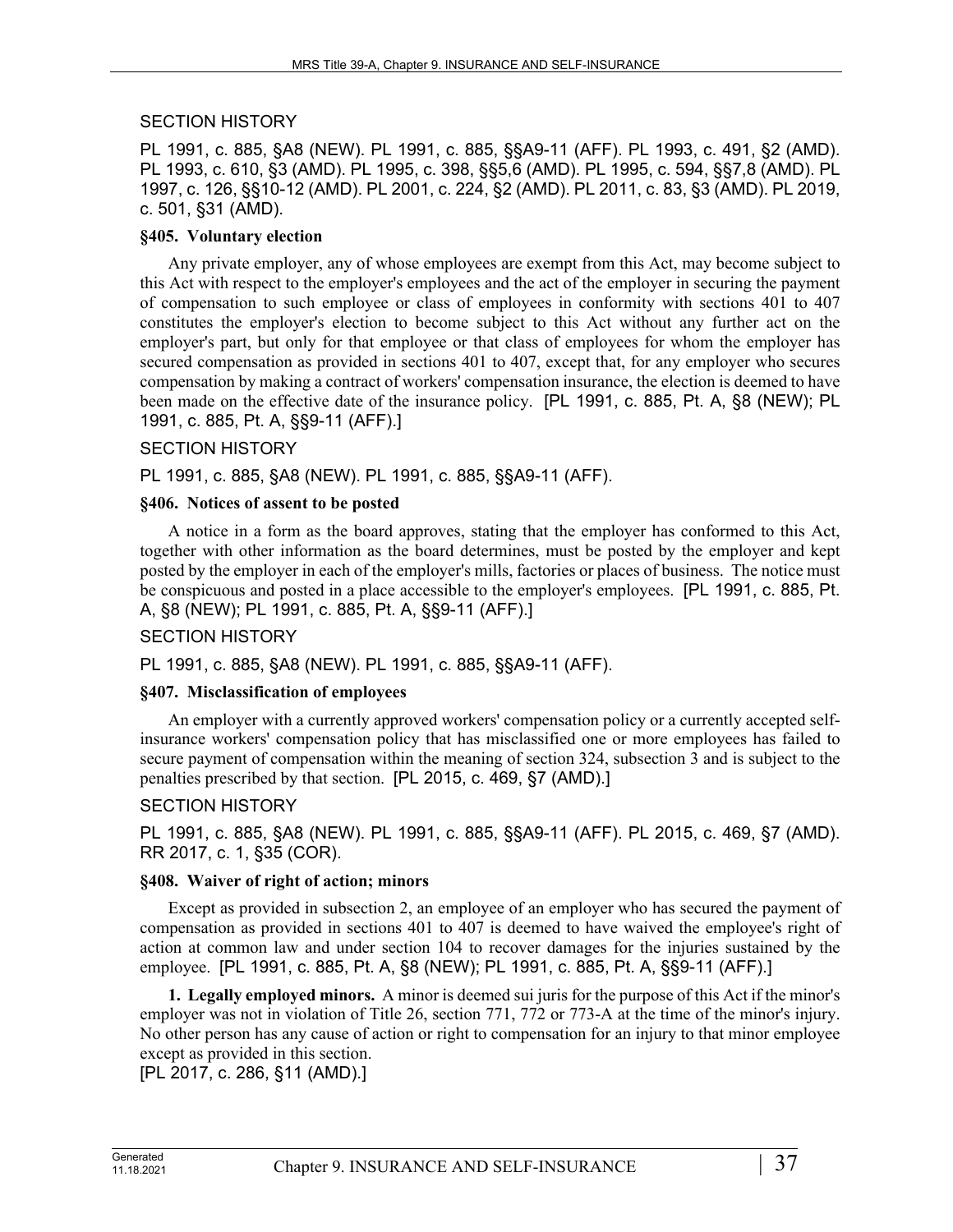### SECTION HISTORY

PL 1991, c. 885, §A8 (NEW). PL 1991, c. 885, §§A9-11 (AFF). PL 1993, c. 491, §2 (AMD). PL 1993, c. 610, §3 (AMD). PL 1995, c. 398, §§5,6 (AMD). PL 1995, c. 594, §§7,8 (AMD). PL 1997, c. 126, §§10-12 (AMD). PL 2001, c. 224, §2 (AMD). PL 2011, c. 83, §3 (AMD). PL 2019, c. 501, §31 (AMD).

### **§405. Voluntary election**

Any private employer, any of whose employees are exempt from this Act, may become subject to this Act with respect to the employer's employees and the act of the employer in securing the payment of compensation to such employee or class of employees in conformity with sections 401 to 407 constitutes the employer's election to become subject to this Act without any further act on the employer's part, but only for that employee or that class of employees for whom the employer has secured compensation as provided in sections 401 to 407, except that, for any employer who secures compensation by making a contract of workers' compensation insurance, the election is deemed to have been made on the effective date of the insurance policy. [PL 1991, c. 885, Pt. A, §8 (NEW); PL 1991, c. 885, Pt. A, §§9-11 (AFF).]

#### SECTION HISTORY

PL 1991, c. 885, §A8 (NEW). PL 1991, c. 885, §§A9-11 (AFF).

#### **§406. Notices of assent to be posted**

A notice in a form as the board approves, stating that the employer has conformed to this Act, together with other information as the board determines, must be posted by the employer and kept posted by the employer in each of the employer's mills, factories or places of business. The notice must be conspicuous and posted in a place accessible to the employer's employees. [PL 1991, c. 885, Pt. A, §8 (NEW); PL 1991, c. 885, Pt. A, §§9-11 (AFF).]

### SECTION HISTORY

PL 1991, c. 885, §A8 (NEW). PL 1991, c. 885, §§A9-11 (AFF).

#### **§407. Misclassification of employees**

An employer with a currently approved workers' compensation policy or a currently accepted selfinsurance workers' compensation policy that has misclassified one or more employees has failed to secure payment of compensation within the meaning of section 324, subsection 3 and is subject to the penalties prescribed by that section. [PL 2015, c. 469, §7 (AMD).]

### SECTION HISTORY

PL 1991, c. 885, §A8 (NEW). PL 1991, c. 885, §§A9-11 (AFF). PL 2015, c. 469, §7 (AMD). RR 2017, c. 1, §35 (COR).

#### **§408. Waiver of right of action; minors**

Except as provided in subsection 2, an employee of an employer who has secured the payment of compensation as provided in sections 401 to 407 is deemed to have waived the employee's right of action at common law and under section 104 to recover damages for the injuries sustained by the employee. [PL 1991, c. 885, Pt. A, §8 (NEW); PL 1991, c. 885, Pt. A, §§9-11 (AFF).]

**1. Legally employed minors.** A minor is deemed sui juris for the purpose of this Act if the minor's employer was not in violation of Title 26, section 771, 772 or 773-A at the time of the minor's injury. No other person has any cause of action or right to compensation for an injury to that minor employee except as provided in this section.

[PL 2017, c. 286, §11 (AMD).]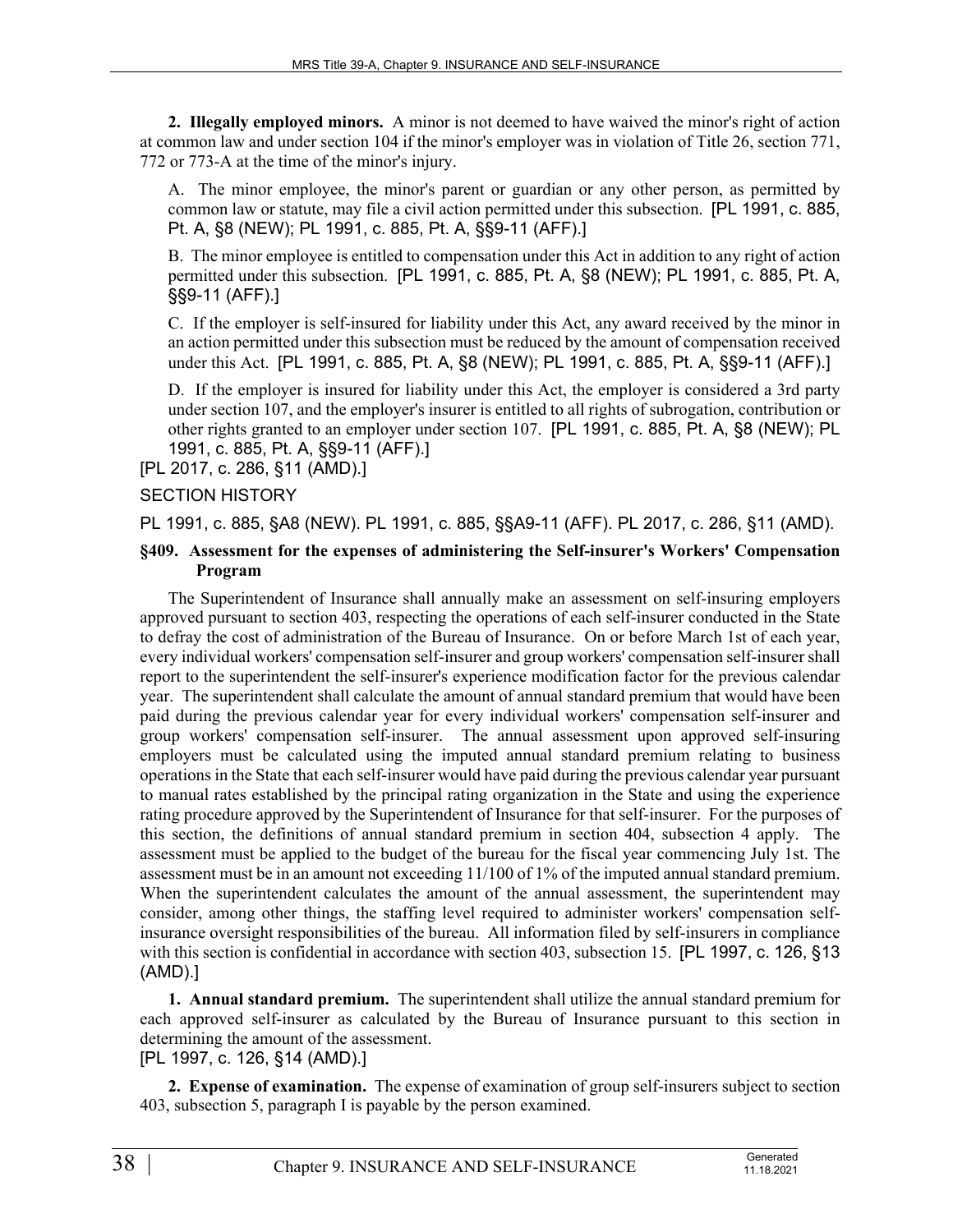**2. Illegally employed minors.** A minor is not deemed to have waived the minor's right of action at common law and under section 104 if the minor's employer was in violation of Title 26, section 771, 772 or 773-A at the time of the minor's injury.

A. The minor employee, the minor's parent or guardian or any other person, as permitted by common law or statute, may file a civil action permitted under this subsection. [PL 1991, c. 885, Pt. A, §8 (NEW); PL 1991, c. 885, Pt. A, §§9-11 (AFF).]

B. The minor employee is entitled to compensation under this Act in addition to any right of action permitted under this subsection. [PL 1991, c. 885, Pt. A, §8 (NEW); PL 1991, c. 885, Pt. A, §§9-11 (AFF).]

C. If the employer is self-insured for liability under this Act, any award received by the minor in an action permitted under this subsection must be reduced by the amount of compensation received under this Act. [PL 1991, c. 885, Pt. A, §8 (NEW); PL 1991, c. 885, Pt. A, §§9-11 (AFF).]

D. If the employer is insured for liability under this Act, the employer is considered a 3rd party under section 107, and the employer's insurer is entitled to all rights of subrogation, contribution or other rights granted to an employer under section 107. [PL 1991, c. 885, Pt. A, §8 (NEW); PL 1991, c. 885, Pt. A, §§9-11 (AFF).]

[PL 2017, c. 286, §11 (AMD).]

#### SECTION HISTORY

PL 1991, c. 885, §A8 (NEW). PL 1991, c. 885, §§A9-11 (AFF). PL 2017, c. 286, §11 (AMD).

#### **§409. Assessment for the expenses of administering the Self-insurer's Workers' Compensation Program**

The Superintendent of Insurance shall annually make an assessment on self-insuring employers approved pursuant to section 403, respecting the operations of each self-insurer conducted in the State to defray the cost of administration of the Bureau of Insurance. On or before March 1st of each year, every individual workers' compensation self-insurer and group workers' compensation self-insurer shall report to the superintendent the self-insurer's experience modification factor for the previous calendar year. The superintendent shall calculate the amount of annual standard premium that would have been paid during the previous calendar year for every individual workers' compensation self-insurer and group workers' compensation self-insurer. The annual assessment upon approved self-insuring employers must be calculated using the imputed annual standard premium relating to business operations in the State that each self-insurer would have paid during the previous calendar year pursuant to manual rates established by the principal rating organization in the State and using the experience rating procedure approved by the Superintendent of Insurance for that self-insurer. For the purposes of this section, the definitions of annual standard premium in section 404, subsection 4 apply. The assessment must be applied to the budget of the bureau for the fiscal year commencing July 1st. The assessment must be in an amount not exceeding 11/100 of 1% of the imputed annual standard premium. When the superintendent calculates the amount of the annual assessment, the superintendent may consider, among other things, the staffing level required to administer workers' compensation selfinsurance oversight responsibilities of the bureau. All information filed by self-insurers in compliance with this section is confidential in accordance with section 403, subsection 15. [PL 1997, c. 126, §13 (AMD).]

**1. Annual standard premium.** The superintendent shall utilize the annual standard premium for each approved self-insurer as calculated by the Bureau of Insurance pursuant to this section in determining the amount of the assessment.

[PL 1997, c. 126, §14 (AMD).]

**2. Expense of examination.** The expense of examination of group self-insurers subject to section 403, subsection 5, paragraph I is payable by the person examined.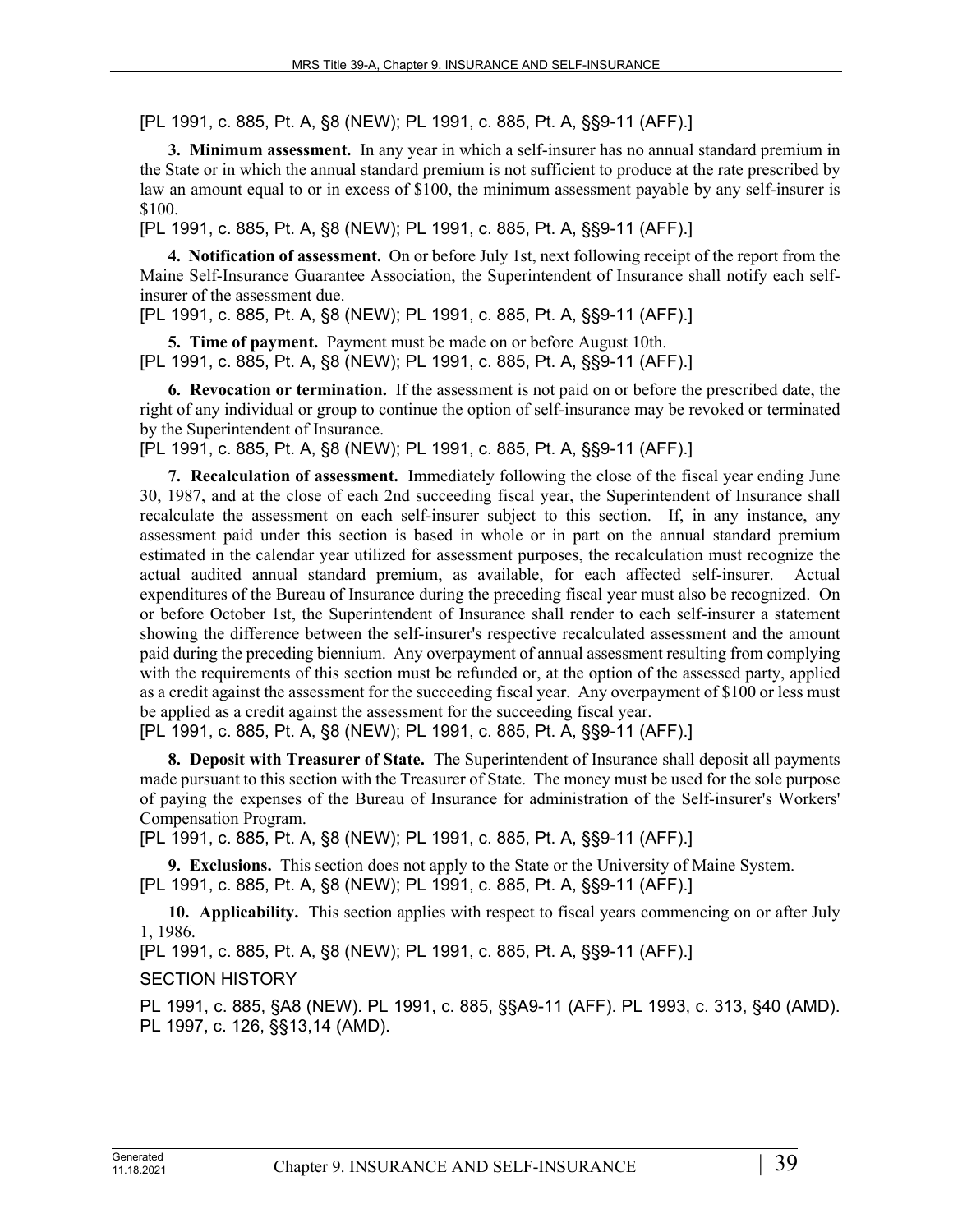[PL 1991, c. 885, Pt. A, §8 (NEW); PL 1991, c. 885, Pt. A, §§9-11 (AFF).]

**3. Minimum assessment.** In any year in which a self-insurer has no annual standard premium in the State or in which the annual standard premium is not sufficient to produce at the rate prescribed by law an amount equal to or in excess of \$100, the minimum assessment payable by any self-insurer is \$100.

[PL 1991, c. 885, Pt. A, §8 (NEW); PL 1991, c. 885, Pt. A, §§9-11 (AFF).]

**4. Notification of assessment.** On or before July 1st, next following receipt of the report from the Maine Self-Insurance Guarantee Association, the Superintendent of Insurance shall notify each selfinsurer of the assessment due.

[PL 1991, c. 885, Pt. A, §8 (NEW); PL 1991, c. 885, Pt. A, §§9-11 (AFF).]

**5. Time of payment.** Payment must be made on or before August 10th. [PL 1991, c. 885, Pt. A, §8 (NEW); PL 1991, c. 885, Pt. A, §§9-11 (AFF).]

**6. Revocation or termination.** If the assessment is not paid on or before the prescribed date, the right of any individual or group to continue the option of self-insurance may be revoked or terminated by the Superintendent of Insurance.

[PL 1991, c. 885, Pt. A, §8 (NEW); PL 1991, c. 885, Pt. A, §§9-11 (AFF).]

**7. Recalculation of assessment.** Immediately following the close of the fiscal year ending June 30, 1987, and at the close of each 2nd succeeding fiscal year, the Superintendent of Insurance shall recalculate the assessment on each self-insurer subject to this section. If, in any instance, any assessment paid under this section is based in whole or in part on the annual standard premium estimated in the calendar year utilized for assessment purposes, the recalculation must recognize the actual audited annual standard premium, as available, for each affected self-insurer. Actual expenditures of the Bureau of Insurance during the preceding fiscal year must also be recognized. On or before October 1st, the Superintendent of Insurance shall render to each self-insurer a statement showing the difference between the self-insurer's respective recalculated assessment and the amount paid during the preceding biennium. Any overpayment of annual assessment resulting from complying with the requirements of this section must be refunded or, at the option of the assessed party, applied as a credit against the assessment for the succeeding fiscal year. Any overpayment of \$100 or less must be applied as a credit against the assessment for the succeeding fiscal year.

[PL 1991, c. 885, Pt. A, §8 (NEW); PL 1991, c. 885, Pt. A, §§9-11 (AFF).]

**8. Deposit with Treasurer of State.** The Superintendent of Insurance shall deposit all payments made pursuant to this section with the Treasurer of State. The money must be used for the sole purpose of paying the expenses of the Bureau of Insurance for administration of the Self-insurer's Workers' Compensation Program.

[PL 1991, c. 885, Pt. A, §8 (NEW); PL 1991, c. 885, Pt. A, §§9-11 (AFF).]

**9. Exclusions.** This section does not apply to the State or the University of Maine System. [PL 1991, c. 885, Pt. A, §8 (NEW); PL 1991, c. 885, Pt. A, §§9-11 (AFF).]

**10. Applicability.** This section applies with respect to fiscal years commencing on or after July 1, 1986.

[PL 1991, c. 885, Pt. A, §8 (NEW); PL 1991, c. 885, Pt. A, §§9-11 (AFF).]

SECTION HISTORY

PL 1991, c. 885, §A8 (NEW). PL 1991, c. 885, §§A9-11 (AFF). PL 1993, c. 313, §40 (AMD). PL 1997, c. 126, §§13,14 (AMD).